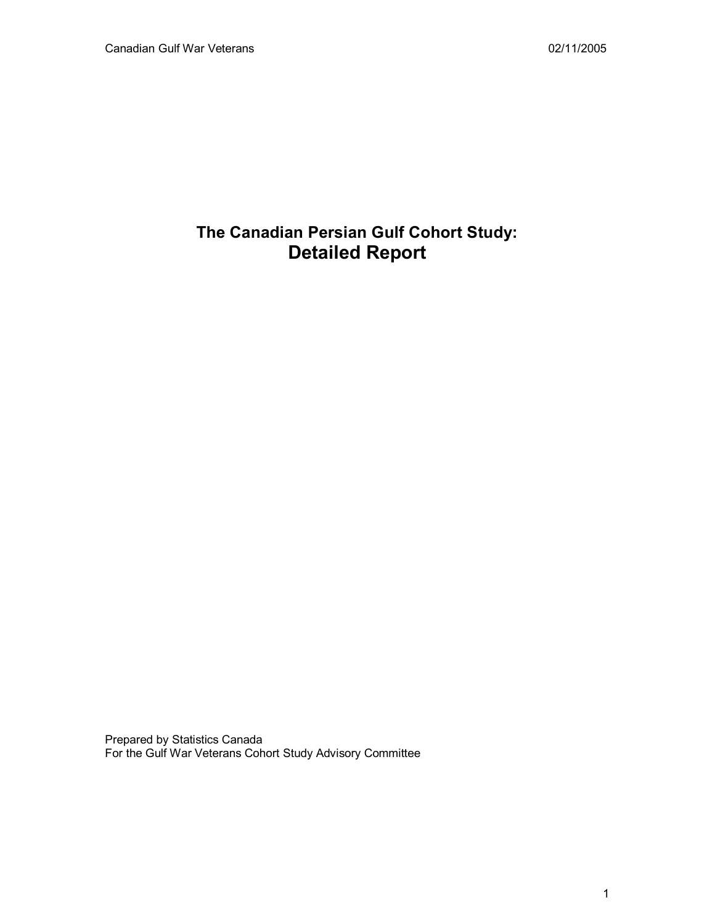# **The Canadian Persian Gulf Cohort Study: Detailed Report**

Prepared by Statistics Canada For the Gulf War Veterans Cohort Study Advisory Committee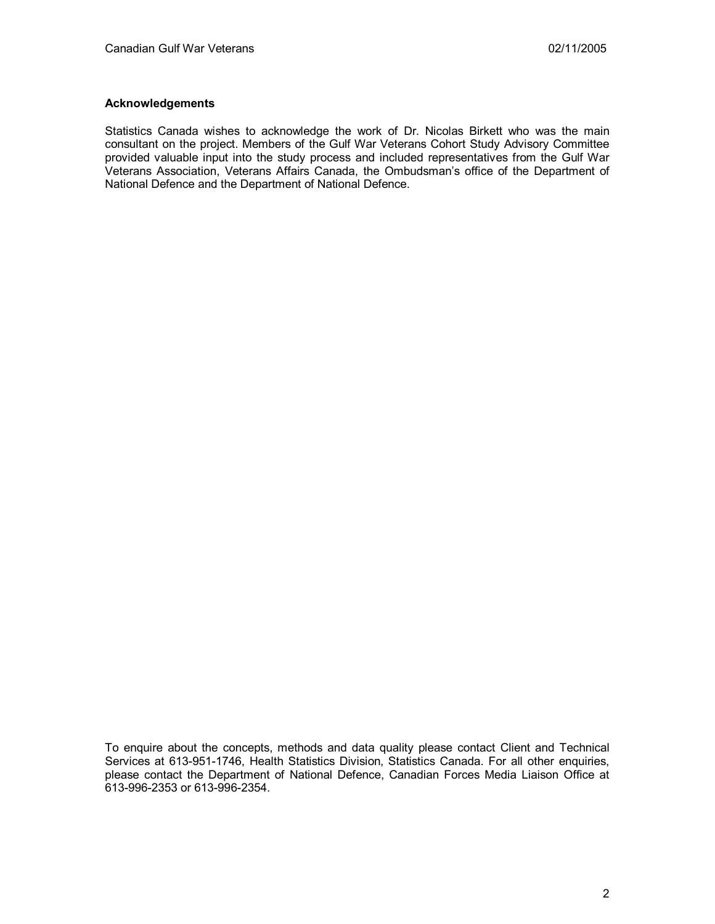## **Acknowledgements**

Statistics Canada wishes to acknowledge the work of Dr. Nicolas Birkett who was the main consultant on the project. Members of the Gulf War Veterans Cohort Study Advisory Committee provided valuable input into the study process and included representatives from the Gulf War Veterans Association, Veterans Affairs Canada, the Ombudsman's office of the Department of National Defence and the Department of National Defence.

To enquire about the concepts, methods and data quality please contact Client and Technical Services at 613-951-1746, Health Statistics Division, Statistics Canada. For all other enquiries, please contact the Department of National Defence, Canadian Forces Media Liaison Office at 613-996-2353 or 613-996-2354.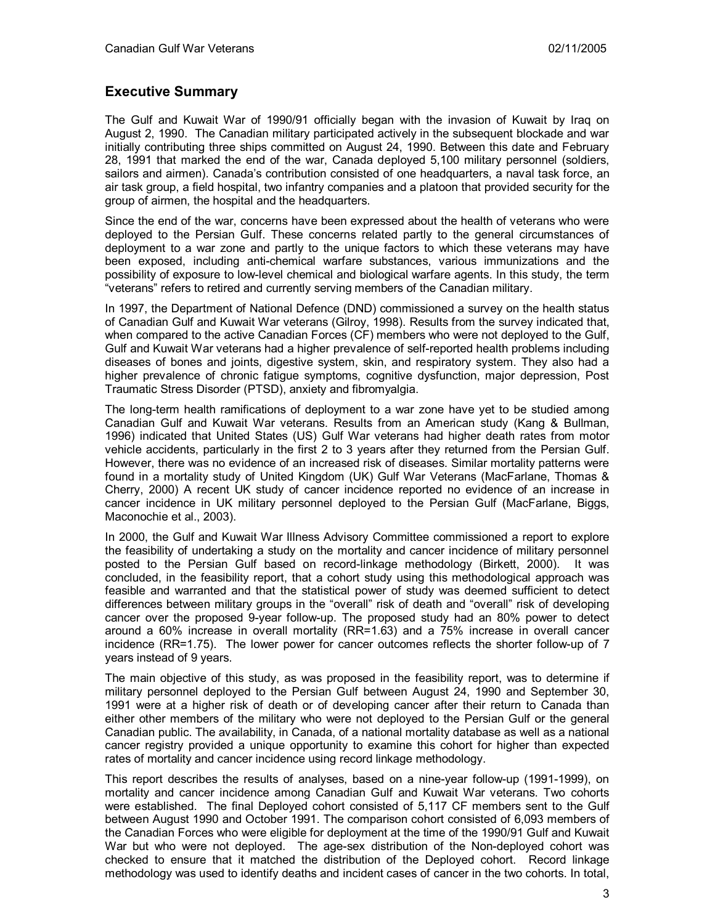# **Executive Summary**

The Gulf and Kuwait War of 1990/91 officially began with the invasion of Kuwait by Iraq on August 2, 1990. The Canadian military participated actively in the subsequent blockade and war initially contributing three ships committed on August 24, 1990. Between this date and February 28, 1991 that marked the end of the war, Canada deployed 5,100 military personnel (soldiers, sailors and airmen). Canada's contribution consisted of one headquarters, a naval task force, an air task group, a field hospital, two infantry companies and a platoon that provided security for the group of airmen, the hospital and the headquarters.

Since the end of the war, concerns have been expressed about the health of veterans who were deployed to the Persian Gulf. These concerns related partly to the general circumstances of deployment to a war zone and partly to the unique factors to which these veterans may have been exposed, including anti-chemical warfare substances, various immunizations and the possibility of exposure to low-level chemical and biological warfare agents. In this study, the term "veterans" refers to retired and currently serving members of the Canadian military.

In 1997, the Department of National Defence (DND) commissioned a survey on the health status of Canadian Gulf and Kuwait War veterans (Gilroy, 1998). Results from the survey indicated that, when compared to the active Canadian Forces (CF) members who were not deployed to the Gulf, Gulf and Kuwait War veterans had a higher prevalence of self-reported health problems including diseases of bones and joints, digestive system, skin, and respiratory system. They also had a higher prevalence of chronic fatigue symptoms, cognitive dysfunction, major depression, Post Traumatic Stress Disorder (PTSD), anxiety and fibromyalgia.

The long-term health ramifications of deployment to a war zone have yet to be studied among Canadian Gulf and Kuwait War veterans. Results from an American study (Kang & Bullman, 1996) indicated that United States (US) Gulf War veterans had higher death rates from motor vehicle accidents, particularly in the first 2 to 3 years after they returned from the Persian Gulf. However, there was no evidence of an increased risk of diseases. Similar mortality patterns were found in a mortality study of United Kingdom (UK) Gulf War Veterans (MacFarlane, Thomas & Cherry, 2000) A recent UK study of cancer incidence reported no evidence of an increase in cancer incidence in UK military personnel deployed to the Persian Gulf (MacFarlane, Biggs, Maconochie et al., 2003).

In 2000, the Gulf and Kuwait War Illness Advisory Committee commissioned a report to explore the feasibility of undertaking a study on the mortality and cancer incidence of military personnel posted to the Persian Gulf based on record-linkage methodology (Birkett, 2000). It was concluded, in the feasibility report, that a cohort study using this methodological approach was feasible and warranted and that the statistical power of study was deemed sufficient to detect differences between military groups in the "overall" risk of death and "overall" risk of developing cancer over the proposed 9-year follow-up. The proposed study had an 80% power to detect around a 60% increase in overall mortality (RR=1.63) and a 75% increase in overall cancer incidence (RR=1.75). The lower power for cancer outcomes reflects the shorter follow-up of 7 years instead of 9 years.

The main objective of this study, as was proposed in the feasibility report, was to determine if military personnel deployed to the Persian Gulf between August 24, 1990 and September 30, 1991 were at a higher risk of death or of developing cancer after their return to Canada than either other members of the military who were not deployed to the Persian Gulf or the general Canadian public. The availability, in Canada, of a national mortality database as well as a national cancer registry provided a unique opportunity to examine this cohort for higher than expected rates of mortality and cancer incidence using record linkage methodology.

This report describes the results of analyses, based on a nine-year follow-up (1991-1999), on mortality and cancer incidence among Canadian Gulf and Kuwait War veterans. Two cohorts were established. The final Deployed cohort consisted of 5,117 CF members sent to the Gulf between August 1990 and October 1991. The comparison cohort consisted of 6,093 members of the Canadian Forces who were eligible for deployment at the time of the 1990/91 Gulf and Kuwait War but who were not deployed. The age-sex distribution of the Non-deployed cohort was checked to ensure that it matched the distribution of the Deployed cohort. Record linkage methodology was used to identify deaths and incident cases of cancer in the two cohorts. In total,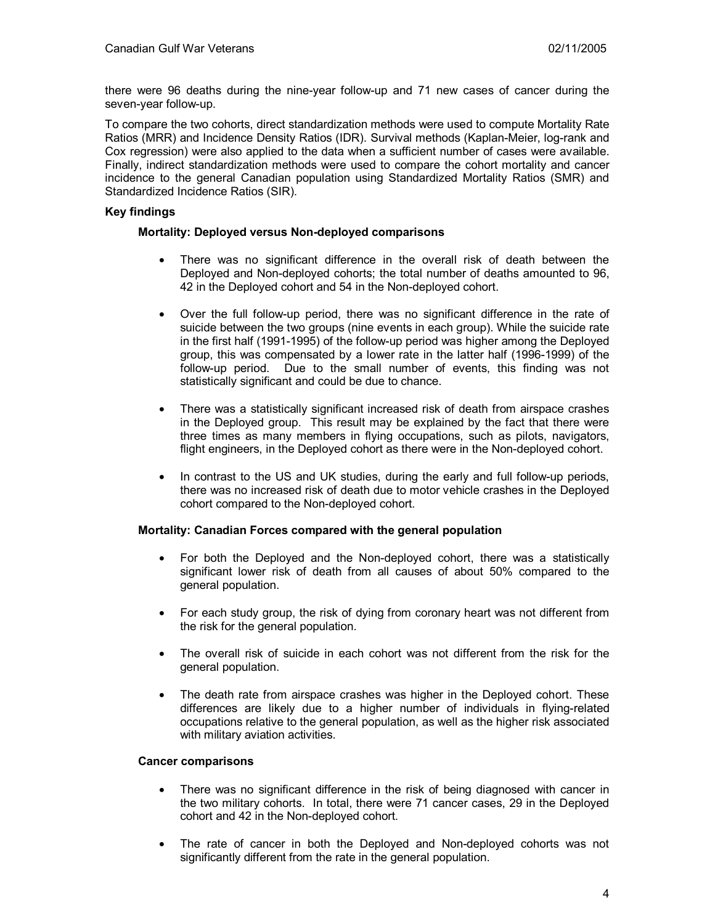there were 96 deaths during the nine-year follow-up and 71 new cases of cancer during the seven-year follow-up.

To compare the two cohorts, direct standardization methods were used to compute Mortality Rate Ratios (MRR) and Incidence Density Ratios (IDR). Survival methods (Kaplan-Meier, log-rank and Cox regression) were also applied to the data when a sufficient number of cases were available. Finally, indirect standardization methods were used to compare the cohort mortality and cancer incidence to the general Canadian population using Standardized Mortality Ratios (SMR) and Standardized Incidence Ratios (SIR).

## **Key findings**

#### **Mortality: Deployed versus Non-deployed comparisons**

- There was no significant difference in the overall risk of death between the Deployed and Non-deployed cohorts; the total number of deaths amounted to 96, 42 in the Deployed cohort and 54 in the Non-deployed cohort.
- Over the full follow-up period, there was no significant difference in the rate of suicide between the two groups (nine events in each group). While the suicide rate in the first half (1991-1995) of the follow-up period was higher among the Deployed group, this was compensated by a lower rate in the latter half (1996-1999) of the follow-up period. Due to the small number of events, this finding was not statistically significant and could be due to chance.
- There was a statistically significant increased risk of death from airspace crashes in the Deployed group. This result may be explained by the fact that there were three times as many members in flying occupations, such as pilots, navigators, flight engineers, in the Deployed cohort as there were in the Non-deployed cohort.
- In contrast to the US and UK studies, during the early and full follow-up periods, there was no increased risk of death due to motor vehicle crashes in the Deployed cohort compared to the Non-deployed cohort.

#### **Mortality: Canadian Forces compared with the general population**

- For both the Deployed and the Non-deployed cohort, there was a statistically significant lower risk of death from all causes of about 50% compared to the general population.
- For each study group, the risk of dying from coronary heart was not different from the risk for the general population.
- The overall risk of suicide in each cohort was not different from the risk for the general population.
- The death rate from airspace crashes was higher in the Deployed cohort. These differences are likely due to a higher number of individuals in flying-related occupations relative to the general population, as well as the higher risk associated with military aviation activities.

#### **Cancer comparisons**

- There was no significant difference in the risk of being diagnosed with cancer in the two military cohorts. In total, there were 71 cancer cases, 29 in the Deployed cohort and 42 in the Non-deployed cohort.
- The rate of cancer in both the Deployed and Non-deployed cohorts was not significantly different from the rate in the general population.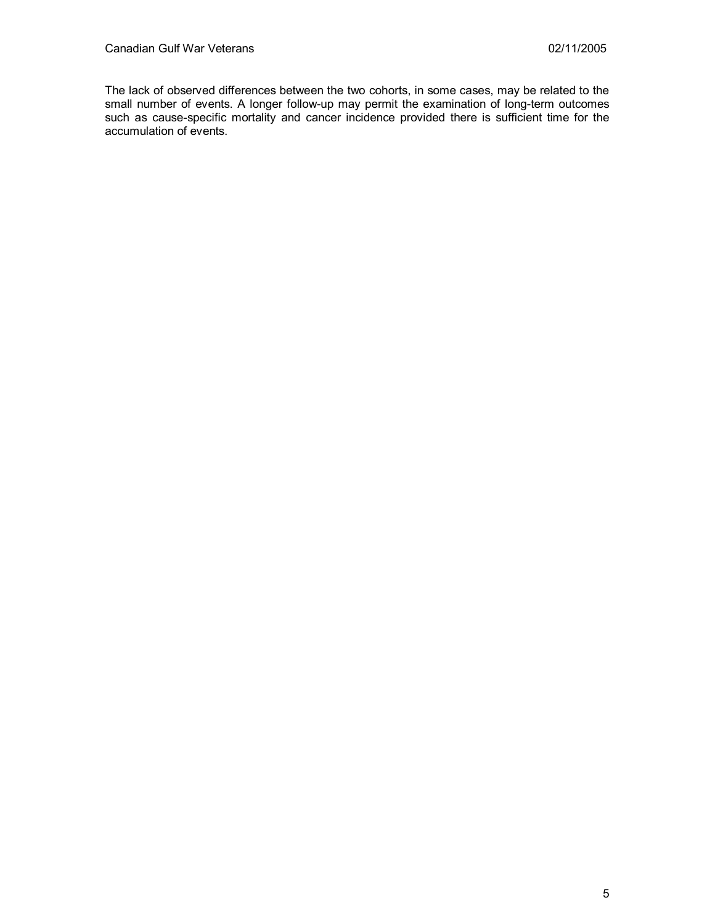The lack of observed differences between the two cohorts, in some cases, may be related to the small number of events. A longer follow-up may permit the examination of long-term outcomes such as cause-specific mortality and cancer incidence provided there is sufficient time for the accumulation of events.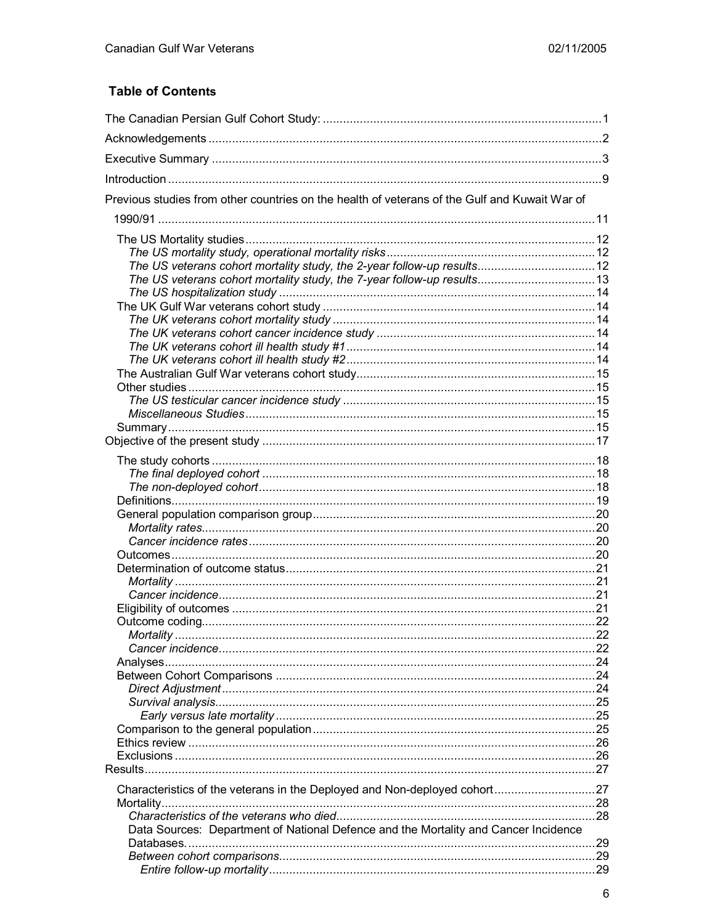# **Table of Contents**

| Previous studies from other countries on the health of veterans of the Gulf and Kuwait War of |  |
|-----------------------------------------------------------------------------------------------|--|
|                                                                                               |  |
|                                                                                               |  |
|                                                                                               |  |
|                                                                                               |  |
| The US veterans cohort mortality study, the 7-year follow-up results 13                       |  |
|                                                                                               |  |
|                                                                                               |  |
|                                                                                               |  |
|                                                                                               |  |
|                                                                                               |  |
|                                                                                               |  |
|                                                                                               |  |
|                                                                                               |  |
|                                                                                               |  |
|                                                                                               |  |
|                                                                                               |  |
|                                                                                               |  |
|                                                                                               |  |
|                                                                                               |  |
|                                                                                               |  |
|                                                                                               |  |
|                                                                                               |  |
|                                                                                               |  |
|                                                                                               |  |
|                                                                                               |  |
|                                                                                               |  |
|                                                                                               |  |
|                                                                                               |  |
|                                                                                               |  |
|                                                                                               |  |
|                                                                                               |  |
|                                                                                               |  |
|                                                                                               |  |
|                                                                                               |  |
|                                                                                               |  |
|                                                                                               |  |
|                                                                                               |  |
|                                                                                               |  |
|                                                                                               |  |
|                                                                                               |  |
|                                                                                               |  |
| Mortality.                                                                                    |  |
|                                                                                               |  |
| Data Sources: Department of National Defence and the Mortality and Cancer Incidence           |  |
|                                                                                               |  |
|                                                                                               |  |
|                                                                                               |  |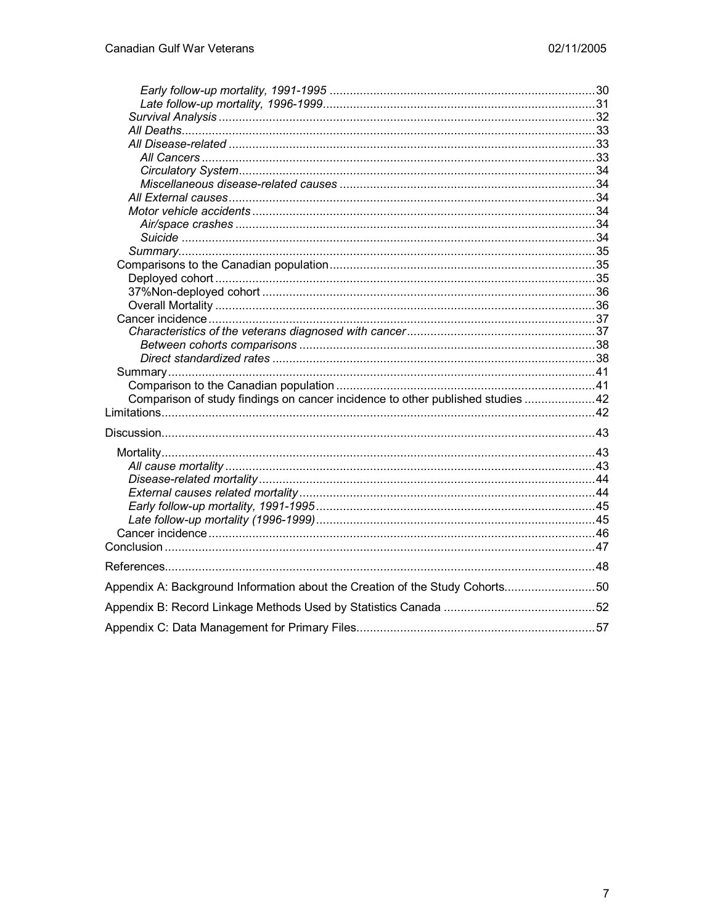| Comparison of study findings on cancer incidence to other published studies 42 |  |
|--------------------------------------------------------------------------------|--|
|                                                                                |  |
|                                                                                |  |
|                                                                                |  |
|                                                                                |  |
|                                                                                |  |
|                                                                                |  |
|                                                                                |  |
|                                                                                |  |
|                                                                                |  |
|                                                                                |  |
|                                                                                |  |
|                                                                                |  |
| Appendix A: Background Information about the Creation of the Study Cohorts50   |  |
|                                                                                |  |
|                                                                                |  |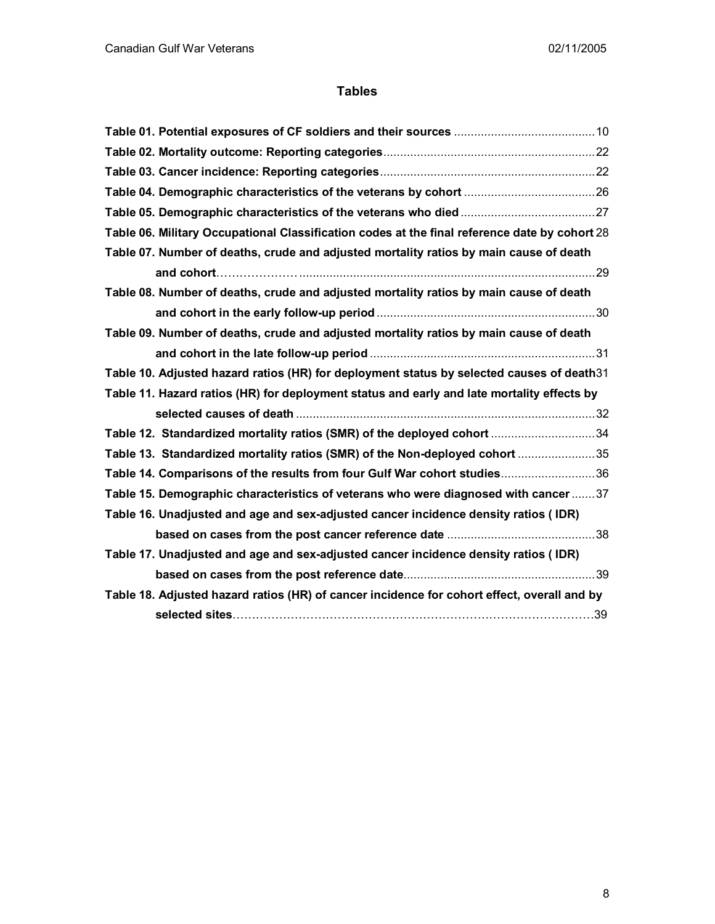# **Tables**

| Table 06. Military Occupational Classification codes at the final reference date by cohort 28 |  |
|-----------------------------------------------------------------------------------------------|--|
| Table 07. Number of deaths, crude and adjusted mortality ratios by main cause of death        |  |
|                                                                                               |  |
| Table 08. Number of deaths, crude and adjusted mortality ratios by main cause of death        |  |
|                                                                                               |  |
| Table 09. Number of deaths, crude and adjusted mortality ratios by main cause of death        |  |
|                                                                                               |  |
| Table 10. Adjusted hazard ratios (HR) for deployment status by selected causes of death31     |  |
| Table 11. Hazard ratios (HR) for deployment status and early and late mortality effects by    |  |
|                                                                                               |  |
| Table 12. Standardized mortality ratios (SMR) of the deployed cohort 34                       |  |
| Table 13. Standardized mortality ratios (SMR) of the Non-deployed cohort 35                   |  |
| Table 14. Comparisons of the results from four Gulf War cohort studies36                      |  |
| Table 15. Demographic characteristics of veterans who were diagnosed with cancer37            |  |
| Table 16. Unadjusted and age and sex-adjusted cancer incidence density ratios (IDR)           |  |
|                                                                                               |  |
| Table 17. Unadjusted and age and sex-adjusted cancer incidence density ratios (IDR)           |  |
|                                                                                               |  |
| Table 18. Adjusted hazard ratios (HR) of cancer incidence for cohort effect, overall and by   |  |
| selected sites…………………………………………………………………………………39                                               |  |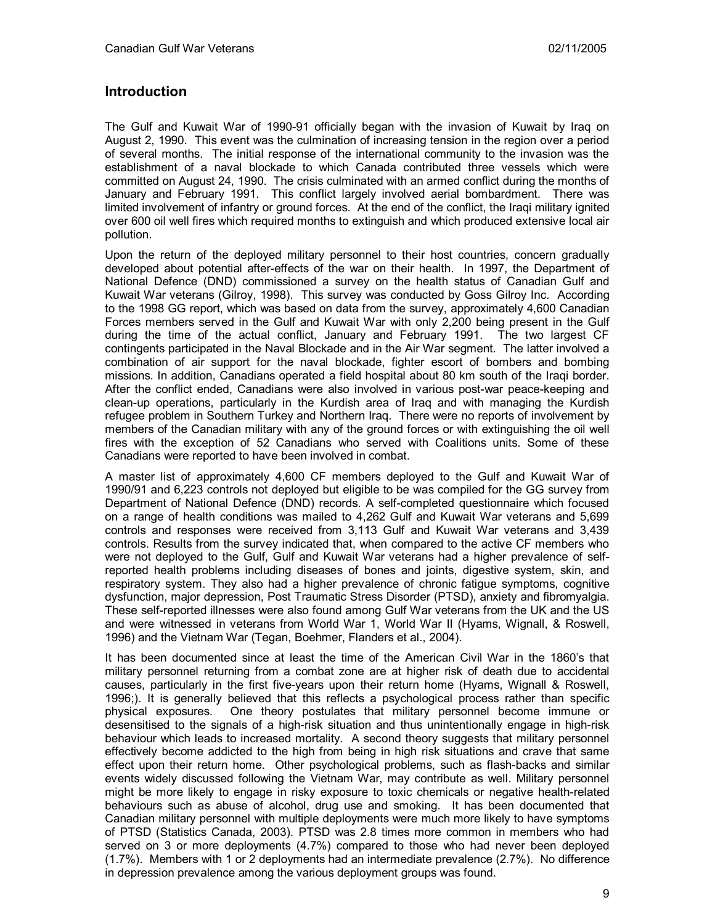# **Introduction**

The Gulf and Kuwait War of 1990-91 officially began with the invasion of Kuwait by Iraq on August 2, 1990. This event was the culmination of increasing tension in the region over a period of several months. The initial response of the international community to the invasion was the establishment of a naval blockade to which Canada contributed three vessels which were committed on August 24, 1990. The crisis culminated with an armed conflict during the months of January and February 1991. This conflict largely involved aerial bombardment. There was limited involvement of infantry or ground forces. At the end of the conflict, the Iraqi military ignited over 600 oil well fires which required months to extinguish and which produced extensive local air pollution.

Upon the return of the deployed military personnel to their host countries, concern gradually developed about potential after-effects of the war on their health. In 1997, the Department of National Defence (DND) commissioned a survey on the health status of Canadian Gulf and Kuwait War veterans (Gilroy, 1998). This survey was conducted by Goss Gilroy Inc. According to the 1998 GG report, which was based on data from the survey, approximately 4,600 Canadian Forces members served in the Gulf and Kuwait War with only 2,200 being present in the Gulf during the time of the actual conflict, January and February 1991. The two largest CF contingents participated in the Naval Blockade and in the Air War segment. The latter involved a combination of air support for the naval blockade, fighter escort of bombers and bombing missions. In addition, Canadians operated a field hospital about 80 km south of the Iraqi border. After the conflict ended, Canadians were also involved in various post-war peace-keeping and clean-up operations, particularly in the Kurdish area of Iraq and with managing the Kurdish refugee problem in Southern Turkey and Northern Iraq. There were no reports of involvement by members of the Canadian military with any of the ground forces or with extinguishing the oil well fires with the exception of 52 Canadians who served with Coalitions units. Some of these Canadians were reported to have been involved in combat.

A master list of approximately 4,600 CF members deployed to the Gulf and Kuwait War of 1990/91 and 6,223 controls not deployed but eligible to be was compiled for the GG survey from Department of National Defence (DND) records. A self-completed questionnaire which focused on a range of health conditions was mailed to 4,262 Gulf and Kuwait War veterans and 5,699 controls and responses were received from 3,113 Gulf and Kuwait War veterans and 3,439 controls. Results from the survey indicated that, when compared to the active CF members who were not deployed to the Gulf, Gulf and Kuwait War veterans had a higher prevalence of selfreported health problems including diseases of bones and joints, digestive system, skin, and respiratory system. They also had a higher prevalence of chronic fatigue symptoms, cognitive dysfunction, major depression, Post Traumatic Stress Disorder (PTSD), anxiety and fibromyalgia. These self-reported illnesses were also found among Gulf War veterans from the UK and the US and were witnessed in veterans from World War 1, World War II (Hyams, Wignall, & Roswell, 1996) and the Vietnam War (Tegan, Boehmer, Flanders et al., 2004).

It has been documented since at least the time of the American Civil War in the 1860's that military personnel returning from a combat zone are at higher risk of death due to accidental causes, particularly in the first five-years upon their return home (Hyams, Wignall & Roswell, 1996;). It is generally believed that this reflects a psychological process rather than specific physical exposures. One theory postulates that military personnel become immune or desensitised to the signals of a high-risk situation and thus unintentionally engage in high-risk behaviour which leads to increased mortality. A second theory suggests that military personnel effectively become addicted to the high from being in high risk situations and crave that same effect upon their return home. Other psychological problems, such as flash-backs and similar events widely discussed following the Vietnam War, may contribute as well. Military personnel might be more likely to engage in risky exposure to toxic chemicals or negative health-related behaviours such as abuse of alcohol, drug use and smoking. It has been documented that Canadian military personnel with multiple deployments were much more likely to have symptoms of PTSD (Statistics Canada, 2003). PTSD was 2.8 times more common in members who had served on 3 or more deployments (4.7%) compared to those who had never been deployed (1.7%). Members with 1 or 2 deployments had an intermediate prevalence (2.7%). No difference in depression prevalence among the various deployment groups was found.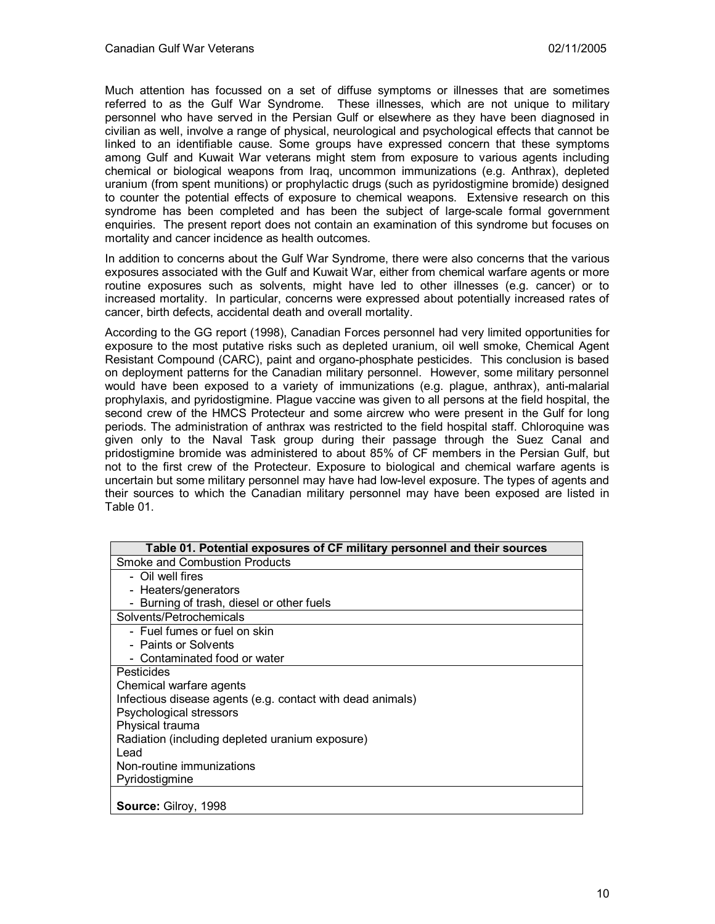Much attention has focussed on a set of diffuse symptoms or illnesses that are sometimes referred to as the Gulf War Syndrome. These illnesses, which are not unique to military personnel who have served in the Persian Gulf or elsewhere as they have been diagnosed in civilian as well, involve a range of physical, neurological and psychological effects that cannot be linked to an identifiable cause. Some groups have expressed concern that these symptoms among Gulf and Kuwait War veterans might stem from exposure to various agents including chemical or biological weapons from Iraq, uncommon immunizations (e.g. Anthrax), depleted uranium (from spent munitions) or prophylactic drugs (such as pyridostigmine bromide) designed to counter the potential effects of exposure to chemical weapons. Extensive research on this syndrome has been completed and has been the subject of large-scale formal government enquiries. The present report does not contain an examination of this syndrome but focuses on mortality and cancer incidence as health outcomes.

In addition to concerns about the Gulf War Syndrome, there were also concerns that the various exposures associated with the Gulf and Kuwait War, either from chemical warfare agents or more routine exposures such as solvents, might have led to other illnesses (e.g. cancer) or to increased mortality. In particular, concerns were expressed about potentially increased rates of cancer, birth defects, accidental death and overall mortality.

According to the GG report (1998), Canadian Forces personnel had very limited opportunities for exposure to the most putative risks such as depleted uranium, oil well smoke, Chemical Agent Resistant Compound (CARC), paint and organo-phosphate pesticides. This conclusion is based on deployment patterns for the Canadian military personnel. However, some military personnel would have been exposed to a variety of immunizations (e.g. plague, anthrax), anti-malarial prophylaxis, and pyridostigmine. Plague vaccine was given to all persons at the field hospital, the second crew of the HMCS Protecteur and some aircrew who were present in the Gulf for long periods. The administration of anthrax was restricted to the field hospital staff. Chloroquine was given only to the Naval Task group during their passage through the Suez Canal and pridostigmine bromide was administered to about 85% of CF members in the Persian Gulf, but not to the first crew of the Protecteur. Exposure to biological and chemical warfare agents is uncertain but some military personnel may have had low-level exposure. The types of agents and their sources to which the Canadian military personnel may have been exposed are listed in Table 01.

| Table 01. Potential exposures of CF military personnel and their sources |
|--------------------------------------------------------------------------|
| Smoke and Combustion Products                                            |
| - Oil well fires                                                         |
| - Heaters/generators                                                     |
| - Burning of trash, diesel or other fuels                                |
| Solvents/Petrochemicals                                                  |
| - Fuel fumes or fuel on skin                                             |
| - Paints or Solvents                                                     |
| - Contaminated food or water                                             |
| Pesticides                                                               |
| Chemical warfare agents                                                  |
| Infectious disease agents (e.g. contact with dead animals)               |
| Psychological stressors                                                  |
| Physical trauma                                                          |
| Radiation (including depleted uranium exposure)                          |
| Lead                                                                     |
| Non-routine immunizations                                                |
| Pyridostigmine                                                           |
|                                                                          |
| <b>Source: Gilroy, 1998</b>                                              |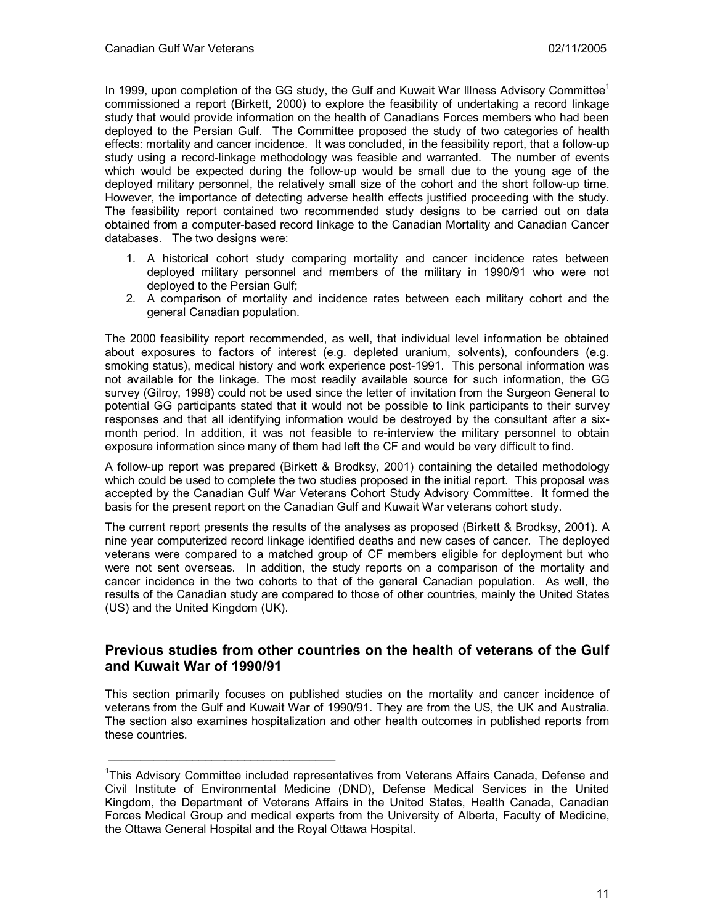In 1999, upon completion of the GG study, the Gulf and Kuwait War Illness Advisory Committee<sup>1</sup> commissioned a report (Birkett, 2000) to explore the feasibility of undertaking a record linkage study that would provide information on the health of Canadians Forces members who had been deployed to the Persian Gulf. The Committee proposed the study of two categories of health effects: mortality and cancer incidence. It was concluded, in the feasibility report, that a follow-up study using a record-linkage methodology was feasible and warranted. The number of events which would be expected during the follow-up would be small due to the young age of the deployed military personnel, the relatively small size of the cohort and the short follow-up time. However, the importance of detecting adverse health effects justified proceeding with the study. The feasibility report contained two recommended study designs to be carried out on data obtained from a computer-based record linkage to the Canadian Mortality and Canadian Cancer databases. The two designs were:

- 1. A historical cohort study comparing mortality and cancer incidence rates between deployed military personnel and members of the military in 1990/91 who were not deployed to the Persian Gulf;
- 2. A comparison of mortality and incidence rates between each military cohort and the general Canadian population.

The 2000 feasibility report recommended, as well, that individual level information be obtained about exposures to factors of interest (e.g. depleted uranium, solvents), confounders (e.g. smoking status), medical history and work experience post-1991. This personal information was not available for the linkage. The most readily available source for such information, the GG survey (Gilroy, 1998) could not be used since the letter of invitation from the Surgeon General to potential GG participants stated that it would not be possible to link participants to their survey responses and that all identifying information would be destroyed by the consultant after a sixmonth period. In addition, it was not feasible to re-interview the military personnel to obtain exposure information since many of them had left the CF and would be very difficult to find.

A follow-up report was prepared (Birkett & Brodksy, 2001) containing the detailed methodology which could be used to complete the two studies proposed in the initial report. This proposal was accepted by the Canadian Gulf War Veterans Cohort Study Advisory Committee. It formed the basis for the present report on the Canadian Gulf and Kuwait War veterans cohort study.

The current report presents the results of the analyses as proposed (Birkett & Brodksy, 2001). A nine year computerized record linkage identified deaths and new cases of cancer. The deployed veterans were compared to a matched group of CF members eligible for deployment but who were not sent overseas. In addition, the study reports on a comparison of the mortality and cancer incidence in the two cohorts to that of the general Canadian population. As well, the results of the Canadian study are compared to those of other countries, mainly the United States (US) and the United Kingdom (UK).

# **Previous studies from other countries on the health of veterans of the Gulf and Kuwait War of 1990/91**

This section primarily focuses on published studies on the mortality and cancer incidence of veterans from the Gulf and Kuwait War of 1990/91. They are from the US, the UK and Australia. The section also examines hospitalization and other health outcomes in published reports from these countries.

\_\_\_\_\_\_\_\_\_\_\_\_\_\_\_\_\_\_\_\_\_\_\_\_\_\_\_\_\_\_\_\_\_\_\_

<sup>&</sup>lt;sup>1</sup>This Advisory Committee included representatives from Veterans Affairs Canada, Defense and Civil Institute of Environmental Medicine (DND), Defense Medical Services in the United Kingdom, the Department of Veterans Affairs in the United States, Health Canada, Canadian Forces Medical Group and medical experts from the University of Alberta, Faculty of Medicine, the Ottawa General Hospital and the Royal Ottawa Hospital.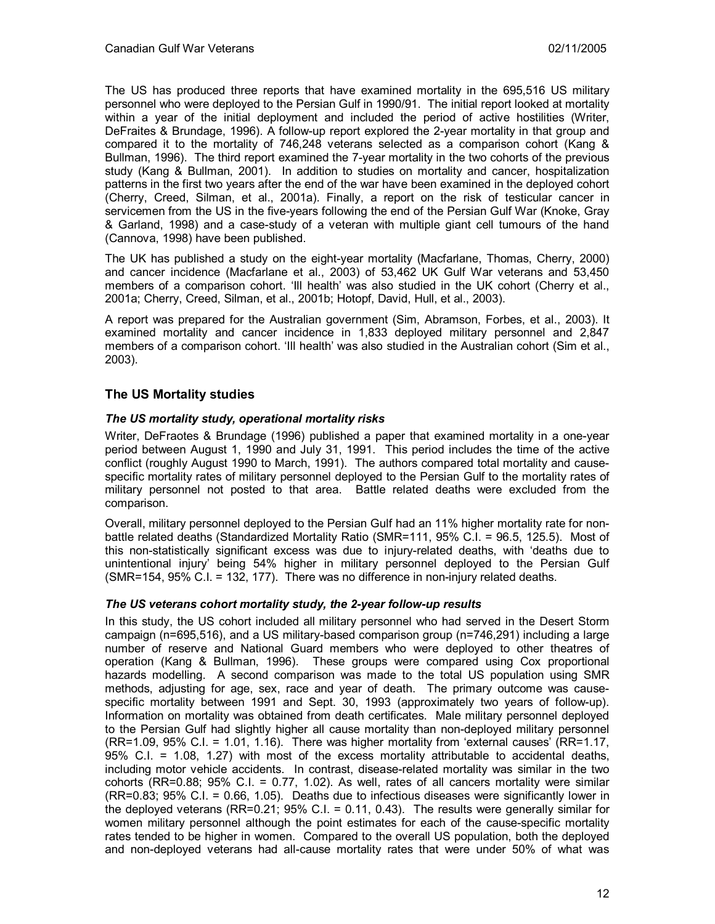The US has produced three reports that have examined mortality in the 695,516 US military personnel who were deployed to the Persian Gulf in 1990/91. The initial report looked at mortality within a year of the initial deployment and included the period of active hostilities (Writer, DeFraites & Brundage, 1996). A follow-up report explored the 2-year mortality in that group and compared it to the mortality of 746,248 veterans selected as a comparison cohort (Kang & Bullman, 1996). The third report examined the 7-year mortality in the two cohorts of the previous study (Kang & Bullman, 2001). In addition to studies on mortality and cancer, hospitalization patterns in the first two years after the end of the war have been examined in the deployed cohort (Cherry, Creed, Silman, et al., 2001a). Finally, a report on the risk of testicular cancer in servicemen from the US in the five-years following the end of the Persian Gulf War (Knoke, Gray & Garland, 1998) and a case-study of a veteran with multiple giant cell tumours of the hand (Cannova, 1998) have been published.

The UK has published a study on the eight-year mortality (Macfarlane, Thomas, Cherry, 2000) and cancer incidence (Macfarlane et al., 2003) of 53,462 UK Gulf War veterans and 53,450 members of a comparison cohort. 'Ill health' was also studied in the UK cohort (Cherry et al., 2001a; Cherry, Creed, Silman, et al., 2001b; Hotopf, David, Hull, et al., 2003).

A report was prepared for the Australian government (Sim, Abramson, Forbes, et al., 2003). It examined mortality and cancer incidence in 1,833 deployed military personnel and 2,847 members of a comparison cohort. 'Ill health' was also studied in the Australian cohort (Sim et al., 2003).

## **The US Mortality studies**

## *The US mortality study, operational mortality risks*

Writer, DeFraotes & Brundage (1996) published a paper that examined mortality in a one-year period between August 1, 1990 and July 31, 1991. This period includes the time of the active conflict (roughly August 1990 to March, 1991). The authors compared total mortality and causespecific mortality rates of military personnel deployed to the Persian Gulf to the mortality rates of military personnel not posted to that area. Battle related deaths were excluded from the comparison.

Overall, military personnel deployed to the Persian Gulf had an 11% higher mortality rate for nonbattle related deaths (Standardized Mortality Ratio (SMR=111, 95% C.I. = 96.5, 125.5). Most of this non-statistically significant excess was due to injury-related deaths, with 'deaths due to unintentional injury' being 54% higher in military personnel deployed to the Persian Gulf (SMR=154, 95% C.I. = 132, 177). There was no difference in non-injury related deaths.

## *The US veterans cohort mortality study, the 2-year follow-up results*

In this study, the US cohort included all military personnel who had served in the Desert Storm campaign (n=695,516), and a US military-based comparison group (n=746,291) including a large number of reserve and National Guard members who were deployed to other theatres of operation (Kang & Bullman, 1996). These groups were compared using Cox proportional hazards modelling. A second comparison was made to the total US population using SMR methods, adjusting for age, sex, race and year of death. The primary outcome was causespecific mortality between 1991 and Sept. 30, 1993 (approximately two years of follow-up). Information on mortality was obtained from death certificates. Male military personnel deployed to the Persian Gulf had slightly higher all cause mortality than non-deployed military personnel (RR=1.09, 95% C.I. = 1.01, 1.16). There was higher mortality from 'external causes' (RR=1.17, 95% C.I. = 1.08, 1.27) with most of the excess mortality attributable to accidental deaths, including motor vehicle accidents. In contrast, disease-related mortality was similar in the two cohorts (RR=0.88; 95% C.I. = 0.77, 1.02). As well, rates of all cancers mortality were similar (RR=0.83; 95% C.I. = 0.66, 1.05). Deaths due to infectious diseases were significantly lower in the deployed veterans (RR=0.21; 95% C.I. = 0.11, 0.43). The results were generally similar for women military personnel although the point estimates for each of the cause-specific mortality rates tended to be higher in women. Compared to the overall US population, both the deployed and non-deployed veterans had all-cause mortality rates that were under 50% of what was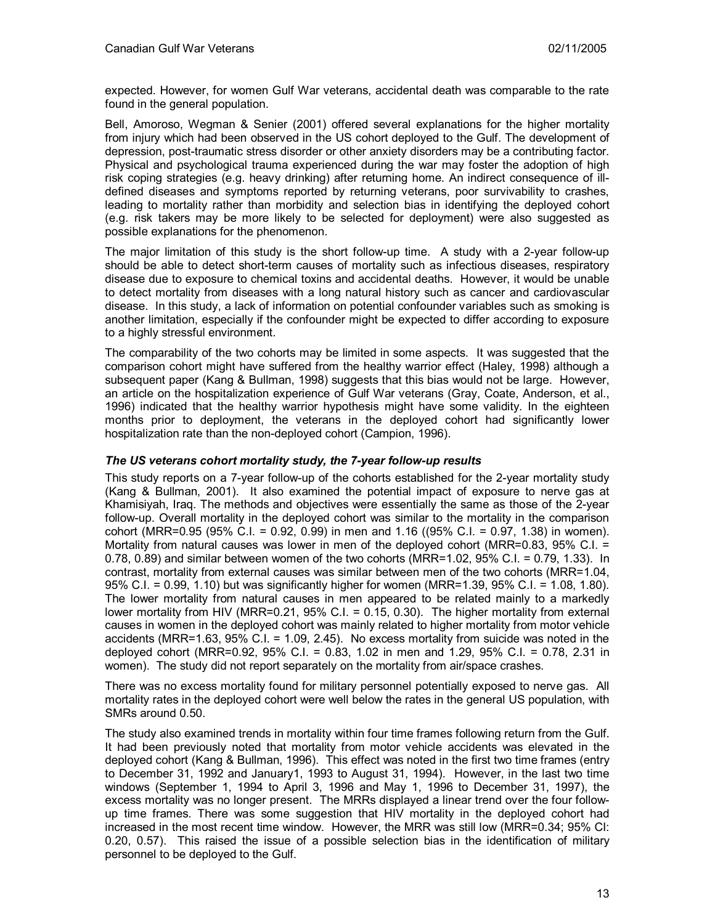expected. However, for women Gulf War veterans, accidental death was comparable to the rate found in the general population.

Bell, Amoroso, Wegman & Senier (2001) offered several explanations for the higher mortality from injury which had been observed in the US cohort deployed to the Gulf. The development of depression, post-traumatic stress disorder or other anxiety disorders may be a contributing factor. Physical and psychological trauma experienced during the war may foster the adoption of high risk coping strategies (e.g. heavy drinking) after returning home. An indirect consequence of illdefined diseases and symptoms reported by returning veterans, poor survivability to crashes, leading to mortality rather than morbidity and selection bias in identifying the deployed cohort (e.g. risk takers may be more likely to be selected for deployment) were also suggested as possible explanations for the phenomenon.

The major limitation of this study is the short follow-up time. A study with a 2-year follow-up should be able to detect short-term causes of mortality such as infectious diseases, respiratory disease due to exposure to chemical toxins and accidental deaths. However, it would be unable to detect mortality from diseases with a long natural history such as cancer and cardiovascular disease. In this study, a lack of information on potential confounder variables such as smoking is another limitation, especially if the confounder might be expected to differ according to exposure to a highly stressful environment.

The comparability of the two cohorts may be limited in some aspects. It was suggested that the comparison cohort might have suffered from the healthy warrior effect (Haley, 1998) although a subsequent paper (Kang & Bullman, 1998) suggests that this bias would not be large. However, an article on the hospitalization experience of Gulf War veterans (Gray, Coate, Anderson, et al., 1996) indicated that the healthy warrior hypothesis might have some validity. In the eighteen months prior to deployment, the veterans in the deployed cohort had significantly lower hospitalization rate than the non-deployed cohort (Campion, 1996).

## *The US veterans cohort mortality study, the 7-year follow-up results*

This study reports on a 7-year follow-up of the cohorts established for the 2-year mortality study (Kang & Bullman, 2001). It also examined the potential impact of exposure to nerve gas at Khamisiyah, Iraq. The methods and objectives were essentially the same as those of the 2-year follow-up. Overall mortality in the deployed cohort was similar to the mortality in the comparison cohort (MRR=0.95 (95% C.I. = 0.92, 0.99) in men and 1.16 ((95% C.I. = 0.97, 1.38) in women). Mortality from natural causes was lower in men of the deployed cohort (MRR=0.83, 95% C.I. = 0.78, 0.89) and similar between women of the two cohorts (MRR=1.02, 95% C.I. = 0.79, 1.33). In contrast, mortality from external causes was similar between men of the two cohorts (MRR=1.04, 95% C.I. = 0.99, 1.10) but was significantly higher for women (MRR=1.39, 95% C.I. = 1.08, 1.80). The lower mortality from natural causes in men appeared to be related mainly to a markedly lower mortality from HIV (MRR=0.21, 95% C.I. = 0.15, 0.30). The higher mortality from external causes in women in the deployed cohort was mainly related to higher mortality from motor vehicle accidents (MRR=1.63, 95% C.I. = 1.09, 2.45). No excess mortality from suicide was noted in the deployed cohort (MRR=0.92, 95% C.I. = 0.83, 1.02 in men and 1.29, 95% C.I. = 0.78, 2.31 in women). The study did not report separately on the mortality from air/space crashes.

There was no excess mortality found for military personnel potentially exposed to nerve gas. All mortality rates in the deployed cohort were well below the rates in the general US population, with SMRs around 0.50.

The study also examined trends in mortality within four time frames following return from the Gulf. It had been previously noted that mortality from motor vehicle accidents was elevated in the deployed cohort (Kang & Bullman, 1996). This effect was noted in the first two time frames (entry to December 31, 1992 and January1, 1993 to August 31, 1994). However, in the last two time windows (September 1, 1994 to April 3, 1996 and May 1, 1996 to December 31, 1997), the excess mortality was no longer present. The MRRs displayed a linear trend over the four followup time frames. There was some suggestion that HIV mortality in the deployed cohort had increased in the most recent time window. However, the MRR was still low (MRR=0.34; 95% CI: 0.20, 0.57). This raised the issue of a possible selection bias in the identification of military personnel to be deployed to the Gulf.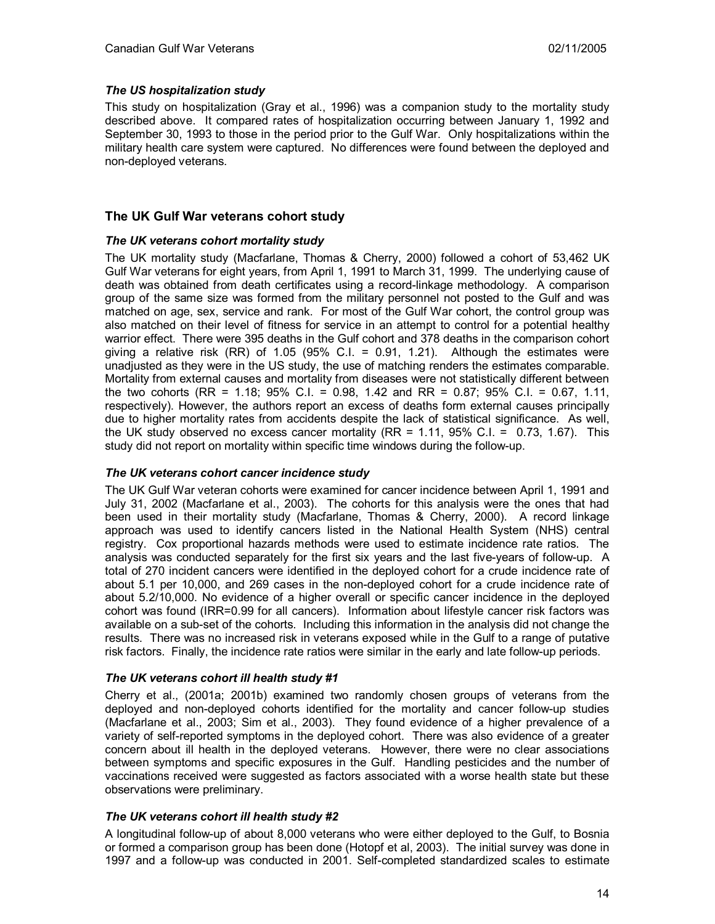## *The US hospitalization study*

This study on hospitalization (Gray et al., 1996) was a companion study to the mortality study described above. It compared rates of hospitalization occurring between January 1, 1992 and September 30, 1993 to those in the period prior to the Gulf War. Only hospitalizations within the military health care system were captured. No differences were found between the deployed and non-deployed veterans.

## **The UK Gulf War veterans cohort study**

## *The UK veterans cohort mortality study*

The UK mortality study (Macfarlane, Thomas & Cherry, 2000) followed a cohort of 53,462 UK Gulf War veterans for eight years, from April 1, 1991 to March 31, 1999. The underlying cause of death was obtained from death certificates using a record-linkage methodology. A comparison group of the same size was formed from the military personnel not posted to the Gulf and was matched on age, sex, service and rank. For most of the Gulf War cohort, the control group was also matched on their level of fitness for service in an attempt to control for a potential healthy warrior effect. There were 395 deaths in the Gulf cohort and 378 deaths in the comparison cohort giving a relative risk  $(RR)$  of 1.05 (95% C.I. = 0.91, 1.21). Although the estimates were unadjusted as they were in the US study, the use of matching renders the estimates comparable. Mortality from external causes and mortality from diseases were not statistically different between the two cohorts (RR = 1.18; 95% C.I. = 0.98, 1.42 and RR = 0.87; 95% C.I. = 0.67, 1.11, respectively). However, the authors report an excess of deaths form external causes principally due to higher mortality rates from accidents despite the lack of statistical significance. As well, the UK study observed no excess cancer mortality (RR = 1.11, 95% C.I. = 0.73, 1.67). This study did not report on mortality within specific time windows during the follow-up.

## *The UK veterans cohort cancer incidence study*

The UK Gulf War veteran cohorts were examined for cancer incidence between April 1, 1991 and July 31, 2002 (Macfarlane et al., 2003). The cohorts for this analysis were the ones that had been used in their mortality study (Macfarlane, Thomas & Cherry, 2000). A record linkage approach was used to identify cancers listed in the National Health System (NHS) central registry. Cox proportional hazards methods were used to estimate incidence rate ratios. The analysis was conducted separately for the first six years and the last five-years of follow-up. A total of 270 incident cancers were identified in the deployed cohort for a crude incidence rate of about 5.1 per 10,000, and 269 cases in the non-deployed cohort for a crude incidence rate of about 5.2/10,000. No evidence of a higher overall or specific cancer incidence in the deployed cohort was found (IRR=0.99 for all cancers). Information about lifestyle cancer risk factors was available on a sub-set of the cohorts. Including this information in the analysis did not change the results. There was no increased risk in veterans exposed while in the Gulf to a range of putative risk factors. Finally, the incidence rate ratios were similar in the early and late follow-up periods.

#### *The UK veterans cohort ill health study #1*

Cherry et al., (2001a; 2001b) examined two randomly chosen groups of veterans from the deployed and non-deployed cohorts identified for the mortality and cancer follow-up studies (Macfarlane et al., 2003; Sim et al., 2003). They found evidence of a higher prevalence of a variety of self-reported symptoms in the deployed cohort. There was also evidence of a greater concern about ill health in the deployed veterans. However, there were no clear associations between symptoms and specific exposures in the Gulf. Handling pesticides and the number of vaccinations received were suggested as factors associated with a worse health state but these observations were preliminary.

## *The UK veterans cohort ill health study #2*

A longitudinal follow-up of about 8,000 veterans who were either deployed to the Gulf, to Bosnia or formed a comparison group has been done (Hotopf et al, 2003). The initial survey was done in 1997 and a follow-up was conducted in 2001. Self-completed standardized scales to estimate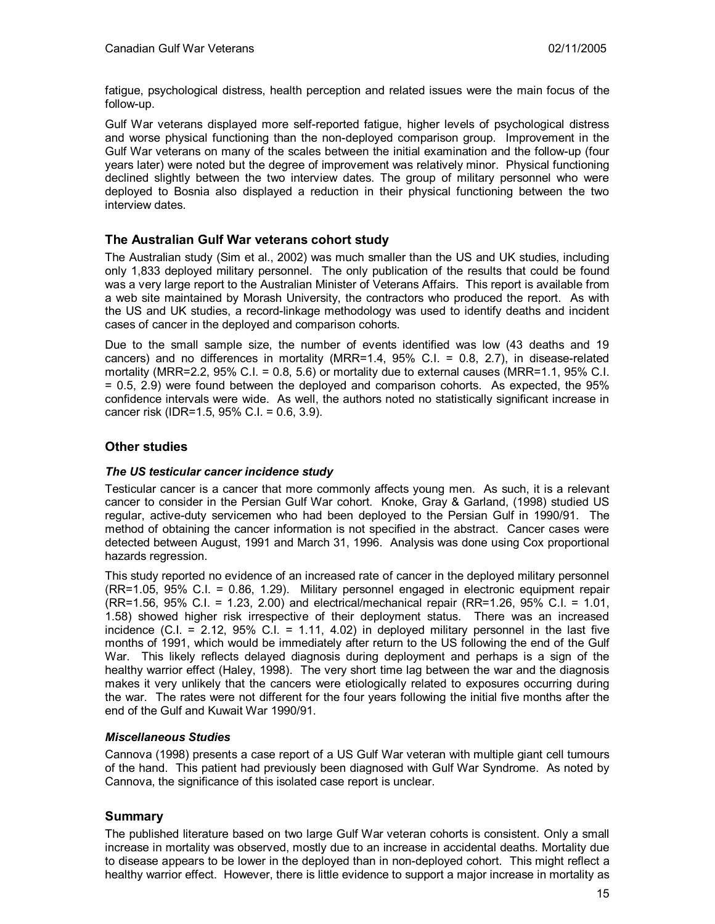fatigue, psychological distress, health perception and related issues were the main focus of the follow-up.

Gulf War veterans displayed more self-reported fatigue, higher levels of psychological distress and worse physical functioning than the non-deployed comparison group. Improvement in the Gulf War veterans on many of the scales between the initial examination and the follow-up (four years later) were noted but the degree of improvement was relatively minor. Physical functioning declined slightly between the two interview dates. The group of military personnel who were deployed to Bosnia also displayed a reduction in their physical functioning between the two interview dates.

# **The Australian Gulf War veterans cohort study**

The Australian study (Sim et al., 2002) was much smaller than the US and UK studies, including only 1,833 deployed military personnel. The only publication of the results that could be found was a very large report to the Australian Minister of Veterans Affairs. This report is available from a web site maintained by Morash University, the contractors who produced the report. As with the US and UK studies, a record-linkage methodology was used to identify deaths and incident cases of cancer in the deployed and comparison cohorts.

Due to the small sample size, the number of events identified was low (43 deaths and 19 cancers) and no differences in mortality (MRR=1.4, 95% C.I. = 0.8, 2.7), in disease-related mortality (MRR=2.2, 95% C.I. = 0.8, 5.6) or mortality due to external causes (MRR=1.1, 95% C.I. = 0.5, 2.9) were found between the deployed and comparison cohorts. As expected, the 95% confidence intervals were wide. As well, the authors noted no statistically significant increase in cancer risk (IDR=1.5, 95% C.I. = 0.6, 3.9).

# **Other studies**

## *The US testicular cancer incidence study*

Testicular cancer is a cancer that more commonly affects young men. As such, it is a relevant cancer to consider in the Persian Gulf War cohort. Knoke, Gray & Garland, (1998) studied US regular, active-duty servicemen who had been deployed to the Persian Gulf in 1990/91. The method of obtaining the cancer information is not specified in the abstract. Cancer cases were detected between August, 1991 and March 31, 1996. Analysis was done using Cox proportional hazards regression.

This study reported no evidence of an increased rate of cancer in the deployed military personnel (RR=1.05, 95% C.I. = 0.86, 1.29). Military personnel engaged in electronic equipment repair (RR=1.56, 95% C.I. = 1.23, 2.00) and electrical/mechanical repair (RR=1.26, 95% C.I. = 1.01, 1.58) showed higher risk irrespective of their deployment status. There was an increased incidence (C.I. =  $2.12$ ,  $95\%$  C.I. =  $1.11$ ,  $4.02$ ) in deployed military personnel in the last five months of 1991, which would be immediately after return to the US following the end of the Gulf War. This likely reflects delayed diagnosis during deployment and perhaps is a sign of the healthy warrior effect (Haley, 1998). The very short time lag between the war and the diagnosis makes it very unlikely that the cancers were etiologically related to exposures occurring during the war. The rates were not different for the four years following the initial five months after the end of the Gulf and Kuwait War 1990/91.

## *Miscellaneous Studies*

Cannova (1998) presents a case report of a US Gulf War veteran with multiple giant cell tumours of the hand. This patient had previously been diagnosed with Gulf War Syndrome. As noted by Cannova, the significance of this isolated case report is unclear.

## **Summary**

The published literature based on two large Gulf War veteran cohorts is consistent. Only a small increase in mortality was observed, mostly due to an increase in accidental deaths. Mortality due to disease appears to be lower in the deployed than in non-deployed cohort. This might reflect a healthy warrior effect. However, there is little evidence to support a major increase in mortality as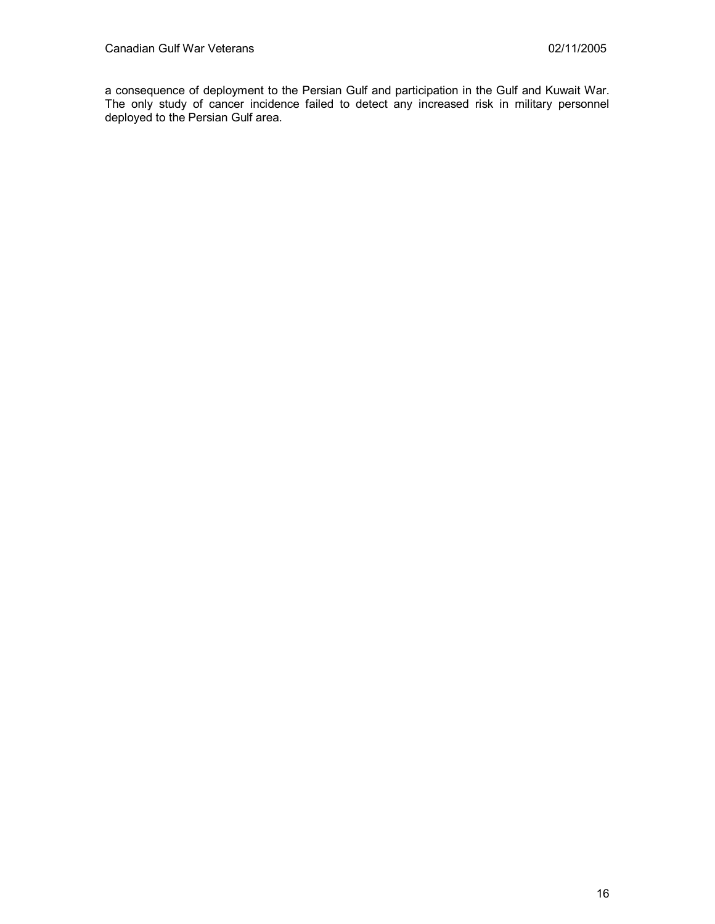a consequence of deployment to the Persian Gulf and participation in the Gulf and Kuwait War. The only study of cancer incidence failed to detect any increased risk in military personnel deployed to the Persian Gulf area.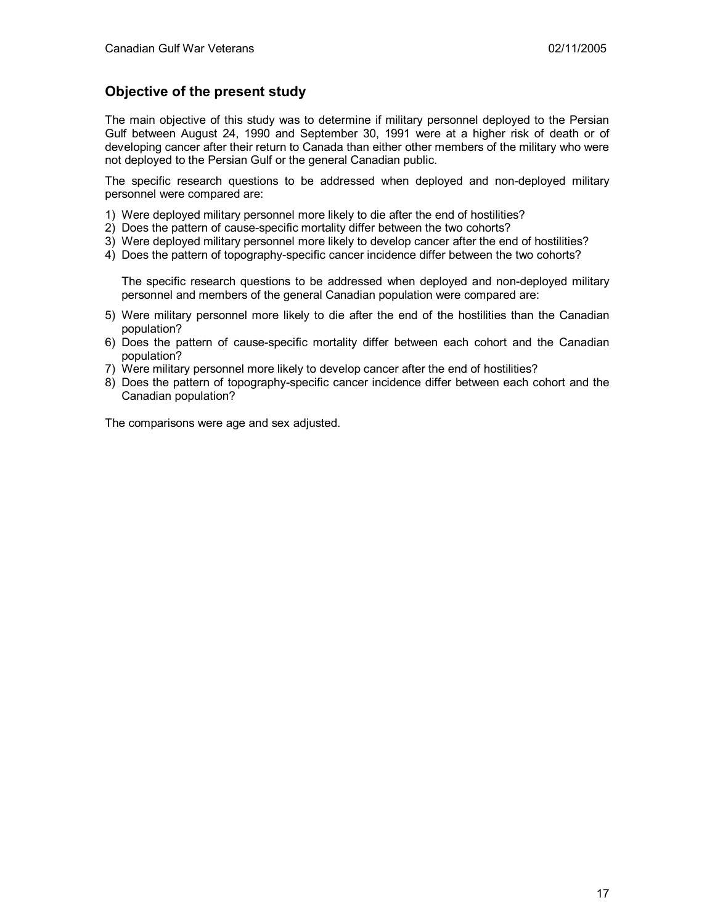# **Objective of the present study**

The main objective of this study was to determine if military personnel deployed to the Persian Gulf between August 24, 1990 and September 30, 1991 were at a higher risk of death or of developing cancer after their return to Canada than either other members of the military who were not deployed to the Persian Gulf or the general Canadian public.

The specific research questions to be addressed when deployed and non-deployed military personnel were compared are:

- 1) Were deployed military personnel more likely to die after the end of hostilities?
- 2) Does the pattern of cause-specific mortality differ between the two cohorts?
- 3) Were deployed military personnel more likely to develop cancer after the end of hostilities?
- 4) Does the pattern of topography-specific cancer incidence differ between the two cohorts?

The specific research questions to be addressed when deployed and non-deployed military personnel and members of the general Canadian population were compared are:

- 5) Were military personnel more likely to die after the end of the hostilities than the Canadian population?
- 6) Does the pattern of cause-specific mortality differ between each cohort and the Canadian population?
- 7) Were military personnel more likely to develop cancer after the end of hostilities?
- 8) Does the pattern of topography-specific cancer incidence differ between each cohort and the Canadian population?

The comparisons were age and sex adjusted.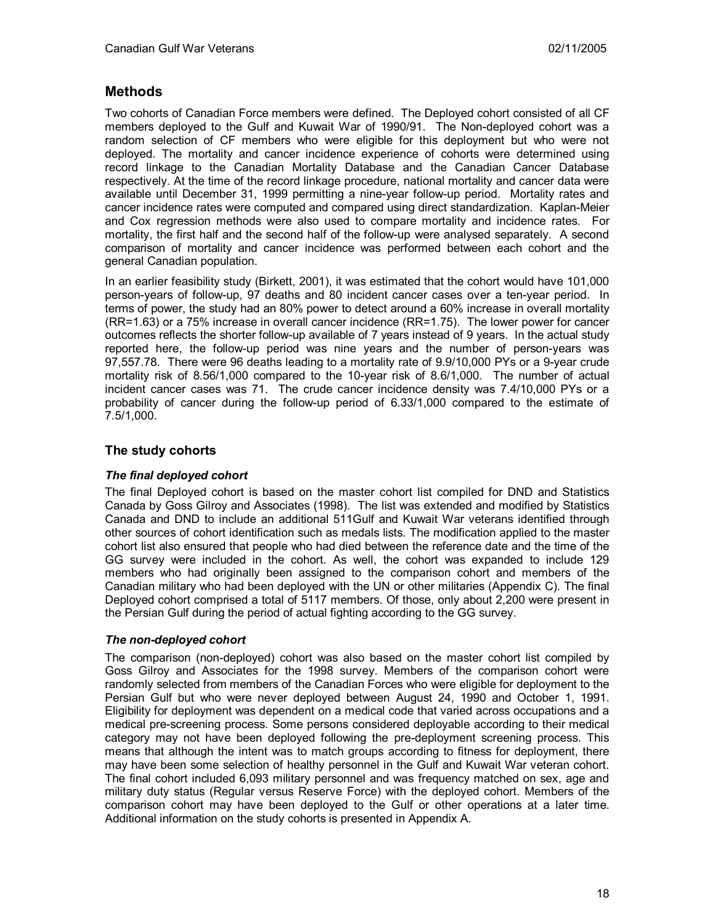# **Methods**

Two cohorts of Canadian Force members were defined. The Deployed cohort consisted of all CF members deployed to the Gulf and Kuwait War of 1990/91. The Non-deployed cohort was a random selection of CF members who were eligible for this deployment but who were not deployed. The mortality and cancer incidence experience of cohorts were determined using record linkage to the Canadian Mortality Database and the Canadian Cancer Database respectively. At the time of the record linkage procedure, national mortality and cancer data were available until December 31, 1999 permitting a nine-year follow-up period. Mortality rates and cancer incidence rates were computed and compared using direct standardization. Kaplan-Meier and Cox regression methods were also used to compare mortality and incidence rates. For mortality, the first half and the second half of the follow-up were analysed separately. A second comparison of mortality and cancer incidence was performed between each cohort and the general Canadian population.

In an earlier feasibility study (Birkett, 2001), it was estimated that the cohort would have 101,000 person-years of follow-up, 97 deaths and 80 incident cancer cases over a ten-year period. In terms of power, the study had an 80% power to detect around a 60% increase in overall mortality (RR=1.63) or a 75% increase in overall cancer incidence (RR=1.75). The lower power for cancer outcomes reflects the shorter follow-up available of 7 years instead of 9 years. In the actual study reported here, the follow-up period was nine years and the number of person-years was 97,557.78. There were 96 deaths leading to a mortality rate of 9.9/10,000 PYs or a 9-year crude mortality risk of 8.56/1,000 compared to the 10-year risk of 8.6/1,000. The number of actual incident cancer cases was 71. The crude cancer incidence density was 7.4/10,000 PYs or a probability of cancer during the follow-up period of 6.33/1,000 compared to the estimate of 7.5/1,000.

## **The study cohorts**

## *The final deployed cohort*

The final Deployed cohort is based on the master cohort list compiled for DND and Statistics Canada by Goss Gilroy and Associates (1998). The list was extended and modified by Statistics Canada and DND to include an additional 511Gulf and Kuwait War veterans identified through other sources of cohort identification such as medals lists. The modification applied to the master cohort list also ensured that people who had died between the reference date and the time of the GG survey were included in the cohort. As well, the cohort was expanded to include 129 members who had originally been assigned to the comparison cohort and members of the Canadian military who had been deployed with the UN or other militaries (Appendix C). The final Deployed cohort comprised a total of 5117 members. Of those, only about 2,200 were present in the Persian Gulf during the period of actual fighting according to the GG survey.

#### *The non-deployed cohort*

The comparison (non-deployed) cohort was also based on the master cohort list compiled by Goss Gilroy and Associates for the 1998 survey. Members of the comparison cohort were randomly selected from members of the Canadian Forces who were eligible for deployment to the Persian Gulf but who were never deployed between August 24, 1990 and October 1, 1991. Eligibility for deployment was dependent on a medical code that varied across occupations and a medical pre-screening process. Some persons considered deployable according to their medical category may not have been deployed following the pre-deployment screening process. This means that although the intent was to match groups according to fitness for deployment, there may have been some selection of healthy personnel in the Gulf and Kuwait War veteran cohort. The final cohort included 6,093 military personnel and was frequency matched on sex, age and military duty status (Regular versus Reserve Force) with the deployed cohort. Members of the comparison cohort may have been deployed to the Gulf or other operations at a later time. Additional information on the study cohorts is presented in Appendix A.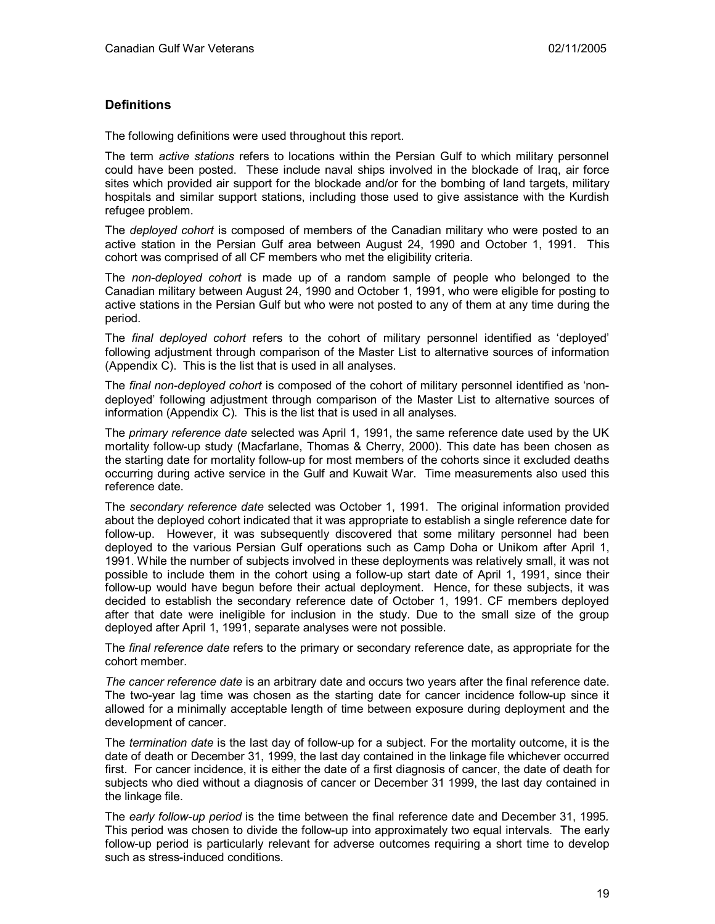## **Definitions**

The following definitions were used throughout this report.

The term *active stations* refers to locations within the Persian Gulf to which military personnel could have been posted. These include naval ships involved in the blockade of Iraq, air force sites which provided air support for the blockade and/or for the bombing of land targets, military hospitals and similar support stations, including those used to give assistance with the Kurdish refugee problem.

The *deployed cohort* is composed of members of the Canadian military who were posted to an active station in the Persian Gulf area between August 24, 1990 and October 1, 1991. This cohort was comprised of all CF members who met the eligibility criteria.

The *non-deployed cohort* is made up of a random sample of people who belonged to the Canadian military between August 24, 1990 and October 1, 1991, who were eligible for posting to active stations in the Persian Gulf but who were not posted to any of them at any time during the period.

The *final deployed cohort* refers to the cohort of military personnel identified as 'deployed' following adjustment through comparison of the Master List to alternative sources of information (Appendix C). This is the list that is used in all analyses.

The *final non-deployed cohort* is composed of the cohort of military personnel identified as 'nondeployed' following adjustment through comparison of the Master List to alternative sources of information (Appendix C). This is the list that is used in all analyses.

The *primary reference date* selected was April 1, 1991, the same reference date used by the UK mortality follow-up study (Macfarlane, Thomas & Cherry, 2000). This date has been chosen as the starting date for mortality follow-up for most members of the cohorts since it excluded deaths occurring during active service in the Gulf and Kuwait War. Time measurements also used this reference date.

The *secondary reference date* selected was October 1, 1991. The original information provided about the deployed cohort indicated that it was appropriate to establish a single reference date for follow-up. However, it was subsequently discovered that some military personnel had been deployed to the various Persian Gulf operations such as Camp Doha or Unikom after April 1, 1991. While the number of subjects involved in these deployments was relatively small, it was not possible to include them in the cohort using a follow-up start date of April 1, 1991, since their follow-up would have begun before their actual deployment. Hence, for these subjects, it was decided to establish the secondary reference date of October 1, 1991. CF members deployed after that date were ineligible for inclusion in the study. Due to the small size of the group deployed after April 1, 1991, separate analyses were not possible.

The *final reference date* refers to the primary or secondary reference date, as appropriate for the cohort member.

*The cancer reference date* is an arbitrary date and occurs two years after the final reference date. The two-year lag time was chosen as the starting date for cancer incidence follow-up since it allowed for a minimally acceptable length of time between exposure during deployment and the development of cancer.

The *termination date* is the last day of follow-up for a subject. For the mortality outcome, it is the date of death or December 31, 1999, the last day contained in the linkage file whichever occurred first. For cancer incidence, it is either the date of a first diagnosis of cancer, the date of death for subjects who died without a diagnosis of cancer or December 31 1999, the last day contained in the linkage file.

The *early follow-up period* is the time between the final reference date and December 31, 1995*.*  This period was chosen to divide the follow-up into approximately two equal intervals. The early follow-up period is particularly relevant for adverse outcomes requiring a short time to develop such as stress-induced conditions.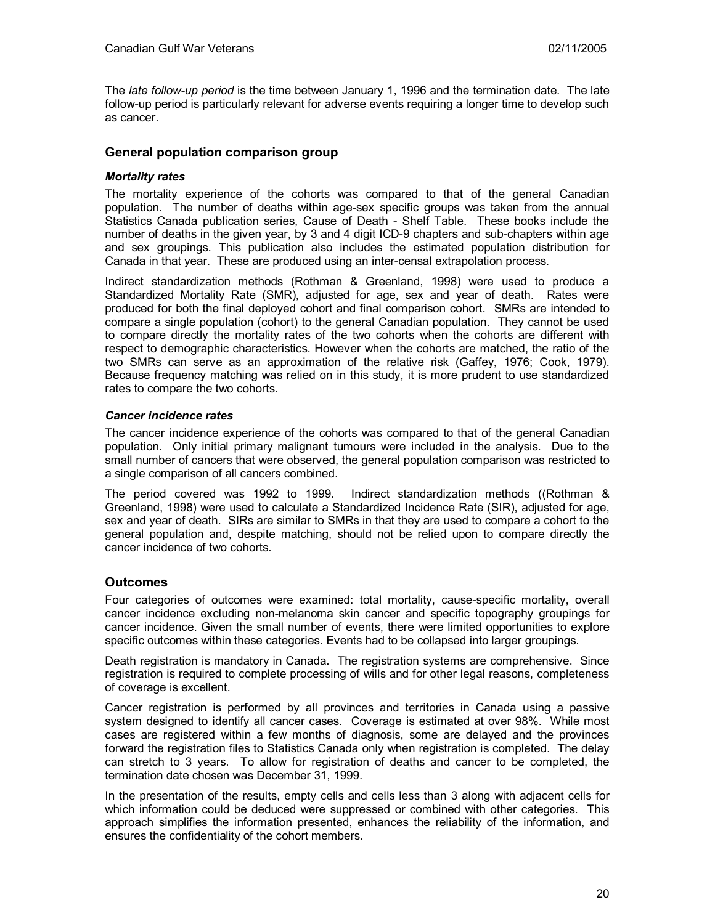The *late follow-up period* is the time between January 1, 1996 and the termination date. The late follow-up period is particularly relevant for adverse events requiring a longer time to develop such as cancer.

## **General population comparison group**

#### *Mortality rates*

The mortality experience of the cohorts was compared to that of the general Canadian population. The number of deaths within age-sex specific groups was taken from the annual Statistics Canada publication series, Cause of Death - Shelf Table. These books include the number of deaths in the given year, by 3 and 4 digit ICD-9 chapters and sub-chapters within age and sex groupings. This publication also includes the estimated population distribution for Canada in that year. These are produced using an inter-censal extrapolation process.

Indirect standardization methods (Rothman & Greenland, 1998) were used to produce a Standardized Mortality Rate (SMR), adjusted for age, sex and year of death. Rates were produced for both the final deployed cohort and final comparison cohort. SMRs are intended to compare a single population (cohort) to the general Canadian population. They cannot be used to compare directly the mortality rates of the two cohorts when the cohorts are different with respect to demographic characteristics. However when the cohorts are matched, the ratio of the two SMRs can serve as an approximation of the relative risk (Gaffey, 1976; Cook, 1979). Because frequency matching was relied on in this study, it is more prudent to use standardized rates to compare the two cohorts.

#### *Cancer incidence rates*

The cancer incidence experience of the cohorts was compared to that of the general Canadian population. Only initial primary malignant tumours were included in the analysis. Due to the small number of cancers that were observed, the general population comparison was restricted to a single comparison of all cancers combined.

The period covered was 1992 to 1999. Indirect standardization methods ((Rothman & Greenland, 1998) were used to calculate a Standardized Incidence Rate (SIR), adjusted for age, sex and year of death. SIRs are similar to SMRs in that they are used to compare a cohort to the general population and, despite matching, should not be relied upon to compare directly the cancer incidence of two cohorts.

#### **Outcomes**

Four categories of outcomes were examined: total mortality, cause-specific mortality, overall cancer incidence excluding non-melanoma skin cancer and specific topography groupings for cancer incidence. Given the small number of events, there were limited opportunities to explore specific outcomes within these categories. Events had to be collapsed into larger groupings.

Death registration is mandatory in Canada. The registration systems are comprehensive. Since registration is required to complete processing of wills and for other legal reasons, completeness of coverage is excellent.

Cancer registration is performed by all provinces and territories in Canada using a passive system designed to identify all cancer cases. Coverage is estimated at over 98%. While most cases are registered within a few months of diagnosis, some are delayed and the provinces forward the registration files to Statistics Canada only when registration is completed. The delay can stretch to 3 years. To allow for registration of deaths and cancer to be completed, the termination date chosen was December 31, 1999.

In the presentation of the results, empty cells and cells less than 3 along with adjacent cells for which information could be deduced were suppressed or combined with other categories. This approach simplifies the information presented, enhances the reliability of the information, and ensures the confidentiality of the cohort members.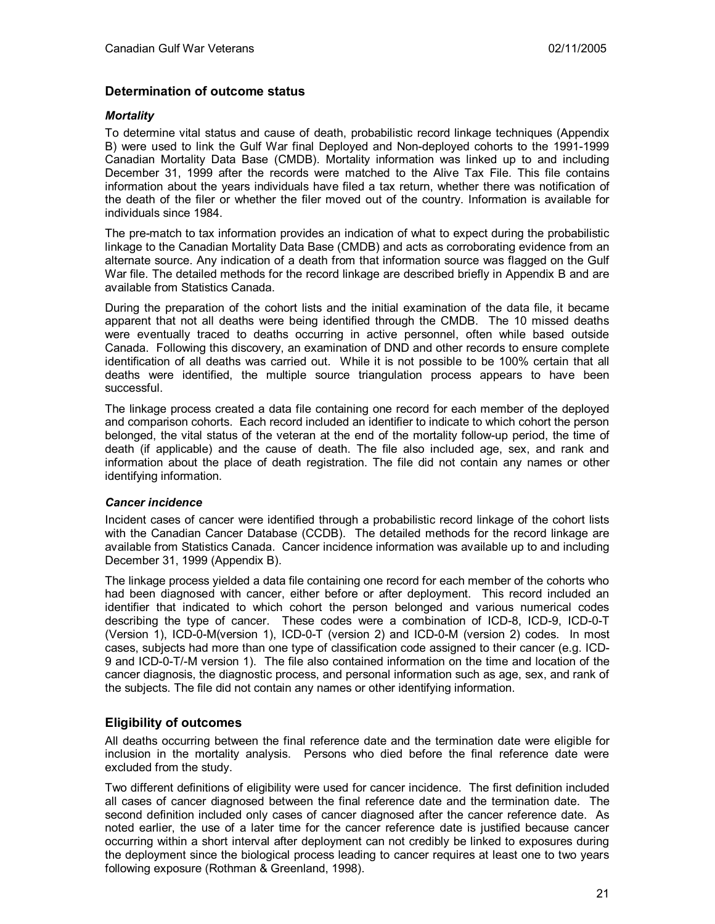## **Determination of outcome status**

### *Mortality*

To determine vital status and cause of death, probabilistic record linkage techniques (Appendix B) were used to link the Gulf War final Deployed and Non-deployed cohorts to the 1991-1999 Canadian Mortality Data Base (CMDB). Mortality information was linked up to and including December 31, 1999 after the records were matched to the Alive Tax File. This file contains information about the years individuals have filed a tax return, whether there was notification of the death of the filer or whether the filer moved out of the country. Information is available for individuals since 1984.

The pre-match to tax information provides an indication of what to expect during the probabilistic linkage to the Canadian Mortality Data Base (CMDB) and acts as corroborating evidence from an alternate source. Any indication of a death from that information source was flagged on the Gulf War file. The detailed methods for the record linkage are described briefly in Appendix B and are available from Statistics Canada.

During the preparation of the cohort lists and the initial examination of the data file, it became apparent that not all deaths were being identified through the CMDB. The 10 missed deaths were eventually traced to deaths occurring in active personnel, often while based outside Canada. Following this discovery, an examination of DND and other records to ensure complete identification of all deaths was carried out. While it is not possible to be 100% certain that all deaths were identified, the multiple source triangulation process appears to have been successful.

The linkage process created a data file containing one record for each member of the deployed and comparison cohorts. Each record included an identifier to indicate to which cohort the person belonged, the vital status of the veteran at the end of the mortality follow-up period, the time of death (if applicable) and the cause of death. The file also included age, sex, and rank and information about the place of death registration. The file did not contain any names or other identifying information.

#### *Cancer incidence*

Incident cases of cancer were identified through a probabilistic record linkage of the cohort lists with the Canadian Cancer Database (CCDB). The detailed methods for the record linkage are available from Statistics Canada. Cancer incidence information was available up to and including December 31, 1999 (Appendix B).

The linkage process yielded a data file containing one record for each member of the cohorts who had been diagnosed with cancer, either before or after deployment. This record included an identifier that indicated to which cohort the person belonged and various numerical codes describing the type of cancer. These codes were a combination of ICD-8, ICD-9, ICD-0-T (Version 1), ICD-0-M(version 1), ICD-0-T (version 2) and ICD-0-M (version 2) codes. In most cases, subjects had more than one type of classification code assigned to their cancer (e.g. ICD-9 and ICD-0-T/-M version 1). The file also contained information on the time and location of the cancer diagnosis, the diagnostic process, and personal information such as age, sex, and rank of the subjects. The file did not contain any names or other identifying information.

## **Eligibility of outcomes**

All deaths occurring between the final reference date and the termination date were eligible for inclusion in the mortality analysis. Persons who died before the final reference date were excluded from the study.

Two different definitions of eligibility were used for cancer incidence. The first definition included all cases of cancer diagnosed between the final reference date and the termination date. The second definition included only cases of cancer diagnosed after the cancer reference date. As noted earlier, the use of a later time for the cancer reference date is justified because cancer occurring within a short interval after deployment can not credibly be linked to exposures during the deployment since the biological process leading to cancer requires at least one to two years following exposure (Rothman & Greenland, 1998).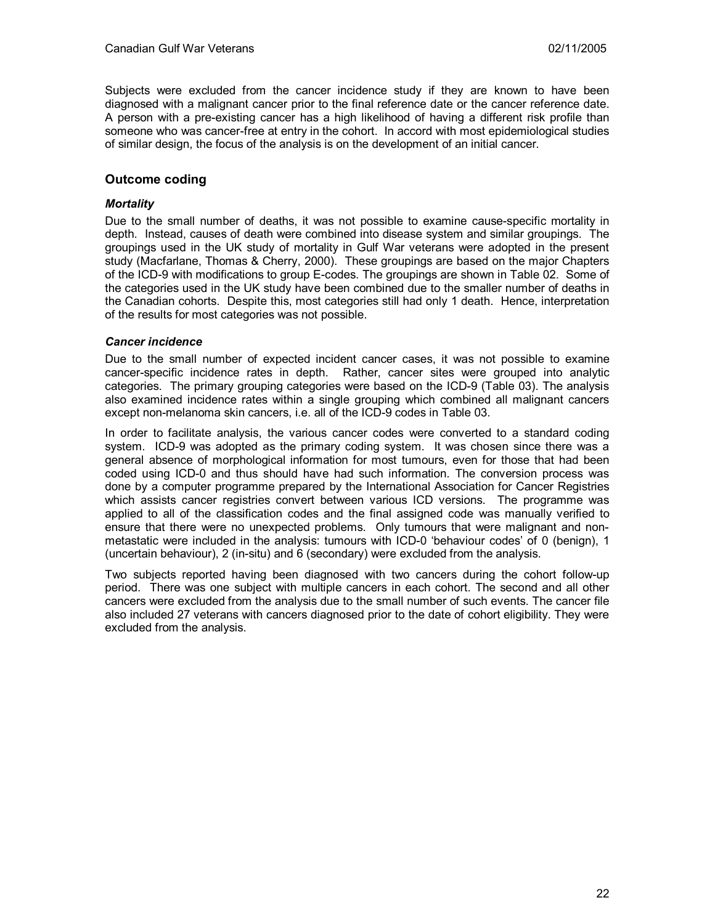Subjects were excluded from the cancer incidence study if they are known to have been diagnosed with a malignant cancer prior to the final reference date or the cancer reference date. A person with a pre-existing cancer has a high likelihood of having a different risk profile than someone who was cancer-free at entry in the cohort. In accord with most epidemiological studies of similar design, the focus of the analysis is on the development of an initial cancer.

## **Outcome coding**

### *Mortality*

Due to the small number of deaths, it was not possible to examine cause-specific mortality in depth. Instead, causes of death were combined into disease system and similar groupings. The groupings used in the UK study of mortality in Gulf War veterans were adopted in the present study (Macfarlane, Thomas & Cherry, 2000). These groupings are based on the major Chapters of the ICD-9 with modifications to group E-codes. The groupings are shown in Table 02. Some of the categories used in the UK study have been combined due to the smaller number of deaths in the Canadian cohorts. Despite this, most categories still had only 1 death. Hence, interpretation of the results for most categories was not possible.

#### *Cancer incidence*

Due to the small number of expected incident cancer cases, it was not possible to examine cancer-specific incidence rates in depth. Rather, cancer sites were grouped into analytic categories. The primary grouping categories were based on the ICD-9 (Table 03). The analysis also examined incidence rates within a single grouping which combined all malignant cancers except non-melanoma skin cancers, i.e. all of the ICD-9 codes in Table 03.

In order to facilitate analysis, the various cancer codes were converted to a standard coding system. ICD-9 was adopted as the primary coding system. It was chosen since there was a general absence of morphological information for most tumours, even for those that had been coded using ICD-0 and thus should have had such information. The conversion process was done by a computer programme prepared by the International Association for Cancer Registries which assists cancer registries convert between various ICD versions. The programme was applied to all of the classification codes and the final assigned code was manually verified to ensure that there were no unexpected problems. Only tumours that were malignant and nonmetastatic were included in the analysis: tumours with ICD-0 'behaviour codes' of 0 (benign), 1 (uncertain behaviour), 2 (in-situ) and 6 (secondary) were excluded from the analysis.

Two subjects reported having been diagnosed with two cancers during the cohort follow-up period. There was one subject with multiple cancers in each cohort. The second and all other cancers were excluded from the analysis due to the small number of such events. The cancer file also included 27 veterans with cancers diagnosed prior to the date of cohort eligibility. They were excluded from the analysis.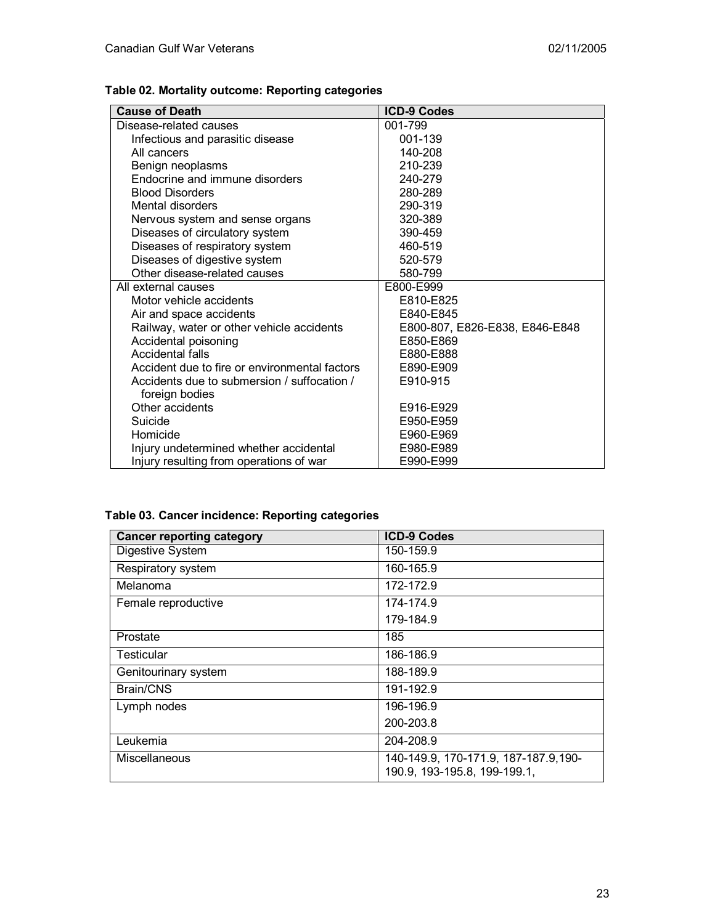|  |  |  |  | Table 02. Mortality outcome: Reporting categories |
|--|--|--|--|---------------------------------------------------|
|--|--|--|--|---------------------------------------------------|

| <b>Cause of Death</b>                                         | <b>ICD-9 Codes</b>             |
|---------------------------------------------------------------|--------------------------------|
| Disease-related causes                                        | 001-799                        |
| Infectious and parasitic disease                              | 001-139                        |
| All cancers                                                   | 140-208                        |
| Benign neoplasms                                              | 210-239                        |
| Endocrine and immune disorders                                | 240-279                        |
| <b>Blood Disorders</b>                                        | 280-289                        |
| Mental disorders                                              | 290-319                        |
| Nervous system and sense organs                               | 320-389                        |
| Diseases of circulatory system                                | 390-459                        |
| Diseases of respiratory system                                | 460-519                        |
| Diseases of digestive system                                  | 520-579                        |
| Other disease-related causes                                  | 580-799                        |
| All external causes                                           | E800-E999                      |
| Motor vehicle accidents                                       | E810-E825                      |
| Air and space accidents                                       | E840-E845                      |
| Railway, water or other vehicle accidents                     | E800-807, E826-E838, E846-E848 |
| Accidental poisoning                                          | E850-E869                      |
| Accidental falls                                              | E880-E888                      |
| Accident due to fire or environmental factors                 | E890-E909                      |
| Accidents due to submersion / suffocation /<br>foreign bodies | E910-915                       |
| Other accidents                                               | E916-E929                      |
| Suicide                                                       | E950-E959                      |
| Homicide                                                      | E960-E969                      |
| Injury undetermined whether accidental                        | E980-E989                      |
| Injury resulting from operations of war                       | E990-E999                      |

# **Table 03. Cancer incidence: Reporting categories**

| <b>Cancer reporting category</b> | <b>ICD-9 Codes</b>                                                    |
|----------------------------------|-----------------------------------------------------------------------|
| Digestive System                 | 150-159.9                                                             |
| Respiratory system               | 160-165.9                                                             |
| Melanoma                         | 172-172.9                                                             |
| Female reproductive              | 174-174.9                                                             |
|                                  | 179-184.9                                                             |
| Prostate                         | 185                                                                   |
| <b>Testicular</b>                | 186-186.9                                                             |
| Genitourinary system             | 188-189.9                                                             |
| Brain/CNS                        | 191-192.9                                                             |
| Lymph nodes                      | 196-196.9                                                             |
|                                  | 200-203.8                                                             |
| Leukemia                         | 204-208.9                                                             |
| Miscellaneous                    | 140-149.9, 170-171.9, 187-187.9, 190-<br>190.9, 193-195.8, 199-199.1, |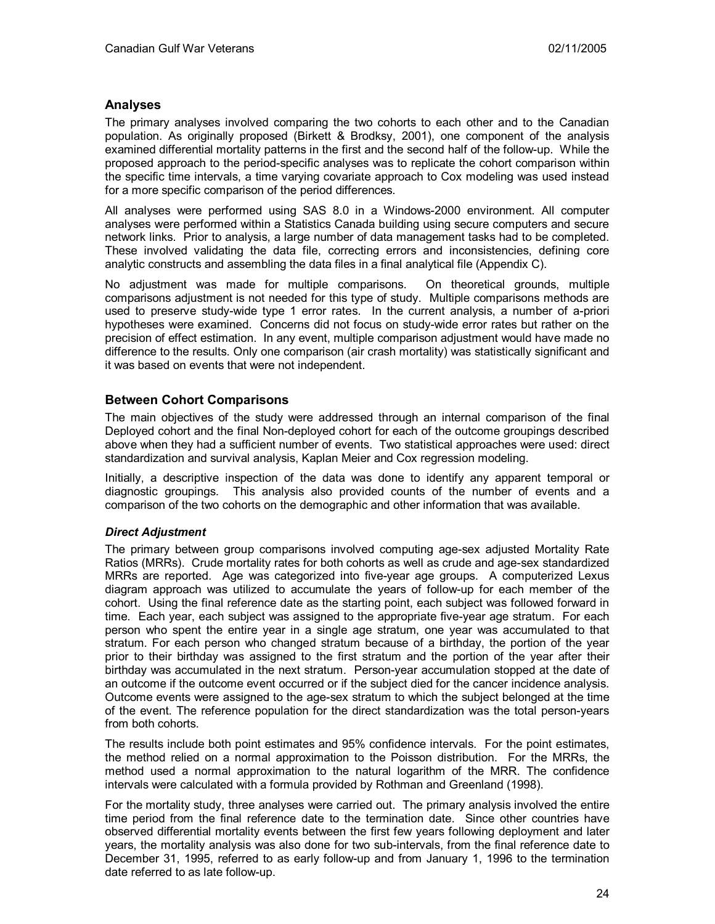## **Analyses**

The primary analyses involved comparing the two cohorts to each other and to the Canadian population. As originally proposed (Birkett & Brodksy, 2001), one component of the analysis examined differential mortality patterns in the first and the second half of the follow-up. While the proposed approach to the period-specific analyses was to replicate the cohort comparison within the specific time intervals, a time varying covariate approach to Cox modeling was used instead for a more specific comparison of the period differences.

All analyses were performed using SAS 8.0 in a Windows-2000 environment. All computer analyses were performed within a Statistics Canada building using secure computers and secure network links. Prior to analysis, a large number of data management tasks had to be completed. These involved validating the data file, correcting errors and inconsistencies, defining core analytic constructs and assembling the data files in a final analytical file (Appendix C).

No adjustment was made for multiple comparisons. On theoretical grounds, multiple comparisons adjustment is not needed for this type of study. Multiple comparisons methods are used to preserve study-wide type 1 error rates. In the current analysis, a number of a-priori hypotheses were examined. Concerns did not focus on study-wide error rates but rather on the precision of effect estimation. In any event, multiple comparison adjustment would have made no difference to the results. Only one comparison (air crash mortality) was statistically significant and it was based on events that were not independent.

## **Between Cohort Comparisons**

The main objectives of the study were addressed through an internal comparison of the final Deployed cohort and the final Non-deployed cohort for each of the outcome groupings described above when they had a sufficient number of events. Two statistical approaches were used: direct standardization and survival analysis, Kaplan Meier and Cox regression modeling.

Initially, a descriptive inspection of the data was done to identify any apparent temporal or diagnostic groupings. This analysis also provided counts of the number of events and a comparison of the two cohorts on the demographic and other information that was available.

#### *Direct Adjustment*

The primary between group comparisons involved computing age-sex adjusted Mortality Rate Ratios (MRRs). Crude mortality rates for both cohorts as well as crude and age-sex standardized MRRs are reported. Age was categorized into five-year age groups. A computerized Lexus diagram approach was utilized to accumulate the years of follow-up for each member of the cohort. Using the final reference date as the starting point, each subject was followed forward in time. Each year, each subject was assigned to the appropriate five-year age stratum. For each person who spent the entire year in a single age stratum, one year was accumulated to that stratum. For each person who changed stratum because of a birthday, the portion of the year prior to their birthday was assigned to the first stratum and the portion of the year after their birthday was accumulated in the next stratum. Person-year accumulation stopped at the date of an outcome if the outcome event occurred or if the subject died for the cancer incidence analysis. Outcome events were assigned to the age-sex stratum to which the subject belonged at the time of the event. The reference population for the direct standardization was the total person-years from both cohorts.

The results include both point estimates and 95% confidence intervals. For the point estimates, the method relied on a normal approximation to the Poisson distribution. For the MRRs, the method used a normal approximation to the natural logarithm of the MRR. The confidence intervals were calculated with a formula provided by Rothman and Greenland (1998).

For the mortality study, three analyses were carried out. The primary analysis involved the entire time period from the final reference date to the termination date. Since other countries have observed differential mortality events between the first few years following deployment and later years, the mortality analysis was also done for two sub-intervals, from the final reference date to December 31, 1995, referred to as early follow-up and from January 1, 1996 to the termination date referred to as late follow-up.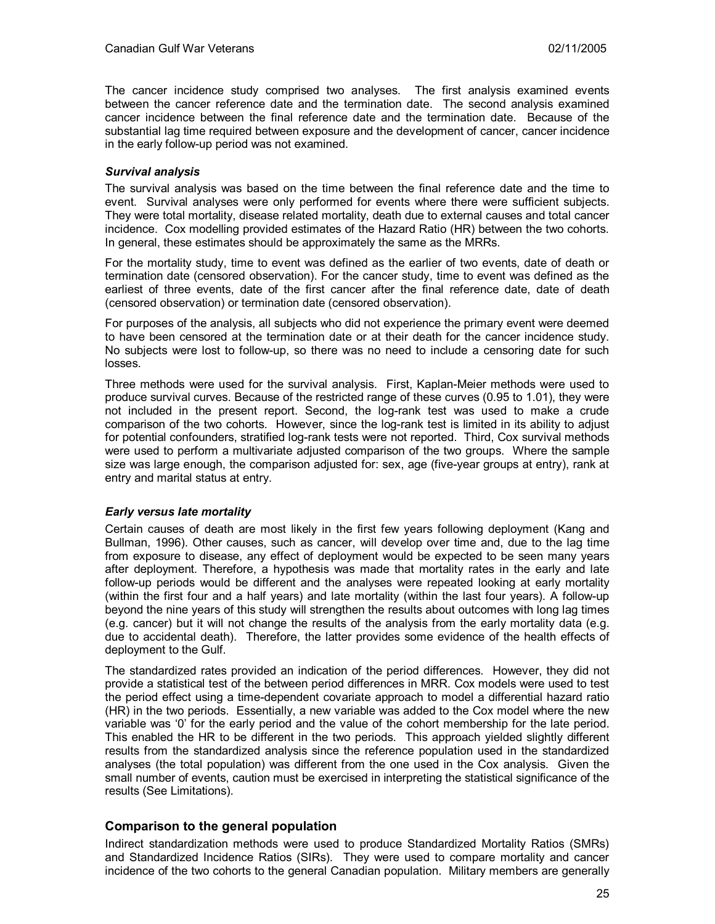The cancer incidence study comprised two analyses. The first analysis examined events between the cancer reference date and the termination date. The second analysis examined cancer incidence between the final reference date and the termination date. Because of the substantial lag time required between exposure and the development of cancer, cancer incidence in the early follow-up period was not examined.

### *Survival analysis*

The survival analysis was based on the time between the final reference date and the time to event. Survival analyses were only performed for events where there were sufficient subjects. They were total mortality, disease related mortality, death due to external causes and total cancer incidence. Cox modelling provided estimates of the Hazard Ratio (HR) between the two cohorts. In general, these estimates should be approximately the same as the MRRs.

For the mortality study, time to event was defined as the earlier of two events, date of death or termination date (censored observation). For the cancer study, time to event was defined as the earliest of three events, date of the first cancer after the final reference date, date of death (censored observation) or termination date (censored observation).

For purposes of the analysis, all subjects who did not experience the primary event were deemed to have been censored at the termination date or at their death for the cancer incidence study. No subjects were lost to follow-up, so there was no need to include a censoring date for such losses.

Three methods were used for the survival analysis. First, Kaplan-Meier methods were used to produce survival curves. Because of the restricted range of these curves (0.95 to 1.01), they were not included in the present report. Second, the log-rank test was used to make a crude comparison of the two cohorts. However, since the log-rank test is limited in its ability to adjust for potential confounders, stratified log-rank tests were not reported. Third, Cox survival methods were used to perform a multivariate adjusted comparison of the two groups. Where the sample size was large enough, the comparison adjusted for: sex, age (five-year groups at entry), rank at entry and marital status at entry.

#### *Early versus late mortality*

Certain causes of death are most likely in the first few years following deployment (Kang and Bullman, 1996). Other causes, such as cancer, will develop over time and, due to the lag time from exposure to disease, any effect of deployment would be expected to be seen many years after deployment. Therefore, a hypothesis was made that mortality rates in the early and late follow-up periods would be different and the analyses were repeated looking at early mortality (within the first four and a half years) and late mortality (within the last four years). A follow-up beyond the nine years of this study will strengthen the results about outcomes with long lag times (e.g. cancer) but it will not change the results of the analysis from the early mortality data (e.g. due to accidental death). Therefore, the latter provides some evidence of the health effects of deployment to the Gulf.

The standardized rates provided an indication of the period differences. However, they did not provide a statistical test of the between period differences in MRR. Cox models were used to test the period effect using a time-dependent covariate approach to model a differential hazard ratio (HR) in the two periods. Essentially, a new variable was added to the Cox model where the new variable was '0' for the early period and the value of the cohort membership for the late period. This enabled the HR to be different in the two periods. This approach yielded slightly different results from the standardized analysis since the reference population used in the standardized analyses (the total population) was different from the one used in the Cox analysis. Given the small number of events, caution must be exercised in interpreting the statistical significance of the results (See Limitations).

## **Comparison to the general population**

Indirect standardization methods were used to produce Standardized Mortality Ratios (SMRs) and Standardized Incidence Ratios (SIRs). They were used to compare mortality and cancer incidence of the two cohorts to the general Canadian population. Military members are generally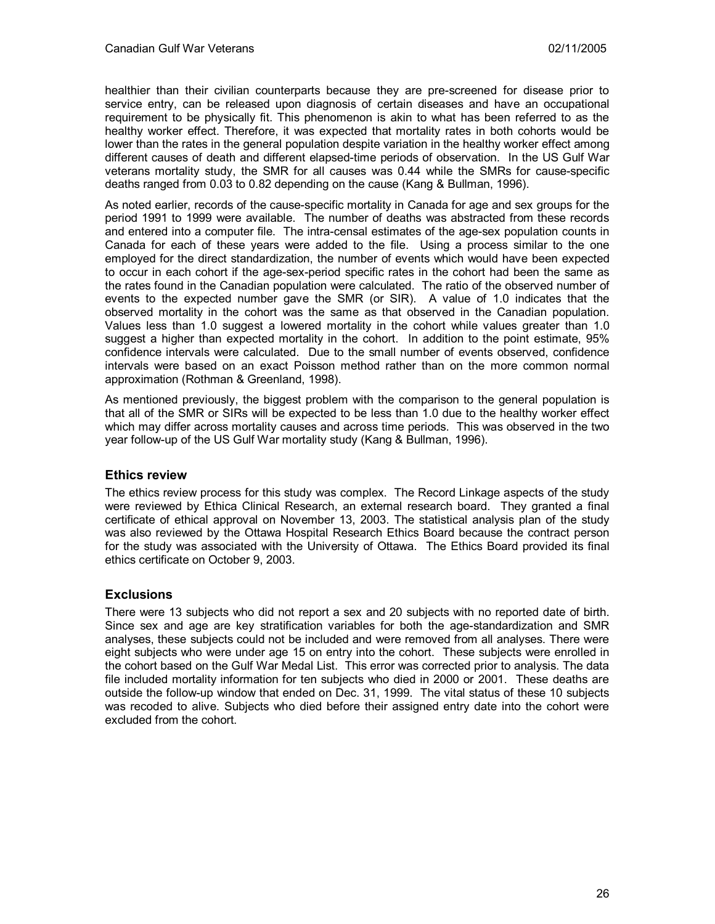healthier than their civilian counterparts because they are pre-screened for disease prior to service entry, can be released upon diagnosis of certain diseases and have an occupational requirement to be physically fit. This phenomenon is akin to what has been referred to as the healthy worker effect. Therefore, it was expected that mortality rates in both cohorts would be lower than the rates in the general population despite variation in the healthy worker effect among different causes of death and different elapsed-time periods of observation. In the US Gulf War veterans mortality study, the SMR for all causes was 0.44 while the SMRs for cause-specific deaths ranged from 0.03 to 0.82 depending on the cause (Kang & Bullman, 1996).

As noted earlier, records of the cause-specific mortality in Canada for age and sex groups for the period 1991 to 1999 were available. The number of deaths was abstracted from these records and entered into a computer file. The intra-censal estimates of the age-sex population counts in Canada for each of these years were added to the file. Using a process similar to the one employed for the direct standardization, the number of events which would have been expected to occur in each cohort if the age-sex-period specific rates in the cohort had been the same as the rates found in the Canadian population were calculated. The ratio of the observed number of events to the expected number gave the SMR (or SIR). A value of 1.0 indicates that the observed mortality in the cohort was the same as that observed in the Canadian population. Values less than 1.0 suggest a lowered mortality in the cohort while values greater than 1.0 suggest a higher than expected mortality in the cohort. In addition to the point estimate, 95% confidence intervals were calculated. Due to the small number of events observed, confidence intervals were based on an exact Poisson method rather than on the more common normal approximation (Rothman & Greenland, 1998).

As mentioned previously, the biggest problem with the comparison to the general population is that all of the SMR or SIRs will be expected to be less than 1.0 due to the healthy worker effect which may differ across mortality causes and across time periods. This was observed in the two year follow-up of the US Gulf War mortality study (Kang & Bullman, 1996).

## **Ethics review**

The ethics review process for this study was complex. The Record Linkage aspects of the study were reviewed by Ethica Clinical Research, an external research board. They granted a final certificate of ethical approval on November 13, 2003. The statistical analysis plan of the study was also reviewed by the Ottawa Hospital Research Ethics Board because the contract person for the study was associated with the University of Ottawa. The Ethics Board provided its final ethics certificate on October 9, 2003.

# **Exclusions**

There were 13 subjects who did not report a sex and 20 subjects with no reported date of birth. Since sex and age are key stratification variables for both the age-standardization and SMR analyses, these subjects could not be included and were removed from all analyses. There were eight subjects who were under age 15 on entry into the cohort. These subjects were enrolled in the cohort based on the Gulf War Medal List. This error was corrected prior to analysis. The data file included mortality information for ten subjects who died in 2000 or 2001. These deaths are outside the follow-up window that ended on Dec. 31, 1999. The vital status of these 10 subjects was recoded to alive. Subjects who died before their assigned entry date into the cohort were excluded from the cohort.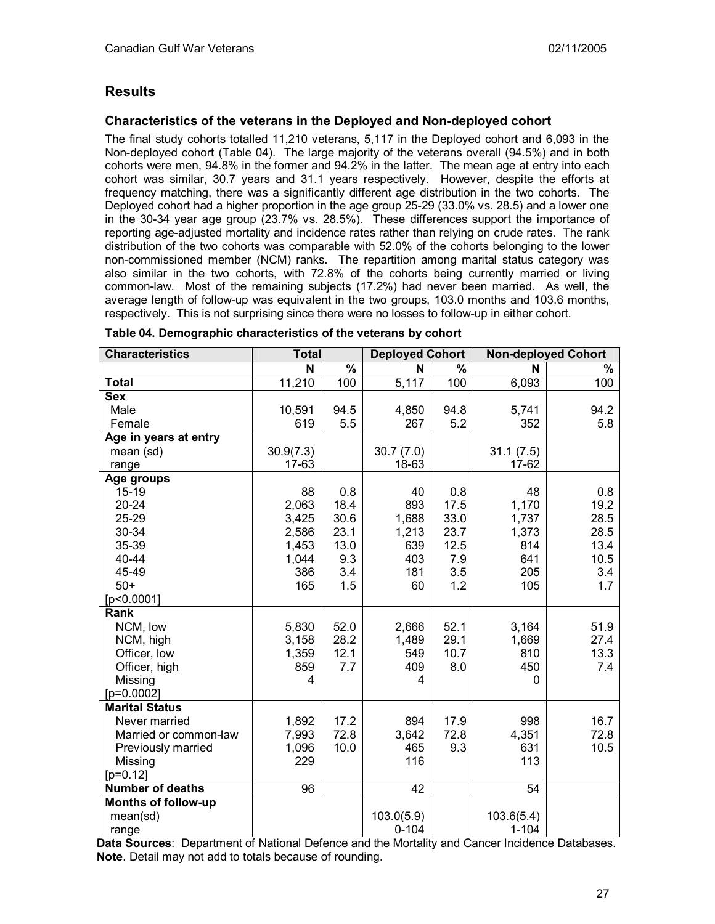# **Results**

# **Characteristics of the veterans in the Deployed and Non-deployed cohort**

The final study cohorts totalled 11,210 veterans, 5,117 in the Deployed cohort and 6,093 in the Non-deployed cohort (Table 04). The large majority of the veterans overall (94.5%) and in both cohorts were men, 94.8% in the former and 94.2% in the latter. The mean age at entry into each cohort was similar, 30.7 years and 31.1 years respectively. However, despite the efforts at frequency matching, there was a significantly different age distribution in the two cohorts. The Deployed cohort had a higher proportion in the age group 25-29 (33.0% vs. 28.5) and a lower one in the 30-34 year age group (23.7% vs. 28.5%). These differences support the importance of reporting age-adjusted mortality and incidence rates rather than relying on crude rates. The rank distribution of the two cohorts was comparable with 52.0% of the cohorts belonging to the lower non-commissioned member (NCM) ranks. The repartition among marital status category was also similar in the two cohorts, with 72.8% of the cohorts being currently married or living common-law. Most of the remaining subjects (17.2%) had never been married. As well, the average length of follow-up was equivalent in the two groups, 103.0 months and 103.6 months, respectively. This is not surprising since there were no losses to follow-up in either cohort.

| <b>Characteristics</b>     | <b>Total</b>    |               | <b>Deployed Cohort</b> |                          | <b>Non-deployed Cohort</b> |               |
|----------------------------|-----------------|---------------|------------------------|--------------------------|----------------------------|---------------|
|                            | N               | $\frac{9}{6}$ | N                      | $\overline{\frac{9}{6}}$ | N                          | $\frac{1}{6}$ |
| <b>Total</b>               | 11,210          | 100           | 5,117                  | 100                      | 6,093                      | 100           |
| <b>Sex</b>                 |                 |               |                        |                          |                            |               |
| Male                       | 10,591          | 94.5          | 4,850                  | 94.8                     | 5,741                      | 94.2          |
| Female                     | 619             | 5.5           | 267                    | 5.2                      | 352                        | 5.8           |
| Age in years at entry      |                 |               |                        |                          |                            |               |
| mean (sd)                  | 30.9(7.3)       |               | 30.7(7.0)              |                          | 31.1(7.5)                  |               |
| range                      | 17-63           |               | 18-63                  |                          | 17-62                      |               |
| Age groups                 |                 |               |                        |                          |                            |               |
| 15-19                      | 88              | 0.8           | 40                     | 0.8                      | 48                         | 0.8           |
| $20 - 24$                  | 2,063           | 18.4          | 893                    | 17.5                     | 1,170                      | 19.2          |
| 25-29                      | 3,425           | 30.6          | 1,688                  | 33.0                     | 1,737                      | 28.5          |
| 30-34                      | 2,586           | 23.1          | 1,213                  | 23.7                     | 1,373                      | 28.5          |
| 35-39                      | 1,453           | 13.0          | 639                    | 12.5                     | 814                        | 13.4          |
| 40-44                      | 1,044           | 9.3           | 403                    | 7.9                      | 641                        | 10.5          |
| 45-49                      | 386             | 3.4           | 181                    | 3.5                      | 205                        | 3.4           |
| $50+$                      | 165             | 1.5           | 60                     | 1.2                      | 105                        | 1.7           |
| [p<0.0001]                 |                 |               |                        |                          |                            |               |
| Rank                       |                 |               |                        |                          |                            |               |
| NCM, low                   | 5,830           | 52.0          | 2,666                  | 52.1                     | 3,164                      | 51.9          |
| NCM, high                  | 3,158           | 28.2          | 1,489                  | 29.1                     | 1,669                      | 27.4          |
| Officer, low               | 1,359           | 12.1          | 549                    | 10.7                     | 810                        | 13.3          |
| Officer, high              | 859             | 7.7           | 409                    | 8.0                      | 450                        | 7.4           |
| Missing                    | 4               |               | 4                      |                          | 0                          |               |
| $[p=0.0002]$               |                 |               |                        |                          |                            |               |
| <b>Marital Status</b>      |                 |               |                        |                          |                            |               |
| Never married              | 1,892           | 17.2          | 894                    | 17.9                     | 998                        | 16.7          |
| Married or common-law      | 7,993           | 72.8          | 3,642                  | 72.8                     | 4,351                      | 72.8          |
| Previously married         | 1,096           | 10.0          | 465                    | 9.3                      | 631                        | 10.5          |
| Missing                    | 229             |               | 116                    |                          | 113                        |               |
| $[p=0.12]$                 |                 |               |                        |                          |                            |               |
| <b>Number of deaths</b>    | $\overline{96}$ |               | 42                     |                          | $\overline{54}$            |               |
| <b>Months of follow-up</b> |                 |               |                        |                          |                            |               |
| mean(sd)                   |                 |               | 103.0(5.9)             |                          | 103.6(5.4)                 |               |
| range                      |                 |               | $0 - 104$              |                          | $1 - 104$                  |               |

| Table 04. Demographic characteristics of the veterans by cohort |  |  |  |
|-----------------------------------------------------------------|--|--|--|
|-----------------------------------------------------------------|--|--|--|

**Data Sources**: Department of National Defence and the Mortality and Cancer Incidence Databases. **Note**. Detail may not add to totals because of rounding.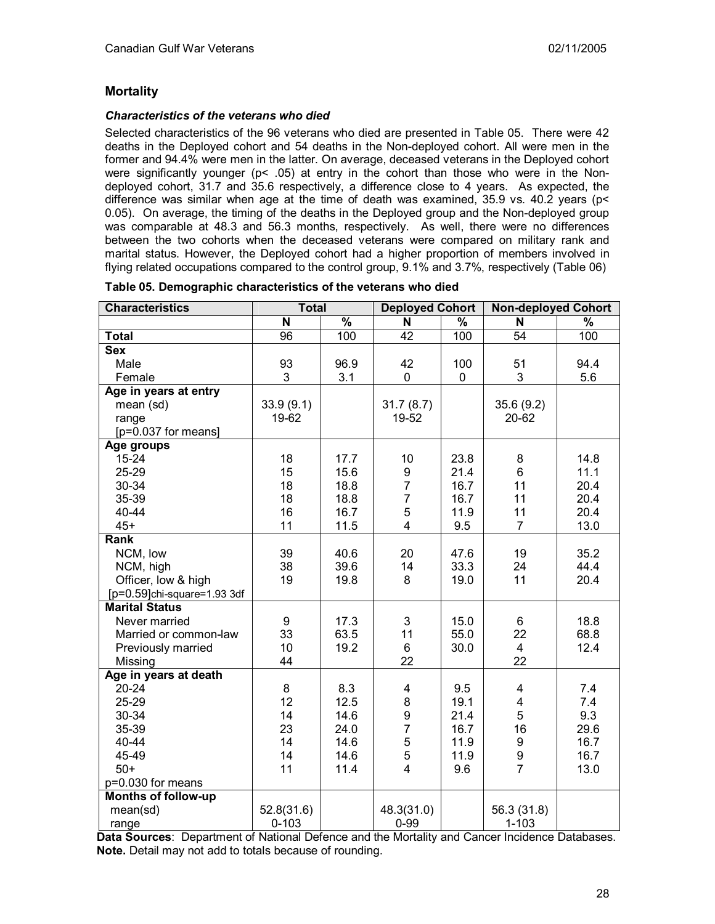## **Mortality**

### *Characteristics of the veterans who died*

Selected characteristics of the 96 veterans who died are presented in Table 05. There were 42 deaths in the Deployed cohort and 54 deaths in the Non-deployed cohort. All were men in the former and 94.4% were men in the latter. On average, deceased veterans in the Deployed cohort were significantly younger (p< .05) at entry in the cohort than those who were in the Nondeployed cohort, 31.7 and 35.6 respectively, a difference close to 4 years. As expected, the difference was similar when age at the time of death was examined, 35.9 vs. 40.2 years (p< 0.05). On average, the timing of the deaths in the Deployed group and the Non-deployed group was comparable at 48.3 and 56.3 months, respectively. As well, there were no differences between the two cohorts when the deceased veterans were compared on military rank and marital status. However, the Deployed cohort had a higher proportion of members involved in flying related occupations compared to the control group, 9.1% and 3.7%, respectively (Table 06)

| <b>Characteristics</b>         | <b>Total</b>    |               | <b>Deployed Cohort</b> |                          | <b>Non-deployed Cohort</b> |               |
|--------------------------------|-----------------|---------------|------------------------|--------------------------|----------------------------|---------------|
|                                | N               | $\frac{9}{6}$ | N                      | $\overline{\frac{9}{6}}$ | N                          | $\frac{1}{6}$ |
| <b>Total</b>                   | $\overline{96}$ | 100           | $\overline{42}$        | 100                      | $\overline{54}$            | 100           |
| <b>Sex</b>                     |                 |               |                        |                          |                            |               |
| Male                           | 93              | 96.9          | 42                     | 100                      | 51                         | 94.4          |
| Female                         | 3               | 3.1           | 0                      | 0                        | 3                          | 5.6           |
| Age in years at entry          |                 |               |                        |                          |                            |               |
| mean (sd)                      | 33.9(9.1)       |               | 31.7(8.7)              |                          | 35.6(9.2)                  |               |
| range                          | 19-62           |               | 19-52                  |                          | 20-62                      |               |
| [p=0.037 for means]            |                 |               |                        |                          |                            |               |
| Age groups                     |                 |               |                        |                          |                            |               |
| $15 - 24$                      | 18              | 17.7          | 10                     | 23.8                     | 8                          | 14.8          |
| 25-29                          | 15              | 15.6          | 9                      | 21.4                     | 6                          | 11.1          |
| 30-34                          | 18              | 18.8          | $\overline{7}$         | 16.7                     | 11                         | 20.4          |
| 35-39                          | 18              | 18.8          | $\overline{7}$         | 16.7                     | 11                         | 20.4          |
| 40-44                          | 16              | 16.7          | 5                      | 11.9                     | 11                         | 20.4          |
| $45+$                          | 11              | 11.5          | $\overline{4}$         | 9.5                      | $\overline{7}$             | 13.0          |
| Rank                           |                 |               |                        |                          |                            |               |
| NCM, low                       | 39              | 40.6          | 20                     | 47.6                     | 19                         | 35.2          |
| NCM, high                      | 38              | 39.6          | 14                     | 33.3                     | 24                         | 44.4          |
| Officer, low & high            | 19              | 19.8          | 8                      | 19.0                     | 11                         | 20.4          |
| $[p=0.59]$ chi-square=1.93 3df |                 |               |                        |                          |                            |               |
| <b>Marital Status</b>          |                 |               |                        |                          |                            |               |
| Never married                  | 9               | 17.3          | 3                      | 15.0                     | 6                          | 18.8          |
| Married or common-law          | 33              | 63.5          | 11                     | 55.0                     | 22                         | 68.8          |
| Previously married             | 10              | 19.2          | 6                      | 30.0                     | $\overline{4}$             | 12.4          |
| Missing                        | 44              |               | 22                     |                          | 22                         |               |
| Age in years at death          |                 |               |                        |                          |                            |               |
| $20 - 24$                      | 8               | 8.3           | 4                      | 9.5                      | 4                          | 7.4           |
| 25-29                          | 12              | 12.5          | 8                      | 19.1                     | 4                          | 7.4           |
| 30-34                          | 14              | 14.6          | 9                      | 21.4                     | 5                          | 9.3           |
| 35-39                          | 23              | 24.0          | $\overline{7}$         | 16.7                     | 16                         | 29.6          |
| 40-44                          | 14              | 14.6          | 5                      | 11.9                     | 9                          | 16.7          |
| 45-49                          | 14              | 14.6          | 5                      | 11.9                     | 9                          | 16.7          |
| $50+$                          | 11              | 11.4          | 4                      | 9.6                      | $\overline{7}$             | 13.0          |
| p=0.030 for means              |                 |               |                        |                          |                            |               |
| <b>Months of follow-up</b>     |                 |               |                        |                          |                            |               |
| mean(sd)                       | 52.8(31.6)      |               | 48.3(31.0)             |                          | 56.3 (31.8)                |               |
| range                          | $0 - 103$       |               | $0 - 99$               |                          | $1 - 103$                  |               |

| Table 05. Demographic characteristics of the veterans who died |  |  |  |  |
|----------------------------------------------------------------|--|--|--|--|
|----------------------------------------------------------------|--|--|--|--|

**Data Sources**: Department of National Defence and the Mortality and Cancer Incidence Databases. **Note.** Detail may not add to totals because of rounding.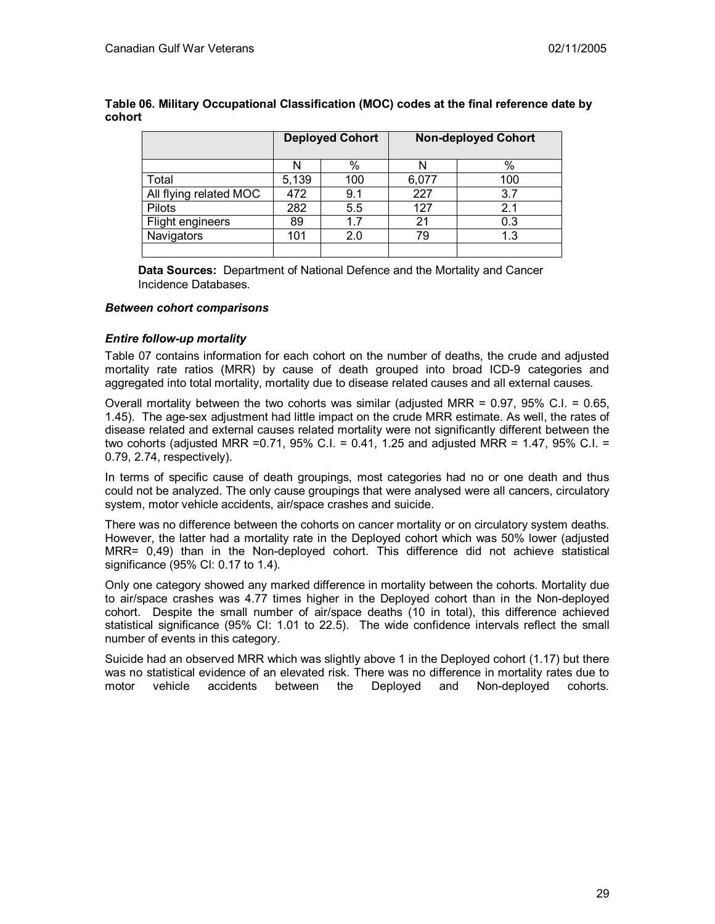|                        | <b>Deployed Cohort</b> |     |       | <b>Non-deployed Cohort</b> |
|------------------------|------------------------|-----|-------|----------------------------|
|                        |                        | %   |       | %                          |
| Total                  | 5,139                  | 100 | 6,077 | 100                        |
| All flying related MOC | 472                    | 9.1 | 227   | 3.7                        |
| Pilots                 | 282                    | 5.5 | 127   | 2.1                        |
| Flight engineers       | 89                     | 1.7 | 21    | 0.3                        |
| Navigators             | 101                    | 2.0 |       | 1.3                        |
|                        |                        |     |       |                            |

**Table 06. Military Occupational Classification (MOC) codes at the final reference date by cohort** 

**Data Sources:** Department of National Defence and the Mortality and Cancer Incidence Databases.

#### *Between cohort comparisons*

#### *Entire follow-up mortality*

Table 07 contains information for each cohort on the number of deaths, the crude and adjusted mortality rate ratios (MRR) by cause of death grouped into broad ICD-9 categories and aggregated into total mortality, mortality due to disease related causes and all external causes.

Overall mortality between the two cohorts was similar (adjusted MRR =  $0.97$ ,  $95\%$  C.I. =  $0.65$ , 1.45). The age-sex adjustment had little impact on the crude MRR estimate. As well, the rates of disease related and external causes related mortality were not significantly different between the two cohorts (adjusted MRR =0.71, 95% C.I. = 0.41, 1.25 and adjusted MRR = 1.47, 95% C.I. = 0.79, 2.74, respectively).

In terms of specific cause of death groupings, most categories had no or one death and thus could not be analyzed. The only cause groupings that were analysed were all cancers, circulatory system, motor vehicle accidents, air/space crashes and suicide.

There was no difference between the cohorts on cancer mortality or on circulatory system deaths. However, the latter had a mortality rate in the Deployed cohort which was 50% lower (adjusted MRR= 0,49) than in the Non-deployed cohort. This difference did not achieve statistical significance (95% CI: 0.17 to 1.4).

Only one category showed any marked difference in mortality between the cohorts. Mortality due to air/space crashes was 4.77 times higher in the Deployed cohort than in the Non-deployed cohort. Despite the small number of air/space deaths (10 in total), this difference achieved statistical significance (95% CI: 1.01 to 22.5). The wide confidence intervals reflect the small number of events in this category.

Suicide had an observed MRR which was slightly above 1 in the Deployed cohort (1.17) but there was no statistical evidence of an elevated risk. There was no difference in mortality rates due to motor vehicle accidents between the Deployed and Non-deployed cohorts.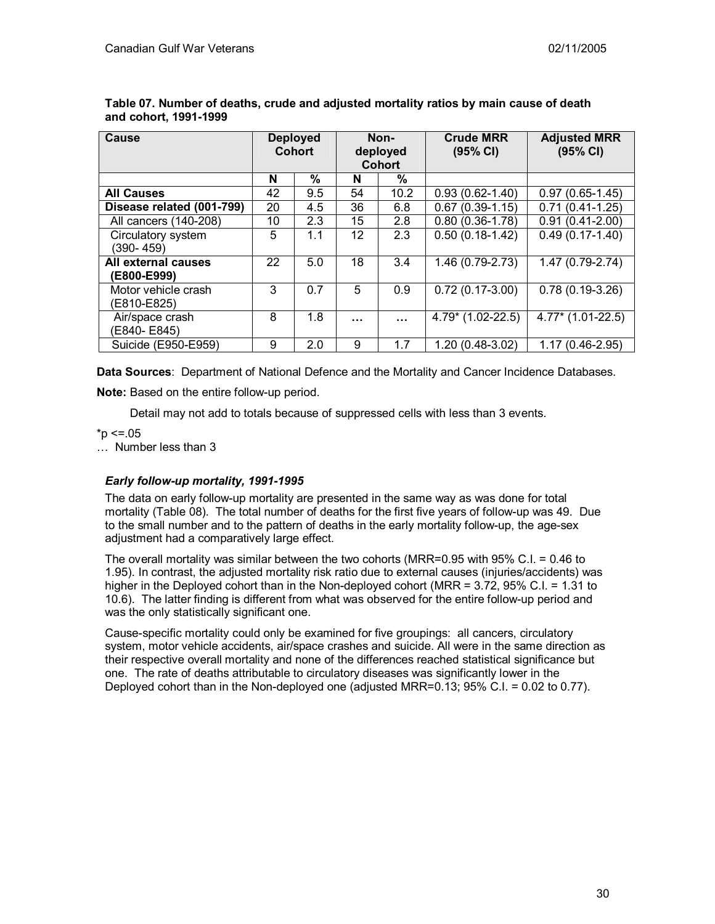| <b>Cause</b>                       |    | <b>Deployed</b><br><b>Cohort</b> | Non-<br>deployed<br><b>Cohort</b> |          | <b>Crude MRR</b><br>(95% CI) | <b>Adjusted MRR</b><br>(95% CI) |
|------------------------------------|----|----------------------------------|-----------------------------------|----------|------------------------------|---------------------------------|
|                                    | N  | %                                | N                                 | $\%$     |                              |                                 |
| <b>All Causes</b>                  | 42 | 9.5                              | 54                                | 10.2     | $0.93(0.62 - 1.40)$          | $0.97(0.65-1.45)$               |
| Disease related (001-799)          | 20 | 4.5                              | 36                                | 6.8      | $0.67(0.39-1.15)$            | $0.71(0.41-1.25)$               |
| All cancers (140-208)              | 10 | 2.3                              | 15                                | 2.8      | $0.80(0.36 - 1.78)$          | $0.91(0.41-2.00)$               |
| Circulatory system<br>(390- 459)   | 5  | 1.1                              | 12                                | 2.3      | $0.50(0.18-1.42)$            | $0.49(0.17-1.40)$               |
| All external causes<br>(E800-E999) | 22 | 5.0                              | 18                                | 3.4      | 1.46 (0.79-2.73)             | 1.47 (0.79-2.74)                |
| Motor vehicle crash<br>(E810-E825) | 3  | 0.7                              | 5                                 | 0.9      | $0.72(0.17-3.00)$            | $0.78(0.19-3.26)$               |
| Air/space crash<br>(E840-E845)     | 8  | 1.8                              | .                                 | $\cdots$ | 4.79* (1.02-22.5)            | $4.77*$ (1.01-22.5)             |
| Suicide (E950-E959)                | 9  | 2.0                              | 9                                 | 1.7      | 1.20 (0.48-3.02)             | 1.17 (0.46-2.95)                |

**Table 07. Number of deaths, crude and adjusted mortality ratios by main cause of death and cohort, 1991-1999** 

**Data Sources**: Department of National Defence and the Mortality and Cancer Incidence Databases.

**Note:** Based on the entire follow-up period.

Detail may not add to totals because of suppressed cells with less than 3 events.

 $*_{p} < = .05$ 

… Number less than 3

## *Early follow-up mortality, 1991-1995*

The data on early follow-up mortality are presented in the same way as was done for total mortality (Table 08). The total number of deaths for the first five years of follow-up was 49. Due to the small number and to the pattern of deaths in the early mortality follow-up, the age-sex adjustment had a comparatively large effect.

The overall mortality was similar between the two cohorts (MRR=0.95 with 95% C.I. = 0.46 to 1.95). In contrast, the adjusted mortality risk ratio due to external causes (injuries/accidents) was higher in the Deployed cohort than in the Non-deployed cohort (MRR = 3.72, 95% C.I. = 1.31 to 10.6). The latter finding is different from what was observed for the entire follow-up period and was the only statistically significant one.

Cause-specific mortality could only be examined for five groupings: all cancers, circulatory system, motor vehicle accidents, air/space crashes and suicide. All were in the same direction as their respective overall mortality and none of the differences reached statistical significance but one. The rate of deaths attributable to circulatory diseases was significantly lower in the Deployed cohort than in the Non-deployed one (adjusted MRR=0.13; 95% C.I. = 0.02 to 0.77).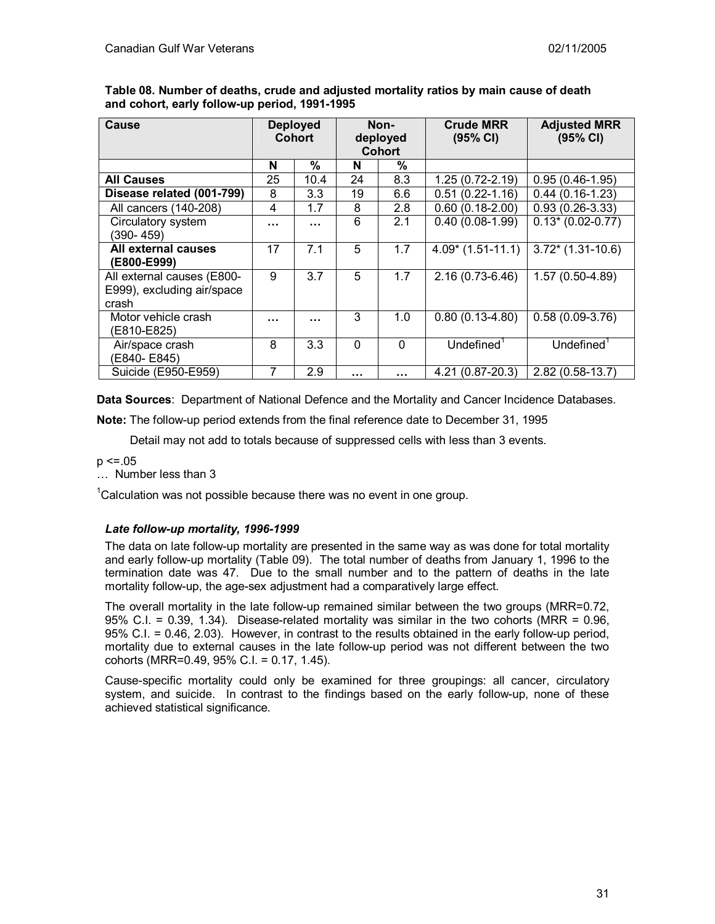| Cause                                                             |    | <b>Deployed</b><br><b>Cohort</b> | Non-<br>deployed<br><b>Cohort</b> |          | <b>Crude MRR</b><br>(95% CI) | <b>Adjusted MRR</b><br>(95% CI) |
|-------------------------------------------------------------------|----|----------------------------------|-----------------------------------|----------|------------------------------|---------------------------------|
|                                                                   | N  | %                                | N                                 | %        |                              |                                 |
| <b>All Causes</b>                                                 | 25 | 10.4                             | 24                                | 8.3      | $1.25(0.72-2.19)$            | $0.95(0.46-1.95)$               |
| Disease related (001-799)                                         | 8  | 3.3                              | 19                                | 6.6      | $0.51(0.22 - 1.16)$          | $0.44(0.16-1.23)$               |
| All cancers (140-208)                                             | 4  | 1.7                              | 8                                 | 2.8      | $0.60(0.18-2.00)$            | $0.93(0.26-3.33)$               |
| Circulatory system<br>(390-459)                                   |    |                                  | 6                                 | 2.1      | $0.40(0.08-1.99)$            | $0.13*(0.02-0.77)$              |
| All external causes<br>(E800-E999)                                | 17 | 7.1                              | 5                                 | 1.7      | $4.09*$ (1.51-11.1)          | $3.72*$ (1.31-10.6)             |
| All external causes (E800-<br>E999), excluding air/space<br>crash | 9  | 3.7                              | 5                                 | 1.7      | $2.16(0.73-6.46)$            | $1.57(0.50-4.89)$               |
| Motor vehicle crash<br>(E810-E825)                                |    |                                  | 3                                 | 1.0      | $0.80(0.13-4.80)$            | $0.58(0.09-3.76)$               |
| Air/space crash<br>(E840-E845)                                    | 8  | 3.3                              | $\mathbf{0}$                      | $\Omega$ | Undefined $1$                | Undefined <sup>1</sup>          |
| Suicide (E950-E959)                                               | 7  | 2.9                              | .                                 | $\cdots$ | 4.21 (0.87-20.3)             | 2.82 (0.58-13.7)                |

**Table 08. Number of deaths, crude and adjusted mortality ratios by main cause of death and cohort, early follow-up period, 1991-1995** 

**Data Sources**: Department of National Defence and the Mortality and Cancer Incidence Databases.

**Note:** The follow-up period extends from the final reference date to December 31, 1995

Detail may not add to totals because of suppressed cells with less than 3 events.

- $p \le 0.05$
- … Number less than 3

 $1$ Calculation was not possible because there was no event in one group.

## *Late follow-up mortality, 1996-1999*

The data on late follow-up mortality are presented in the same way as was done for total mortality and early follow-up mortality (Table 09). The total number of deaths from January 1, 1996 to the termination date was 47. Due to the small number and to the pattern of deaths in the late mortality follow-up, the age-sex adjustment had a comparatively large effect.

The overall mortality in the late follow-up remained similar between the two groups (MRR=0.72, 95% C.I. = 0.39, 1.34). Disease-related mortality was similar in the two cohorts (MRR = 0.96, 95% C.I. = 0.46, 2.03). However, in contrast to the results obtained in the early follow-up period, mortality due to external causes in the late follow-up period was not different between the two cohorts (MRR=0.49, 95% C.I. = 0.17, 1.45).

Cause-specific mortality could only be examined for three groupings: all cancer, circulatory system, and suicide. In contrast to the findings based on the early follow-up, none of these achieved statistical significance.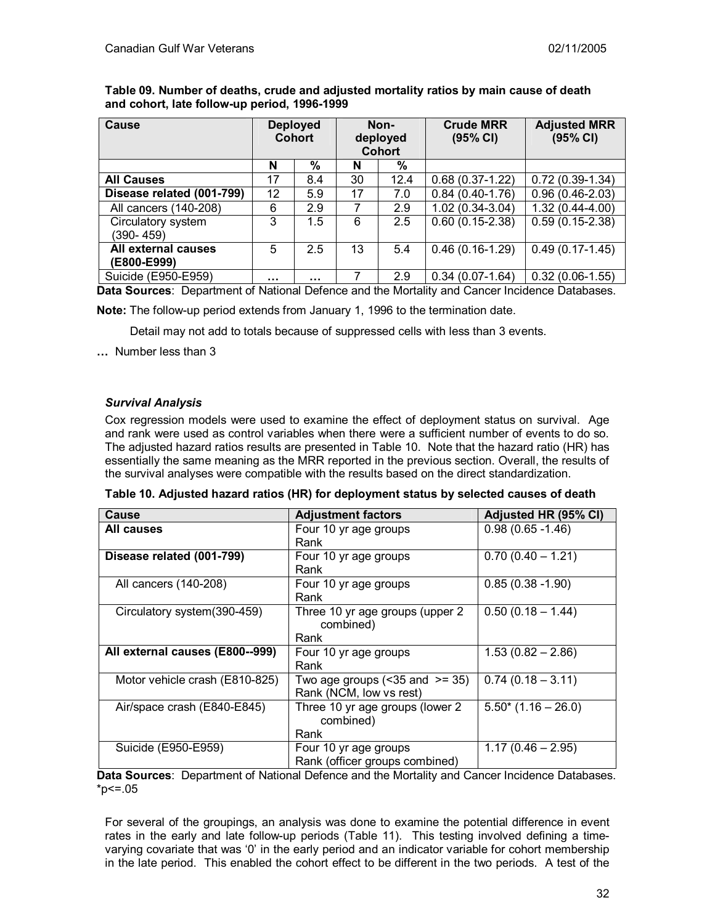| Cause                     |    | <b>Deployed</b><br><b>Cohort</b> | Non-<br>deployed<br><b>Cohort</b> |      | <b>Crude MRR</b><br>(95% CI) | <b>Adjusted MRR</b><br>(95% CI) |
|---------------------------|----|----------------------------------|-----------------------------------|------|------------------------------|---------------------------------|
|                           |    |                                  |                                   |      |                              |                                 |
|                           | N  | %                                | N                                 | %    |                              |                                 |
| <b>All Causes</b>         | 17 | 8.4                              | 30                                | 12.4 | $0.68(0.37-1.22)$            | $0.72(0.39-1.34)$               |
| Disease related (001-799) | 12 | 5.9                              | 17                                | 7.0  | $0.84(0.40-1.76)$            | $0.96(0.46-2.03)$               |
| All cancers (140-208)     | 6  | 2.9                              |                                   | 2.9  | $1.02(0.34-3.04)$            | $1.32(0.44 - 4.00)$             |
| Circulatory system        | 3  | 1.5                              | 6                                 | 2.5  | $0.60(0.15-2.38)$            | $0.59(0.15-2.38)$               |
| $(390 - 459)$             |    |                                  |                                   |      |                              |                                 |
| All external causes       | 5  | 2.5                              | 13                                | 5.4  | $0.46(0.16-1.29)$            | $\overline{0.49}$ (0.17-1.45)   |
| (E800-E999)               |    |                                  |                                   |      |                              |                                 |
| Suicide (E950-E959)       |    |                                  |                                   | 2.9  | $0.34(0.07-1.64)$            | $0.32(0.06-1.55)$               |

**Table 09. Number of deaths, crude and adjusted mortality ratios by main cause of death and cohort, late follow-up period, 1996-1999** 

**Data Sources**: Department of National Defence and the Mortality and Cancer Incidence Databases.

**Note:** The follow-up period extends from January 1, 1996 to the termination date.

Detail may not add to totals because of suppressed cells with less than 3 events.

**…** Number less than 3

## *Survival Analysis*

Cox regression models were used to examine the effect of deployment status on survival. Age and rank were used as control variables when there were a sufficient number of events to do so. The adjusted hazard ratios results are presented in Table 10. Note that the hazard ratio (HR) has essentially the same meaning as the MRR reported in the previous section. Overall, the results of the survival analyses were compatible with the results based on the direct standardization.

| Table 10. Adjusted hazard ratios (HR) for deployment status by selected causes of death |
|-----------------------------------------------------------------------------------------|
|-----------------------------------------------------------------------------------------|

| Cause                           | <b>Adjustment factors</b>                                        | Adjusted HR (95% CI)     |
|---------------------------------|------------------------------------------------------------------|--------------------------|
| All causes                      | Four 10 yr age groups<br>Rank                                    | $0.98(0.65 - 1.46)$      |
| Disease related (001-799)       | Four 10 yr age groups<br>Rank                                    | $0.70(0.40 - 1.21)$      |
| All cancers (140-208)           | Four 10 yr age groups<br>Rank                                    | $0.85(0.38 - 1.90)$      |
| Circulatory system (390-459)    | Three 10 yr age groups (upper 2<br>combined)<br>Rank             | $0.50(0.18 - 1.44)$      |
| All external causes (E800--999) | Four 10 yr age groups<br>Rank                                    | $1.53(0.82 - 2.86)$      |
| Motor vehicle crash (E810-825)  | Two age groups $($ < 35 and $>$ = 35)<br>Rank (NCM, low vs rest) | $0.74(0.18 - 3.11)$      |
| Air/space crash (E840-E845)     | Three 10 yr age groups (lower 2<br>combined)<br>Rank             | $5.50^{*}$ (1.16 - 26.0) |
| Suicide (E950-E959)             | Four 10 yr age groups<br>Rank (officer groups combined)          | $1.17(0.46 - 2.95)$      |

**Data Sources**: Department of National Defence and the Mortality and Cancer Incidence Databases.  $*p<=.05$ 

For several of the groupings, an analysis was done to examine the potential difference in event rates in the early and late follow-up periods (Table 11). This testing involved defining a timevarying covariate that was '0' in the early period and an indicator variable for cohort membership in the late period. This enabled the cohort effect to be different in the two periods. A test of the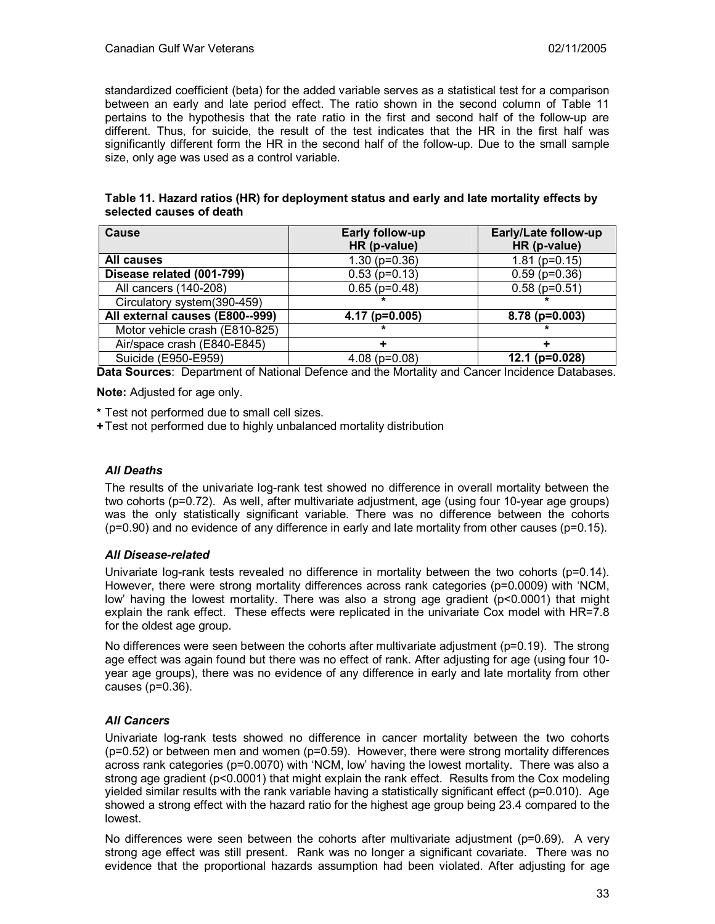standardized coefficient (beta) for the added variable serves as a statistical test for a comparison between an early and late period effect. The ratio shown in the second column of Table 11 pertains to the hypothesis that the rate ratio in the first and second half of the follow-up are different. Thus, for suicide, the result of the test indicates that the HR in the first half was significantly different form the HR in the second half of the follow-up. Due to the small sample size, only age was used as a control variable.

## **Table 11. Hazard ratios (HR) for deployment status and early and late mortality effects by selected causes of death**

| <b>Cause</b>                    | <b>Early follow-up</b> | Early/Late follow-up |
|---------------------------------|------------------------|----------------------|
|                                 | HR (p-value)           | HR (p-value)         |
| All causes                      | $1.30$ ( $p=0.36$ )    | $1.81$ (p=0.15)      |
| Disease related (001-799)       | $0.53$ (p=0.13)        | $0.59$ ( $p=0.36$ )  |
| All cancers (140-208)           | $0.65$ (p=0.48)        | $0.58$ (p=0.51)      |
| Circulatory system(390-459)     |                        |                      |
| All external causes (E800--999) | $4.17$ (p=0.005)       | $8.78$ (p=0.003)     |
| Motor vehicle crash (E810-825)  |                        |                      |
| Air/space crash (E840-E845)     |                        |                      |
| Suicide (E950-E959)             | $4.08$ (p=0.08)        | 12.1 ( $p=0.028$ )   |

**Data Sources**: Department of National Defence and the Mortality and Cancer Incidence Databases.

**Note:** Adjusted for age only.

**\*** Test not performed due to small cell sizes.

**+** Test not performed due to highly unbalanced mortality distribution

## *All Deaths*

The results of the univariate log-rank test showed no difference in overall mortality between the two cohorts (p=0.72). As well, after multivariate adjustment, age (using four 10-year age groups) was the only statistically significant variable. There was no difference between the cohorts  $(p=0.90)$  and no evidence of any difference in early and late mortality from other causes  $(p=0.15)$ .

#### *All Disease-related*

Univariate log-rank tests revealed no difference in mortality between the two cohorts ( $p=0.14$ ). However, there were strong mortality differences across rank categories (p=0.0009) with 'NCM, low' having the lowest mortality. There was also a strong age gradient (p<0.0001) that might explain the rank effect. These effects were replicated in the univariate Cox model with HR=7.8 for the oldest age group.

No differences were seen between the cohorts after multivariate adjustment (p=0.19). The strong age effect was again found but there was no effect of rank. After adjusting for age (using four 10 year age groups), there was no evidence of any difference in early and late mortality from other causes (p=0.36).

## *All Cancers*

Univariate log-rank tests showed no difference in cancer mortality between the two cohorts (p=0.52) or between men and women (p=0.59). However, there were strong mortality differences across rank categories (p=0.0070) with 'NCM, low' having the lowest mortality. There was also a strong age gradient (p<0.0001) that might explain the rank effect. Results from the Cox modeling yielded similar results with the rank variable having a statistically significant effect (p=0.010). Age showed a strong effect with the hazard ratio for the highest age group being 23.4 compared to the lowest.

No differences were seen between the cohorts after multivariate adjustment (p=0.69). A very strong age effect was still present. Rank was no longer a significant covariate. There was no evidence that the proportional hazards assumption had been violated. After adjusting for age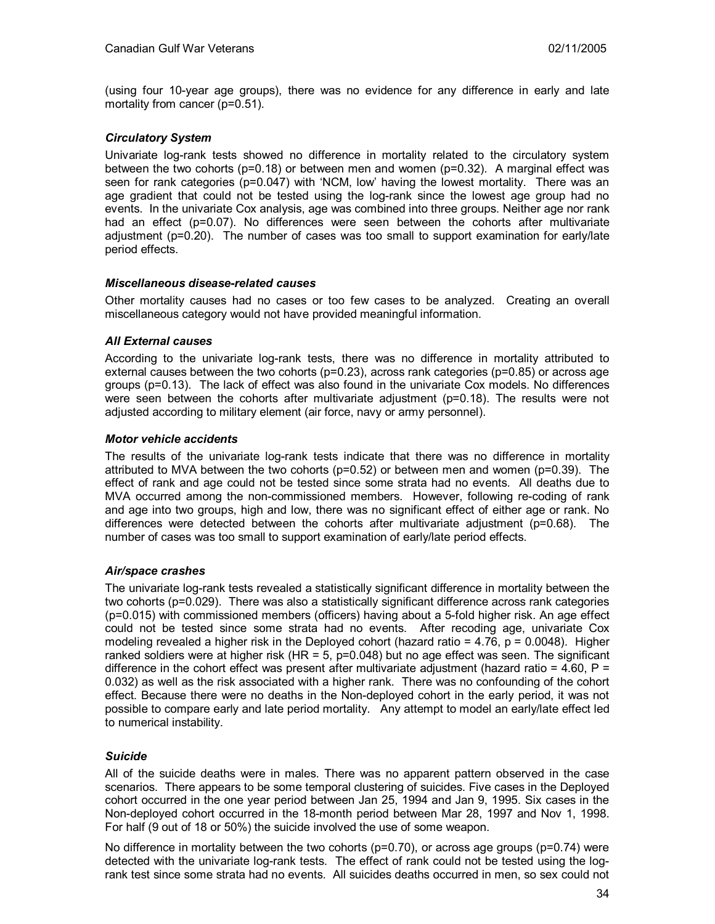(using four 10-year age groups), there was no evidence for any difference in early and late mortality from cancer (p=0.51).

## *Circulatory System*

Univariate log-rank tests showed no difference in mortality related to the circulatory system between the two cohorts ( $p=0.18$ ) or between men and women ( $p=0.32$ ). A marginal effect was seen for rank categories (p=0.047) with 'NCM, low' having the lowest mortality. There was an age gradient that could not be tested using the log-rank since the lowest age group had no events. In the univariate Cox analysis, age was combined into three groups. Neither age nor rank had an effect (p=0.07). No differences were seen between the cohorts after multivariate adjustment (p=0.20). The number of cases was too small to support examination for early/late period effects.

#### *Miscellaneous disease-related causes*

Other mortality causes had no cases or too few cases to be analyzed. Creating an overall miscellaneous category would not have provided meaningful information.

## *All External causes*

According to the univariate log-rank tests, there was no difference in mortality attributed to external causes between the two cohorts ( $p=0.23$ ), across rank categories ( $p=0.85$ ) or across age groups (p=0.13). The lack of effect was also found in the univariate Cox models. No differences were seen between the cohorts after multivariate adjustment  $(p=0.18)$ . The results were not adjusted according to military element (air force, navy or army personnel).

## *Motor vehicle accidents*

The results of the univariate log-rank tests indicate that there was no difference in mortality attributed to MVA between the two cohorts ( $p=0.52$ ) or between men and women ( $p=0.39$ ). The effect of rank and age could not be tested since some strata had no events. All deaths due to MVA occurred among the non-commissioned members. However, following re-coding of rank and age into two groups, high and low, there was no significant effect of either age or rank. No differences were detected between the cohorts after multivariate adjustment (p=0.68). The number of cases was too small to support examination of early/late period effects.

#### *Air/space crashes*

The univariate log-rank tests revealed a statistically significant difference in mortality between the two cohorts (p=0.029). There was also a statistically significant difference across rank categories (p=0.015) with commissioned members (officers) having about a 5-fold higher risk. An age effect could not be tested since some strata had no events. After recoding age, univariate Cox modeling revealed a higher risk in the Deployed cohort (hazard ratio =  $4.76$ ,  $p = 0.0048$ ). Higher ranked soldiers were at higher risk  $(HR = 5, p=0.048)$  but no age effect was seen. The significant difference in the cohort effect was present after multivariate adjustment (hazard ratio =  $4.60$ , P = 0.032) as well as the risk associated with a higher rank. There was no confounding of the cohort effect. Because there were no deaths in the Non-deployed cohort in the early period, it was not possible to compare early and late period mortality. Any attempt to model an early/late effect led to numerical instability.

## *Suicide*

All of the suicide deaths were in males. There was no apparent pattern observed in the case scenarios. There appears to be some temporal clustering of suicides. Five cases in the Deployed cohort occurred in the one year period between Jan 25, 1994 and Jan 9, 1995. Six cases in the Non-deployed cohort occurred in the 18-month period between Mar 28, 1997 and Nov 1, 1998. For half (9 out of 18 or 50%) the suicide involved the use of some weapon.

No difference in mortality between the two cohorts ( $p=0.70$ ), or across age groups ( $p=0.74$ ) were detected with the univariate log-rank tests. The effect of rank could not be tested using the logrank test since some strata had no events. All suicides deaths occurred in men, so sex could not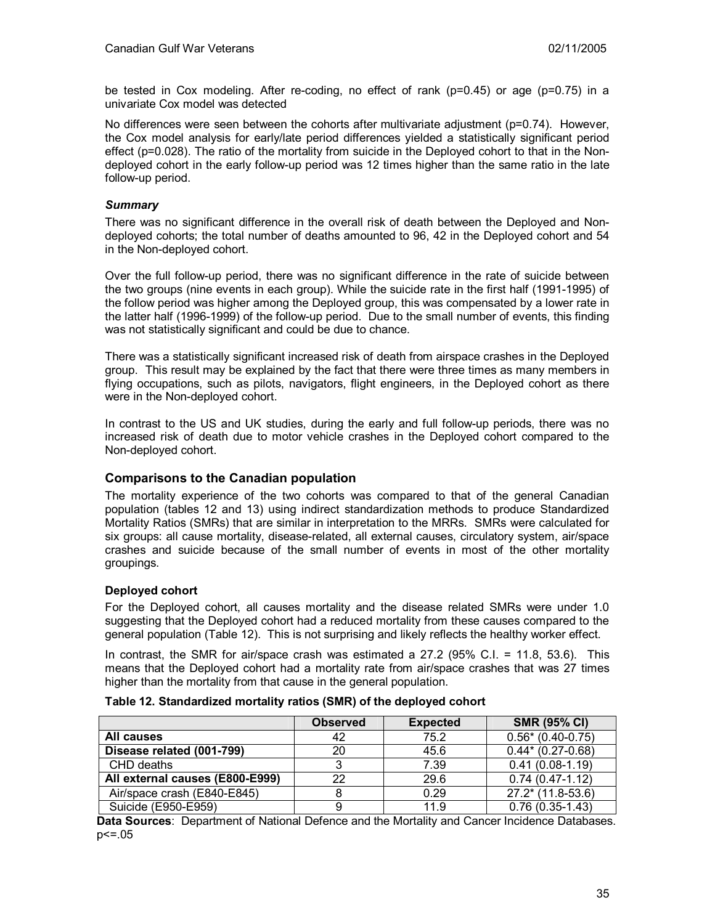be tested in Cox modeling. After re-coding, no effect of rank (p=0.45) or age (p=0.75) in a univariate Cox model was detected

No differences were seen between the cohorts after multivariate adjustment (p=0.74). However, the Cox model analysis for early/late period differences yielded a statistically significant period effect (p=0.028). The ratio of the mortality from suicide in the Deployed cohort to that in the Nondeployed cohort in the early follow-up period was 12 times higher than the same ratio in the late follow-up period.

### *Summary*

There was no significant difference in the overall risk of death between the Deployed and Nondeployed cohorts; the total number of deaths amounted to 96, 42 in the Deployed cohort and 54 in the Non-deployed cohort.

Over the full follow-up period, there was no significant difference in the rate of suicide between the two groups (nine events in each group). While the suicide rate in the first half (1991-1995) of the follow period was higher among the Deployed group, this was compensated by a lower rate in the latter half (1996-1999) of the follow-up period. Due to the small number of events, this finding was not statistically significant and could be due to chance.

There was a statistically significant increased risk of death from airspace crashes in the Deployed group. This result may be explained by the fact that there were three times as many members in flying occupations, such as pilots, navigators, flight engineers, in the Deployed cohort as there were in the Non-deployed cohort.

In contrast to the US and UK studies, during the early and full follow-up periods, there was no increased risk of death due to motor vehicle crashes in the Deployed cohort compared to the Non-deployed cohort.

## **Comparisons to the Canadian population**

The mortality experience of the two cohorts was compared to that of the general Canadian population (tables 12 and 13) using indirect standardization methods to produce Standardized Mortality Ratios (SMRs) that are similar in interpretation to the MRRs. SMRs were calculated for six groups: all cause mortality, disease-related, all external causes, circulatory system, air/space crashes and suicide because of the small number of events in most of the other mortality groupings.

#### **Deployed cohort**

For the Deployed cohort, all causes mortality and the disease related SMRs were under 1.0 suggesting that the Deployed cohort had a reduced mortality from these causes compared to the general population (Table 12). This is not surprising and likely reflects the healthy worker effect.

In contrast, the SMR for air/space crash was estimated a 27.2 (95% C.I. = 11.8, 53.6). This means that the Deployed cohort had a mortality rate from air/space crashes that was 27 times higher than the mortality from that cause in the general population.

|                                 | <b>Observed</b> | <b>Expected</b> | <b>SMR (95% CI)</b> |
|---------------------------------|-----------------|-----------------|---------------------|
| <b>All causes</b>               | 42              | 75.2            | $0.56*(0.40-0.75)$  |
| Disease related (001-799)       | 20              | 45.6            | $0.44*$ (0.27-0.68) |
| CHD deaths                      |                 | 7.39            | $0.41(0.08-1.19)$   |
| All external causes (E800-E999) | 22              | 29.6            | $0.74(0.47-1.12)$   |
| Air/space crash (E840-E845)     |                 | 0.29            | $27.2*$ (11.8-53.6) |
| Suicide (E950-E959)             |                 | 11.9            | $0.76(0.35-1.43)$   |

#### **Table 12. Standardized mortality ratios (SMR) of the deployed cohort**

**Data Sources**: Department of National Defence and the Mortality and Cancer Incidence Databases. p<=.05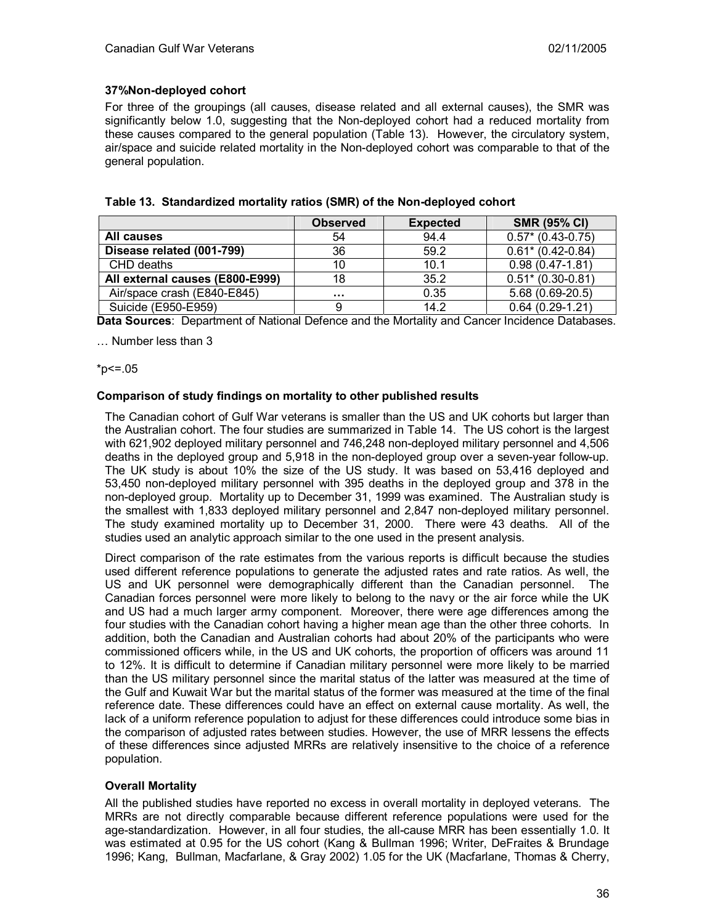## **37%Non-deployed cohort**

For three of the groupings (all causes, disease related and all external causes), the SMR was significantly below 1.0, suggesting that the Non-deployed cohort had a reduced mortality from these causes compared to the general population (Table 13). However, the circulatory system, air/space and suicide related mortality in the Non-deployed cohort was comparable to that of the general population.

|                                 | <b>Observed</b> | <b>Expected</b> | <b>SMR (95% CI)</b>  |
|---------------------------------|-----------------|-----------------|----------------------|
| All causes                      | 54              | 94.4            | $0.57$ * (0.43-0.75) |
| Disease related (001-799)       | 36              | 59.2            | $0.61$ * (0.42-0.84) |
| CHD deaths                      | 10              | 10.1            | $0.98(0.47-1.81)$    |
| All external causes (E800-E999) | 18              | 35.2            | $0.51$ * (0.30-0.81) |

### **Table 13. Standardized mortality ratios (SMR) of the Non-deployed cohort**

Suicide (E950-E959) 9 14.2 0.64 (0.29-1.21) **Data Sources**: Department of National Defence and the Mortality and Cancer Incidence Databases.

Air/space crash (E840-E845)  $\vert$  ...  $\vert$  0.35  $\vert$  5.68 (0.69-20.5)

… Number less than 3

 $*p<=.05$ 

#### **Comparison of study findings on mortality to other published results**

The Canadian cohort of Gulf War veterans is smaller than the US and UK cohorts but larger than the Australian cohort. The four studies are summarized in Table 14. The US cohort is the largest with 621,902 deployed military personnel and 746,248 non-deployed military personnel and 4,506 deaths in the deployed group and 5,918 in the non-deployed group over a seven-year follow-up. The UK study is about 10% the size of the US study. It was based on 53,416 deployed and 53,450 non-deployed military personnel with 395 deaths in the deployed group and 378 in the non-deployed group. Mortality up to December 31, 1999 was examined. The Australian study is the smallest with 1,833 deployed military personnel and 2,847 non-deployed military personnel. The study examined mortality up to December 31, 2000. There were 43 deaths. All of the studies used an analytic approach similar to the one used in the present analysis.

Direct comparison of the rate estimates from the various reports is difficult because the studies used different reference populations to generate the adjusted rates and rate ratios. As well, the US and UK personnel were demographically different than the Canadian personnel. The Canadian forces personnel were more likely to belong to the navy or the air force while the UK and US had a much larger army component. Moreover, there were age differences among the four studies with the Canadian cohort having a higher mean age than the other three cohorts. In addition, both the Canadian and Australian cohorts had about 20% of the participants who were commissioned officers while, in the US and UK cohorts, the proportion of officers was around 11 to 12%. It is difficult to determine if Canadian military personnel were more likely to be married than the US military personnel since the marital status of the latter was measured at the time of the Gulf and Kuwait War but the marital status of the former was measured at the time of the final reference date. These differences could have an effect on external cause mortality. As well, the lack of a uniform reference population to adjust for these differences could introduce some bias in the comparison of adjusted rates between studies. However, the use of MRR lessens the effects of these differences since adjusted MRRs are relatively insensitive to the choice of a reference population.

## **Overall Mortality**

All the published studies have reported no excess in overall mortality in deployed veterans. The MRRs are not directly comparable because different reference populations were used for the age-standardization. However, in all four studies, the all-cause MRR has been essentially 1.0. It was estimated at 0.95 for the US cohort (Kang & Bullman 1996; Writer, DeFraites & Brundage 1996; Kang, Bullman, Macfarlane, & Gray 2002) 1.05 for the UK (Macfarlane, Thomas & Cherry,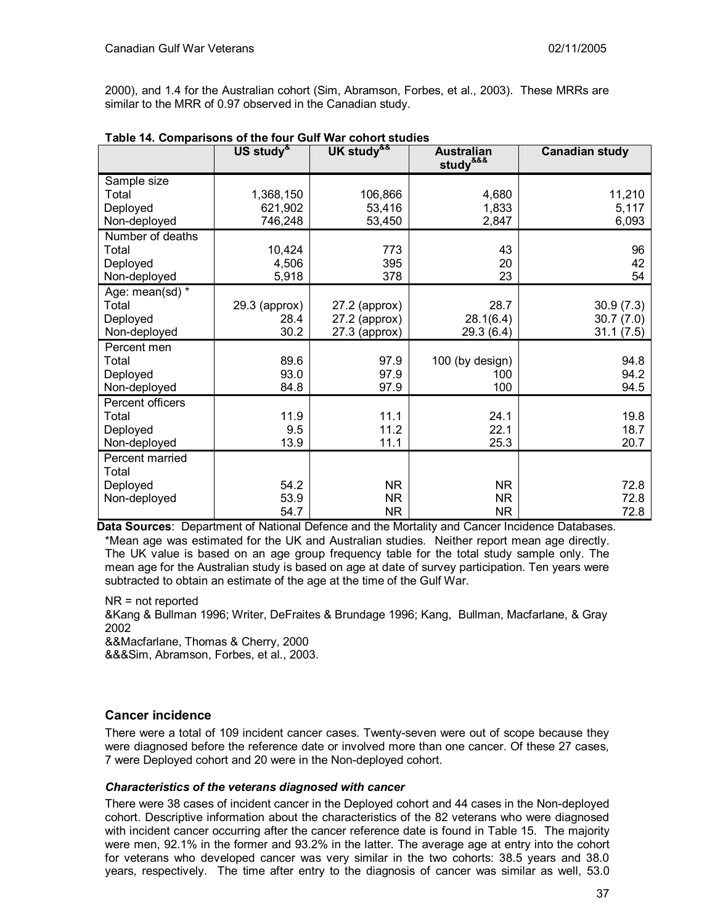2000), and 1.4 for the Australian cohort (Sim, Abramson, Forbes, et al., 2003). These MRRs are similar to the MRR of 0.97 observed in the Canadian study.

|                  | US study <sup>&amp;</sup> | UK study <sup>&amp;&amp;</sup> | <b>Australian</b><br>study <sup>&amp;&amp;&amp;</sup> | <b>Canadian study</b> |
|------------------|---------------------------|--------------------------------|-------------------------------------------------------|-----------------------|
| Sample size      |                           |                                |                                                       |                       |
| Total            | 1,368,150                 | 106,866                        | 4,680                                                 | 11,210                |
| Deployed         | 621,902                   | 53,416                         | 1,833                                                 | 5,117                 |
| Non-deployed     | 746,248                   | 53,450                         | 2,847                                                 | 6,093                 |
| Number of deaths |                           |                                |                                                       |                       |
| Total            | 10,424                    | 773                            | 43                                                    | 96                    |
| Deployed         | 4,506                     | 395                            | 20                                                    | 42                    |
| Non-deployed     | 5,918                     | 378                            | 23                                                    | 54                    |
| Age: mean(sd) *  |                           |                                |                                                       |                       |
| Total            | $29.3$ (approx)           | $27.2$ (approx)                | 28.7                                                  | 30.9(7.3)             |
| Deployed         | 28.4                      | $27.2$ (approx)                | 28.1(6.4)                                             | 30.7(7.0)             |
| Non-deployed     | 30.2                      | $27.3$ (approx)                | 29.3 (6.4)                                            | 31.1(7.5)             |
| Percent men      |                           |                                |                                                       |                       |
| Total            | 89.6                      | 97.9                           | 100 (by design)                                       | 94.8                  |
| Deployed         | 93.0                      | 97.9                           | 100                                                   | 94.2                  |
| Non-deployed     | 84.8                      | 97.9                           | 100                                                   | 94.5                  |
| Percent officers |                           |                                |                                                       |                       |
| Total            | 11.9                      | 11.1                           | 24.1                                                  | 19.8                  |
| Deployed         | 9.5                       | 11.2                           | 22.1                                                  | 18.7                  |
| Non-deployed     | 13.9                      | 11.1                           | 25.3                                                  | 20.7                  |
| Percent married  |                           |                                |                                                       |                       |
| Total            |                           |                                |                                                       |                       |
| Deployed         | 54.2                      | <b>NR</b>                      | <b>NR</b>                                             | 72.8                  |
| Non-deployed     | 53.9                      | <b>NR</b>                      | NR.                                                   | 72.8                  |
|                  | 54.7                      | <b>NR</b>                      | <b>NR</b>                                             | 72.8                  |

**Table 14. Comparisons of the four Gulf War cohort studies** 

**Data Sources**: Department of National Defence and the Mortality and Cancer Incidence Databases. \*Mean age was estimated for the UK and Australian studies. Neither report mean age directly. The UK value is based on an age group frequency table for the total study sample only. The mean age for the Australian study is based on age at date of survey participation. Ten years were subtracted to obtain an estimate of the age at the time of the Gulf War.

NR = not reported

&Kang & Bullman 1996; Writer, DeFraites & Brundage 1996; Kang, Bullman, Macfarlane, & Gray 2002

&&Macfarlane, Thomas & Cherry, 2000

&&&Sim, Abramson, Forbes, et al., 2003.

## **Cancer incidence**

There were a total of 109 incident cancer cases. Twenty-seven were out of scope because they were diagnosed before the reference date or involved more than one cancer. Of these 27 cases, 7 were Deployed cohort and 20 were in the Non-deployed cohort.

## *Characteristics of the veterans diagnosed with cancer*

There were 38 cases of incident cancer in the Deployed cohort and 44 cases in the Non-deployed cohort. Descriptive information about the characteristics of the 82 veterans who were diagnosed with incident cancer occurring after the cancer reference date is found in Table 15. The majority were men, 92.1% in the former and 93.2% in the latter. The average age at entry into the cohort for veterans who developed cancer was very similar in the two cohorts: 38.5 years and 38.0 years, respectively. The time after entry to the diagnosis of cancer was similar as well, 53.0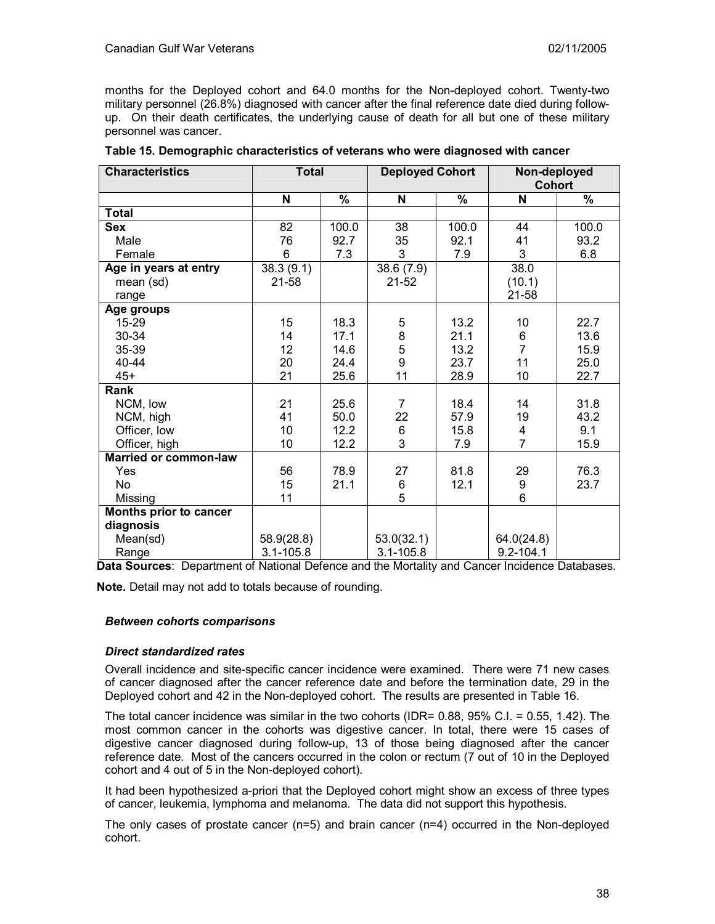months for the Deployed cohort and 64.0 months for the Non-deployed cohort. Twenty-two military personnel (26.8%) diagnosed with cancer after the final reference date died during followup. On their death certificates, the underlying cause of death for all but one of these military personnel was cancer.

| <b>Characteristics</b>       | <b>Total</b>    |       | <b>Deployed Cohort</b> |       | Non-deployed   |       |
|------------------------------|-----------------|-------|------------------------|-------|----------------|-------|
|                              |                 |       |                        |       | <b>Cohort</b>  |       |
|                              | N               | %     | N                      | %     | N              | %     |
| <b>Total</b>                 |                 |       |                        |       |                |       |
| <b>Sex</b>                   | 82              | 100.0 | 38                     | 100.0 | 44             | 100.0 |
| Male                         | 76              | 92.7  | 35                     | 92.1  | 41             | 93.2  |
| Female                       | 6               | 7.3   | 3                      | 7.9   | 3              | 6.8   |
| Age in years at entry        | 38.3(9.1)       |       | 38.6 (7.9)             |       | 38.0           |       |
| mean (sd)                    | 21-58           |       | $21 - 52$              |       | (10.1)         |       |
| range                        |                 |       |                        |       | $21 - 58$      |       |
| Age groups                   |                 |       |                        |       |                |       |
| 15-29                        | 15              | 18.3  | 5                      | 13.2  | 10             | 22.7  |
| 30-34                        | 14              | 17.1  | $\frac{8}{5}$          | 21.1  | 6              | 13.6  |
| 35-39                        | 12 <sub>2</sub> | 14.6  |                        | 13.2  | $\overline{7}$ | 15.9  |
| 40-44                        | 20              | 24.4  | 9                      | 23.7  | 11             | 25.0  |
| $45+$                        | 21              | 25.6  | 11                     | 28.9  | 10             | 22.7  |
| Rank                         |                 |       |                        |       |                |       |
| NCM, low                     | 21              | 25.6  | $\overline{7}$         | 18.4  | 14             | 31.8  |
| NCM, high                    | 41              | 50.0  | 22                     | 57.9  | 19             | 43.2  |
| Officer, low                 | 10              | 12.2  | 6                      | 15.8  | 4              | 9.1   |
| Officer, high                | 10              | 12.2  | 3                      | 7.9   | $\overline{7}$ | 15.9  |
| <b>Married or common-law</b> |                 |       |                        |       |                |       |
| Yes                          | 56              | 78.9  | 27                     | 81.8  | 29             | 76.3  |
| No                           | 15              | 21.1  | 6                      | 12.1  | 9              | 23.7  |
| Missing                      | 11              |       | 5                      |       | 6              |       |
| Months prior to cancer       |                 |       |                        |       |                |       |
| diagnosis                    |                 |       |                        |       |                |       |
| Mean(sd)                     | 58.9(28.8)      |       | 53.0(32.1)             |       | 64.0(24.8)     |       |
| Range                        | $3.1 - 105.8$   |       | $3.1 - 105.8$          |       | $9.2 - 104.1$  |       |

| Table 15. Demographic characteristics of veterans who were diagnosed with cancer |  |  |  |  |  |  |
|----------------------------------------------------------------------------------|--|--|--|--|--|--|
|----------------------------------------------------------------------------------|--|--|--|--|--|--|

**Data Sources**: Department of National Defence and the Mortality and Cancer Incidence Databases.

**Note.** Detail may not add to totals because of rounding.

#### *Between cohorts comparisons*

#### *Direct standardized rates*

Overall incidence and site-specific cancer incidence were examined. There were 71 new cases of cancer diagnosed after the cancer reference date and before the termination date, 29 in the Deployed cohort and 42 in the Non-deployed cohort. The results are presented in Table 16.

The total cancer incidence was similar in the two cohorts (IDR= 0.88, 95% C.I. = 0.55, 1.42). The most common cancer in the cohorts was digestive cancer. In total, there were 15 cases of digestive cancer diagnosed during follow-up, 13 of those being diagnosed after the cancer reference date. Most of the cancers occurred in the colon or rectum (7 out of 10 in the Deployed cohort and 4 out of 5 in the Non-deployed cohort).

It had been hypothesized a-priori that the Deployed cohort might show an excess of three types of cancer, leukemia, lymphoma and melanoma. The data did not support this hypothesis.

The only cases of prostate cancer  $(n=5)$  and brain cancer  $(n=4)$  occurred in the Non-deployed cohort.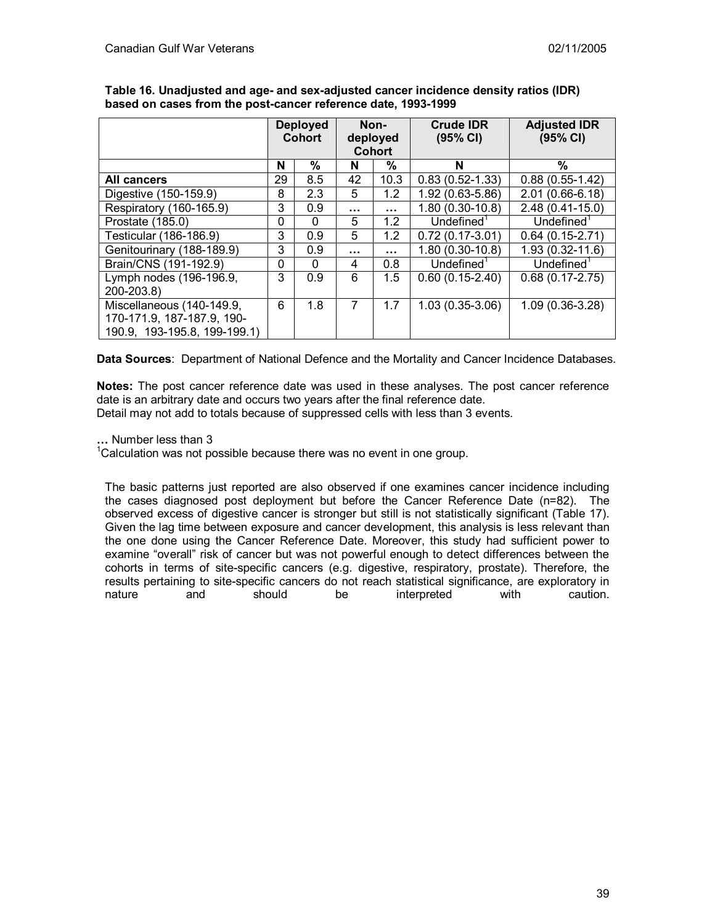|                              |              | <b>Deployed</b><br><b>Cohort</b> | Non-<br>deployed |               | <b>Crude IDR</b><br>(95% CI) | <b>Adjusted IDR</b><br>(95% CI) |
|------------------------------|--------------|----------------------------------|------------------|---------------|------------------------------|---------------------------------|
|                              |              |                                  |                  | <b>Cohort</b> |                              |                                 |
|                              | N            | %                                | N                | %             | N                            | %                               |
| All cancers                  | 29           | 8.5                              | 42               | 10.3          | $0.83(0.52 - 1.33)$          | $0.88(0.55-1.42)$               |
| Digestive (150-159.9)        | 8            | 2.3                              | 5                | 1.2           | 1.92 (0.63-5.86)             | $2.01(0.66-6.18)$               |
| Respiratory (160-165.9)      | 3            | 0.9                              | $\cdots$         | .             | $1.80(0.30-10.8)$            | $2.48(0.41-15.0)$               |
| Prostate (185.0)             | $\mathbf{0}$ | $\Omega$                         | 5                | 1.2           | Underined <sup>1</sup>       | Underined <sup>1</sup>          |
| Testicular (186-186.9)       | 3            | 0.9                              | 5                | 1.2           | $0.72(0.17-3.01)$            | $0.64(0.15-2.71)$               |
| Genitourinary (188-189.9)    | 3            | 0.9                              |                  | .             | $1.80(0.30-10.8)$            | $1.93(0.32 - 11.6)$             |
| Brain/CNS (191-192.9)        | 0            | $\Omega$                         | 4                | 0.8           | Undefined <sup>1</sup>       | Undefined <sup>1</sup>          |
| Lymph nodes (196-196.9,      | 3            | 0.9                              | 6                | 1.5           | $0.60(0.15-2.40)$            | $0.68(0.17 - 2.75)$             |
| 200-203.8)                   |              |                                  |                  |               |                              |                                 |
| Miscellaneous (140-149.9,    | 6            | 1.8                              | 7                | 1.7           | $1.03(0.35-3.06)$            | $1.09(0.36-3.28)$               |
| 170-171.9, 187-187.9, 190-   |              |                                  |                  |               |                              |                                 |
| 190.9, 193-195.8, 199-199.1) |              |                                  |                  |               |                              |                                 |

**Table 16. Unadjusted and age- and sex-adjusted cancer incidence density ratios (IDR) based on cases from the post-cancer reference date, 1993-1999** 

**Data Sources**: Department of National Defence and the Mortality and Cancer Incidence Databases.

**Notes:** The post cancer reference date was used in these analyses. The post cancer reference date is an arbitrary date and occurs two years after the final reference date. Detail may not add to totals because of suppressed cells with less than 3 events.

**…** Number less than 3

 $1$ Calculation was not possible because there was no event in one group.

The basic patterns just reported are also observed if one examines cancer incidence including the cases diagnosed post deployment but before the Cancer Reference Date (n=82). The observed excess of digestive cancer is stronger but still is not statistically significant (Table 17). Given the lag time between exposure and cancer development, this analysis is less relevant than the one done using the Cancer Reference Date. Moreover, this study had sufficient power to examine "overall" risk of cancer but was not powerful enough to detect differences between the cohorts in terms of site-specific cancers (e.g. digestive, respiratory, prostate). Therefore, the results pertaining to site-specific cancers do not reach statistical significance, are exploratory in nature and should be interpreted with caution.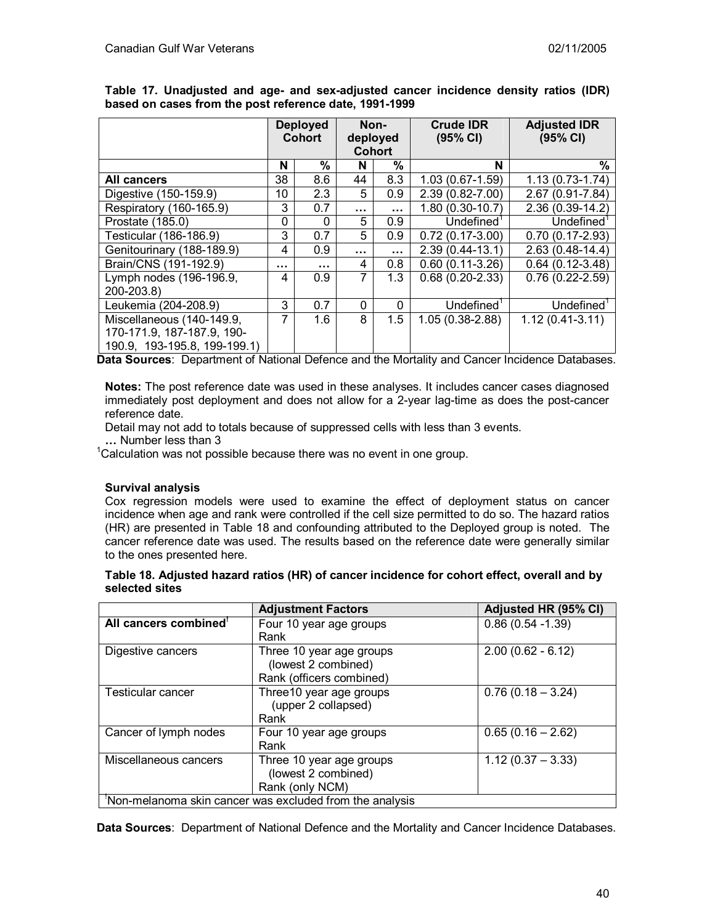|                                                                                         |    | <b>Deployed</b><br><b>Cohort</b> |          | Non-<br>deployed<br><b>Cohort</b> | <b>Crude IDR</b><br>(95% CI)  | <b>Adjusted IDR</b><br>(95% CI) |
|-----------------------------------------------------------------------------------------|----|----------------------------------|----------|-----------------------------------|-------------------------------|---------------------------------|
|                                                                                         | N  | %                                | N        | %                                 | N                             | %                               |
| All cancers                                                                             | 38 | 8.6                              | 44       | 8.3                               | $\overline{1.03}$ (0.67-1.59) | $1.13(0.73-1.74)$               |
| Digestive (150-159.9)                                                                   | 10 | 2.3                              | 5        | 0.9                               | 2.39 (0.82-7.00)              | 2.67 (0.91-7.84)                |
| Respiratory (160-165.9)                                                                 | 3  | 0.7                              | .        | $\cdots$                          | $1.80(0.30-10.7)$             | 2.36 (0.39-14.2)                |
| Prostate (185.0)                                                                        | 0  | 0                                | 5        | 0.9                               | Underined <sup>1</sup>        | $\overline{Undefined}^1$        |
| Testicular (186-186.9)                                                                  | 3  | 0.7                              | 5        | 0.9                               | $0.72(0.17-3.00)$             | $0.70(0.17-2.93)$               |
| Genitourinary (188-189.9)                                                               | 4  | 0.9                              |          | $\cdots$                          | $2.39(0.44-13.1)$             | $2.63(0.48-14.4)$               |
| Brain/CNS (191-192.9)                                                                   |    |                                  | 4        | 0.8                               | $0.60(0.11-3.26)$             | $0.64(0.12-3.48)$               |
| Lymph nodes (196-196.9,<br>200-203.8)                                                   | 4  | 0.9                              | 7        | 1.3                               | $0.68(0.20-2.33)$             | $0.76(0.22 - 2.59)$             |
| Leukemia (204-208.9)                                                                    | 3  | 0.7                              | $\Omega$ | $\mathbf{0}$                      | Undefined $1$                 | Undefined $1$                   |
| Miscellaneous (140-149.9,<br>170-171.9, 187-187.9, 190-<br>190.9, 193-195.8, 199-199.1) | 7  | 1.6                              | 8        | 1.5                               | $1.05(0.38-2.88)$             | $1.12(0.41-3.11)$               |

**Table 17. Unadjusted and age- and sex-adjusted cancer incidence density ratios (IDR) based on cases from the post reference date, 1991-1999**

**Data Sources**: Department of National Defence and the Mortality and Cancer Incidence Databases.

**Notes:** The post reference date was used in these analyses. It includes cancer cases diagnosed immediately post deployment and does not allow for a 2-year lag-time as does the post-cancer reference date.

Detail may not add to totals because of suppressed cells with less than 3 events.

**…** Number less than 3

 $1$ Calculation was not possible because there was no event in one group.

## **Survival analysis**

Cox regression models were used to examine the effect of deployment status on cancer incidence when age and rank were controlled if the cell size permitted to do so. The hazard ratios (HR) are presented in Table 18 and confounding attributed to the Deployed group is noted. The cancer reference date was used. The results based on the reference date were generally similar to the ones presented here.

| Table 18. Adjusted hazard ratios (HR) of cancer incidence for cohort effect, overall and by |  |
|---------------------------------------------------------------------------------------------|--|
| selected sites                                                                              |  |

|                                                         | <b>Adjustment Factors</b>                                                   | Adjusted HR (95% CI) |  |  |  |
|---------------------------------------------------------|-----------------------------------------------------------------------------|----------------------|--|--|--|
| All cancers combined <sup>'</sup>                       | Four 10 year age groups                                                     | $0.86(0.54 - 1.39)$  |  |  |  |
|                                                         | Rank                                                                        |                      |  |  |  |
| Digestive cancers                                       | Three 10 year age groups<br>(lowest 2 combined)<br>Rank (officers combined) | $2.00(0.62 - 6.12)$  |  |  |  |
| Testicular cancer                                       | Three10 year age groups<br>(upper 2 collapsed)<br>Rank                      | $0.76(0.18 - 3.24)$  |  |  |  |
| Cancer of lymph nodes                                   | Four 10 year age groups<br>Rank                                             | $0.65(0.16 - 2.62)$  |  |  |  |
| Miscellaneous cancers                                   | Three 10 year age groups<br>(lowest 2 combined)<br>Rank (only NCM)          | $1.12(0.37 - 3.33)$  |  |  |  |
| Non-melanoma skin cancer was excluded from the analysis |                                                                             |                      |  |  |  |

**Data Sources**: Department of National Defence and the Mortality and Cancer Incidence Databases.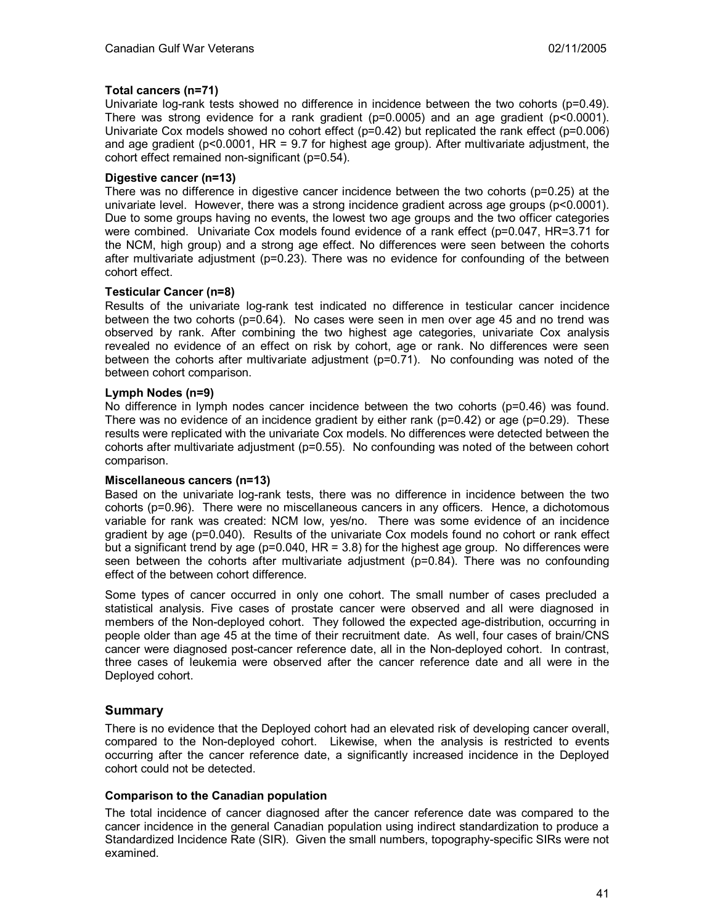## **Total cancers (n=71)**

Univariate log-rank tests showed no difference in incidence between the two cohorts (p=0.49). There was strong evidence for a rank gradient ( $p=0.0005$ ) and an age gradient ( $p<0.0001$ ). Univariate Cox models showed no cohort effect  $(p=0.42)$  but replicated the rank effect  $(p=0.006)$ and age gradient ( $p$ <0.0001, HR = 9.7 for highest age group). After multivariate adjustment, the cohort effect remained non-significant (p=0.54).

## **Digestive cancer (n=13)**

There was no difference in digestive cancer incidence between the two cohorts (p=0.25) at the univariate level. However, there was a strong incidence gradient across age groups (p<0.0001). Due to some groups having no events, the lowest two age groups and the two officer categories were combined. Univariate Cox models found evidence of a rank effect (p=0.047, HR=3.71 for the NCM, high group) and a strong age effect. No differences were seen between the cohorts after multivariate adjustment ( $p=0.23$ ). There was no evidence for confounding of the between cohort effect.

## **Testicular Cancer (n=8)**

Results of the univariate log-rank test indicated no difference in testicular cancer incidence between the two cohorts (p=0.64). No cases were seen in men over age 45 and no trend was observed by rank. After combining the two highest age categories, univariate Cox analysis revealed no evidence of an effect on risk by cohort, age or rank. No differences were seen between the cohorts after multivariate adjustment ( $p=0.71$ ). No confounding was noted of the between cohort comparison.

## **Lymph Nodes (n=9)**

No difference in lymph nodes cancer incidence between the two cohorts (p=0.46) was found. There was no evidence of an incidence gradient by either rank ( $p=0.42$ ) or age ( $p=0.29$ ). These results were replicated with the univariate Cox models. No differences were detected between the cohorts after multivariate adjustment (p=0.55). No confounding was noted of the between cohort comparison.

#### **Miscellaneous cancers (n=13)**

Based on the univariate log-rank tests, there was no difference in incidence between the two cohorts (p=0.96). There were no miscellaneous cancers in any officers. Hence, a dichotomous variable for rank was created: NCM low, yes/no. There was some evidence of an incidence gradient by age (p=0.040). Results of the univariate Cox models found no cohort or rank effect but a significant trend by age ( $p=0.040$ , HR = 3.8) for the highest age group. No differences were seen between the cohorts after multivariate adjustment (p=0.84). There was no confounding effect of the between cohort difference.

Some types of cancer occurred in only one cohort. The small number of cases precluded a statistical analysis. Five cases of prostate cancer were observed and all were diagnosed in members of the Non-deployed cohort. They followed the expected age-distribution, occurring in people older than age 45 at the time of their recruitment date. As well, four cases of brain/CNS cancer were diagnosed post-cancer reference date, all in the Non-deployed cohort. In contrast, three cases of leukemia were observed after the cancer reference date and all were in the Deployed cohort.

## **Summary**

There is no evidence that the Deployed cohort had an elevated risk of developing cancer overall, compared to the Non-deployed cohort. Likewise, when the analysis is restricted to events occurring after the cancer reference date, a significantly increased incidence in the Deployed cohort could not be detected.

## **Comparison to the Canadian population**

The total incidence of cancer diagnosed after the cancer reference date was compared to the cancer incidence in the general Canadian population using indirect standardization to produce a Standardized Incidence Rate (SIR). Given the small numbers, topography-specific SIRs were not examined.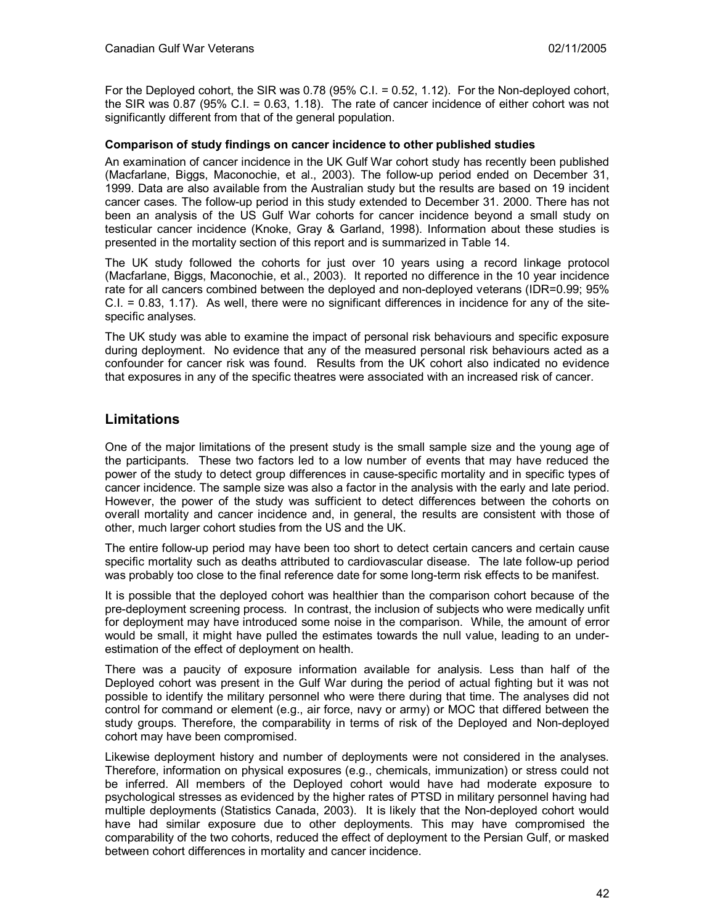For the Deployed cohort, the SIR was 0.78 (95% C.I. = 0.52, 1.12). For the Non-deployed cohort, the SIR was 0.87 (95% C.I. = 0.63, 1.18). The rate of cancer incidence of either cohort was not significantly different from that of the general population.

## **Comparison of study findings on cancer incidence to other published studies**

An examination of cancer incidence in the UK Gulf War cohort study has recently been published (Macfarlane, Biggs, Maconochie, et al., 2003). The follow-up period ended on December 31, 1999. Data are also available from the Australian study but the results are based on 19 incident cancer cases. The follow-up period in this study extended to December 31. 2000. There has not been an analysis of the US Gulf War cohorts for cancer incidence beyond a small study on testicular cancer incidence (Knoke, Gray & Garland, 1998). Information about these studies is presented in the mortality section of this report and is summarized in Table 14.

The UK study followed the cohorts for just over 10 years using a record linkage protocol (Macfarlane, Biggs, Maconochie, et al., 2003). It reported no difference in the 10 year incidence rate for all cancers combined between the deployed and non-deployed veterans (IDR=0.99; 95% C.I. = 0.83, 1.17). As well, there were no significant differences in incidence for any of the sitespecific analyses.

The UK study was able to examine the impact of personal risk behaviours and specific exposure during deployment. No evidence that any of the measured personal risk behaviours acted as a confounder for cancer risk was found. Results from the UK cohort also indicated no evidence that exposures in any of the specific theatres were associated with an increased risk of cancer.

# **Limitations**

One of the major limitations of the present study is the small sample size and the young age of the participants. These two factors led to a low number of events that may have reduced the power of the study to detect group differences in cause-specific mortality and in specific types of cancer incidence. The sample size was also a factor in the analysis with the early and late period. However, the power of the study was sufficient to detect differences between the cohorts on overall mortality and cancer incidence and, in general, the results are consistent with those of other, much larger cohort studies from the US and the UK.

The entire follow-up period may have been too short to detect certain cancers and certain cause specific mortality such as deaths attributed to cardiovascular disease. The late follow-up period was probably too close to the final reference date for some long-term risk effects to be manifest.

It is possible that the deployed cohort was healthier than the comparison cohort because of the pre-deployment screening process. In contrast, the inclusion of subjects who were medically unfit for deployment may have introduced some noise in the comparison. While, the amount of error would be small, it might have pulled the estimates towards the null value, leading to an underestimation of the effect of deployment on health.

There was a paucity of exposure information available for analysis. Less than half of the Deployed cohort was present in the Gulf War during the period of actual fighting but it was not possible to identify the military personnel who were there during that time. The analyses did not control for command or element (e.g., air force, navy or army) or MOC that differed between the study groups. Therefore, the comparability in terms of risk of the Deployed and Non-deployed cohort may have been compromised.

Likewise deployment history and number of deployments were not considered in the analyses. Therefore, information on physical exposures (e.g., chemicals, immunization) or stress could not be inferred. All members of the Deployed cohort would have had moderate exposure to psychological stresses as evidenced by the higher rates of PTSD in military personnel having had multiple deployments (Statistics Canada, 2003). It is likely that the Non-deployed cohort would have had similar exposure due to other deployments. This may have compromised the comparability of the two cohorts, reduced the effect of deployment to the Persian Gulf, or masked between cohort differences in mortality and cancer incidence.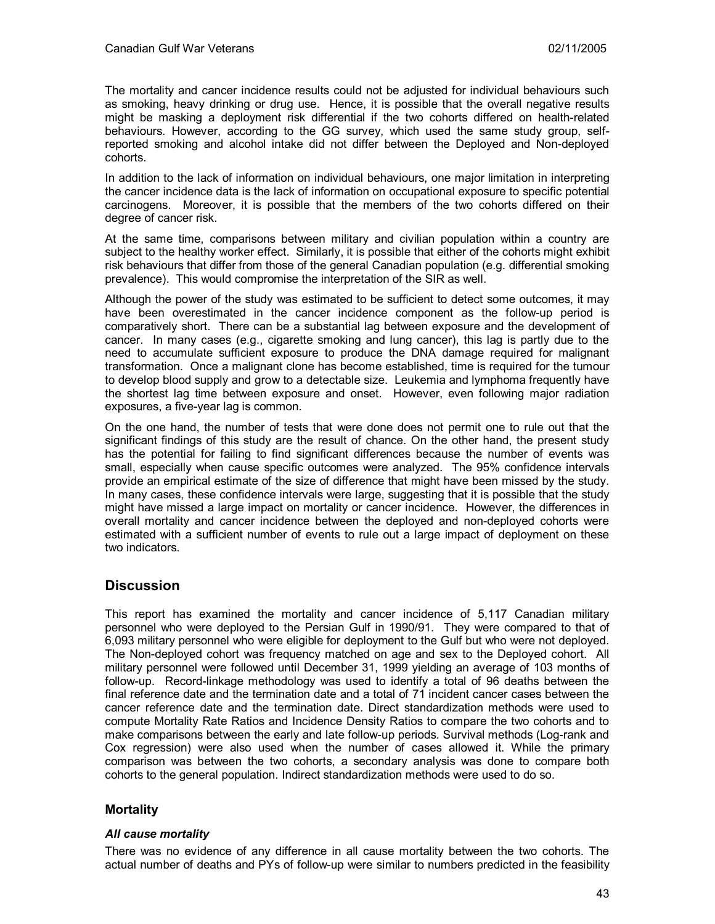The mortality and cancer incidence results could not be adjusted for individual behaviours such as smoking, heavy drinking or drug use. Hence, it is possible that the overall negative results might be masking a deployment risk differential if the two cohorts differed on health-related behaviours. However, according to the GG survey, which used the same study group, selfreported smoking and alcohol intake did not differ between the Deployed and Non-deployed cohorts.

In addition to the lack of information on individual behaviours, one major limitation in interpreting the cancer incidence data is the lack of information on occupational exposure to specific potential carcinogens. Moreover, it is possible that the members of the two cohorts differed on their degree of cancer risk.

At the same time, comparisons between military and civilian population within a country are subject to the healthy worker effect. Similarly, it is possible that either of the cohorts might exhibit risk behaviours that differ from those of the general Canadian population (e.g. differential smoking prevalence). This would compromise the interpretation of the SIR as well.

Although the power of the study was estimated to be sufficient to detect some outcomes, it may have been overestimated in the cancer incidence component as the follow-up period is comparatively short. There can be a substantial lag between exposure and the development of cancer. In many cases (e.g., cigarette smoking and lung cancer), this lag is partly due to the need to accumulate sufficient exposure to produce the DNA damage required for malignant transformation. Once a malignant clone has become established, time is required for the tumour to develop blood supply and grow to a detectable size. Leukemia and lymphoma frequently have the shortest lag time between exposure and onset. However, even following major radiation exposures, a five-year lag is common.

On the one hand, the number of tests that were done does not permit one to rule out that the significant findings of this study are the result of chance. On the other hand, the present study has the potential for failing to find significant differences because the number of events was small, especially when cause specific outcomes were analyzed. The 95% confidence intervals provide an empirical estimate of the size of difference that might have been missed by the study. In many cases, these confidence intervals were large, suggesting that it is possible that the study might have missed a large impact on mortality or cancer incidence. However, the differences in overall mortality and cancer incidence between the deployed and non-deployed cohorts were estimated with a sufficient number of events to rule out a large impact of deployment on these two indicators.

# **Discussion**

This report has examined the mortality and cancer incidence of 5,117 Canadian military personnel who were deployed to the Persian Gulf in 1990/91. They were compared to that of 6,093 military personnel who were eligible for deployment to the Gulf but who were not deployed. The Non-deployed cohort was frequency matched on age and sex to the Deployed cohort. All military personnel were followed until December 31, 1999 yielding an average of 103 months of follow-up. Record-linkage methodology was used to identify a total of 96 deaths between the final reference date and the termination date and a total of 71 incident cancer cases between the cancer reference date and the termination date. Direct standardization methods were used to compute Mortality Rate Ratios and Incidence Density Ratios to compare the two cohorts and to make comparisons between the early and late follow-up periods. Survival methods (Log-rank and Cox regression) were also used when the number of cases allowed it. While the primary comparison was between the two cohorts, a secondary analysis was done to compare both cohorts to the general population. Indirect standardization methods were used to do so.

# **Mortality**

## *All cause mortality*

There was no evidence of any difference in all cause mortality between the two cohorts. The actual number of deaths and PYs of follow-up were similar to numbers predicted in the feasibility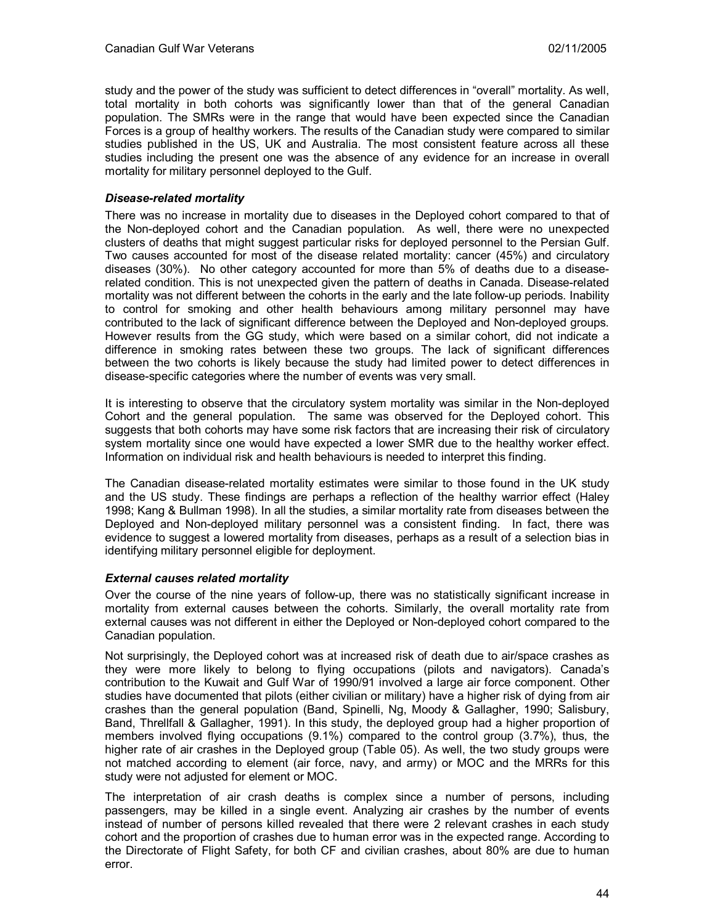study and the power of the study was sufficient to detect differences in "overall" mortality. As well, total mortality in both cohorts was significantly lower than that of the general Canadian population. The SMRs were in the range that would have been expected since the Canadian Forces is a group of healthy workers. The results of the Canadian study were compared to similar studies published in the US, UK and Australia. The most consistent feature across all these studies including the present one was the absence of any evidence for an increase in overall mortality for military personnel deployed to the Gulf.

### *Disease-related mortality*

There was no increase in mortality due to diseases in the Deployed cohort compared to that of the Non-deployed cohort and the Canadian population. As well, there were no unexpected clusters of deaths that might suggest particular risks for deployed personnel to the Persian Gulf. Two causes accounted for most of the disease related mortality: cancer (45%) and circulatory diseases (30%). No other category accounted for more than 5% of deaths due to a diseaserelated condition. This is not unexpected given the pattern of deaths in Canada. Disease-related mortality was not different between the cohorts in the early and the late follow-up periods. Inability to control for smoking and other health behaviours among military personnel may have contributed to the lack of significant difference between the Deployed and Non-deployed groups. However results from the GG study, which were based on a similar cohort, did not indicate a difference in smoking rates between these two groups. The lack of significant differences between the two cohorts is likely because the study had limited power to detect differences in disease-specific categories where the number of events was very small.

It is interesting to observe that the circulatory system mortality was similar in the Non-deployed Cohort and the general population. The same was observed for the Deployed cohort. This suggests that both cohorts may have some risk factors that are increasing their risk of circulatory system mortality since one would have expected a lower SMR due to the healthy worker effect. Information on individual risk and health behaviours is needed to interpret this finding.

The Canadian disease-related mortality estimates were similar to those found in the UK study and the US study. These findings are perhaps a reflection of the healthy warrior effect (Haley 1998; Kang & Bullman 1998). In all the studies, a similar mortality rate from diseases between the Deployed and Non-deployed military personnel was a consistent finding. In fact, there was evidence to suggest a lowered mortality from diseases, perhaps as a result of a selection bias in identifying military personnel eligible for deployment.

#### *External causes related mortality*

Over the course of the nine years of follow-up, there was no statistically significant increase in mortality from external causes between the cohorts. Similarly, the overall mortality rate from external causes was not different in either the Deployed or Non-deployed cohort compared to the Canadian population.

Not surprisingly, the Deployed cohort was at increased risk of death due to air/space crashes as they were more likely to belong to flying occupations (pilots and navigators). Canada's contribution to the Kuwait and Gulf War of 1990/91 involved a large air force component. Other studies have documented that pilots (either civilian or military) have a higher risk of dying from air crashes than the general population (Band, Spinelli, Ng, Moody & Gallagher, 1990; Salisbury, Band, Threllfall & Gallagher, 1991). In this study, the deployed group had a higher proportion of members involved flying occupations (9.1%) compared to the control group (3.7%), thus, the higher rate of air crashes in the Deployed group (Table 05). As well, the two study groups were not matched according to element (air force, navy, and army) or MOC and the MRRs for this study were not adjusted for element or MOC.

The interpretation of air crash deaths is complex since a number of persons, including passengers, may be killed in a single event. Analyzing air crashes by the number of events instead of number of persons killed revealed that there were 2 relevant crashes in each study cohort and the proportion of crashes due to human error was in the expected range. According to the Directorate of Flight Safety, for both CF and civilian crashes, about 80% are due to human error.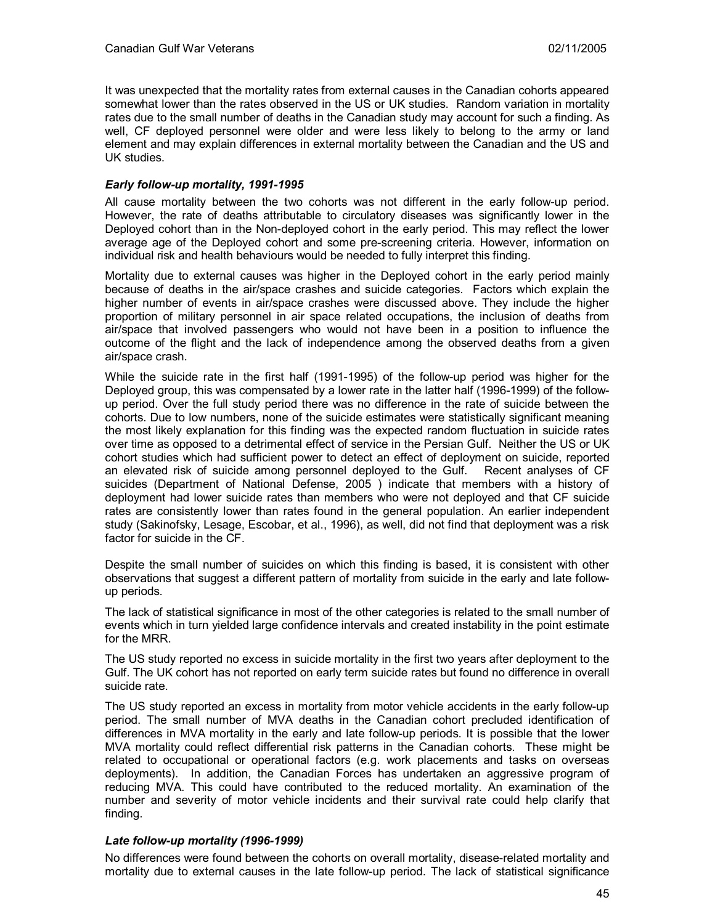It was unexpected that the mortality rates from external causes in the Canadian cohorts appeared somewhat lower than the rates observed in the US or UK studies. Random variation in mortality rates due to the small number of deaths in the Canadian study may account for such a finding. As well, CF deployed personnel were older and were less likely to belong to the army or land element and may explain differences in external mortality between the Canadian and the US and UK studies.

### *Early follow-up mortality, 1991-1995*

All cause mortality between the two cohorts was not different in the early follow-up period. However, the rate of deaths attributable to circulatory diseases was significantly lower in the Deployed cohort than in the Non-deployed cohort in the early period. This may reflect the lower average age of the Deployed cohort and some pre-screening criteria. However, information on individual risk and health behaviours would be needed to fully interpret this finding.

Mortality due to external causes was higher in the Deployed cohort in the early period mainly because of deaths in the air/space crashes and suicide categories. Factors which explain the higher number of events in air/space crashes were discussed above. They include the higher proportion of military personnel in air space related occupations, the inclusion of deaths from air/space that involved passengers who would not have been in a position to influence the outcome of the flight and the lack of independence among the observed deaths from a given air/space crash.

While the suicide rate in the first half (1991-1995) of the follow-up period was higher for the Deployed group, this was compensated by a lower rate in the latter half (1996-1999) of the followup period. Over the full study period there was no difference in the rate of suicide between the cohorts. Due to low numbers, none of the suicide estimates were statistically significant meaning the most likely explanation for this finding was the expected random fluctuation in suicide rates over time as opposed to a detrimental effect of service in the Persian Gulf. Neither the US or UK cohort studies which had sufficient power to detect an effect of deployment on suicide, reported an elevated risk of suicide among personnel deployed to the Gulf. Recent analyses of CF suicides (Department of National Defense, 2005 ) indicate that members with a history of deployment had lower suicide rates than members who were not deployed and that CF suicide rates are consistently lower than rates found in the general population. An earlier independent study (Sakinofsky, Lesage, Escobar, et al., 1996), as well, did not find that deployment was a risk factor for suicide in the CF.

Despite the small number of suicides on which this finding is based, it is consistent with other observations that suggest a different pattern of mortality from suicide in the early and late followup periods.

The lack of statistical significance in most of the other categories is related to the small number of events which in turn yielded large confidence intervals and created instability in the point estimate for the MRR.

The US study reported no excess in suicide mortality in the first two years after deployment to the Gulf. The UK cohort has not reported on early term suicide rates but found no difference in overall suicide rate.

The US study reported an excess in mortality from motor vehicle accidents in the early follow-up period. The small number of MVA deaths in the Canadian cohort precluded identification of differences in MVA mortality in the early and late follow-up periods. It is possible that the lower MVA mortality could reflect differential risk patterns in the Canadian cohorts. These might be related to occupational or operational factors (e.g. work placements and tasks on overseas deployments). In addition, the Canadian Forces has undertaken an aggressive program of reducing MVA. This could have contributed to the reduced mortality. An examination of the number and severity of motor vehicle incidents and their survival rate could help clarify that finding.

#### *Late follow-up mortality (1996-1999)*

No differences were found between the cohorts on overall mortality, disease-related mortality and mortality due to external causes in the late follow-up period. The lack of statistical significance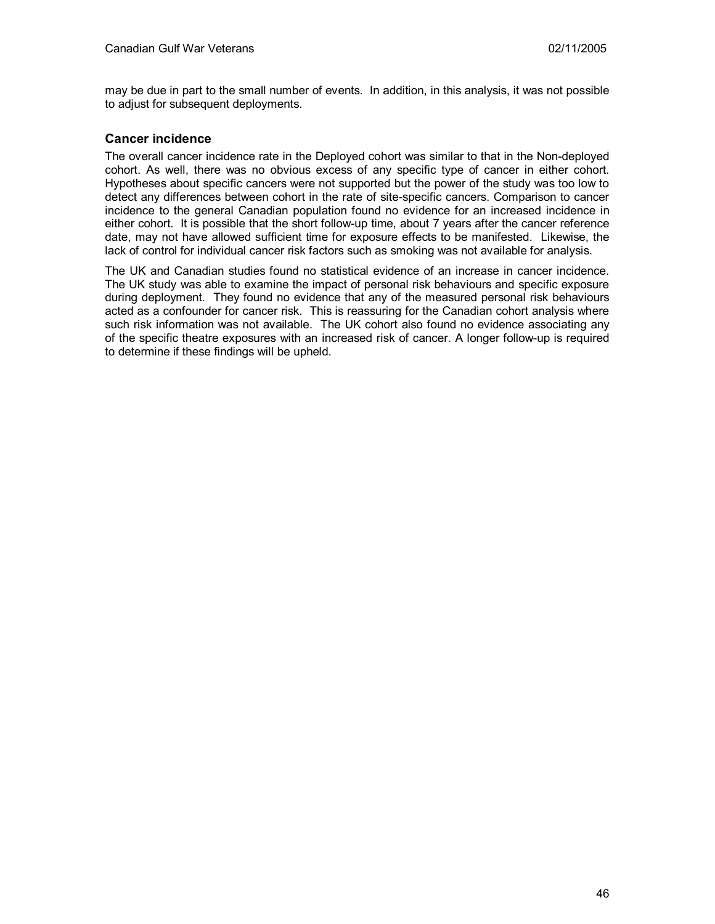may be due in part to the small number of events. In addition, in this analysis, it was not possible to adjust for subsequent deployments.

## **Cancer incidence**

The overall cancer incidence rate in the Deployed cohort was similar to that in the Non-deployed cohort. As well, there was no obvious excess of any specific type of cancer in either cohort. Hypotheses about specific cancers were not supported but the power of the study was too low to detect any differences between cohort in the rate of site-specific cancers. Comparison to cancer incidence to the general Canadian population found no evidence for an increased incidence in either cohort. It is possible that the short follow-up time, about 7 years after the cancer reference date, may not have allowed sufficient time for exposure effects to be manifested. Likewise, the lack of control for individual cancer risk factors such as smoking was not available for analysis.

The UK and Canadian studies found no statistical evidence of an increase in cancer incidence. The UK study was able to examine the impact of personal risk behaviours and specific exposure during deployment. They found no evidence that any of the measured personal risk behaviours acted as a confounder for cancer risk. This is reassuring for the Canadian cohort analysis where such risk information was not available. The UK cohort also found no evidence associating any of the specific theatre exposures with an increased risk of cancer. A longer follow-up is required to determine if these findings will be upheld.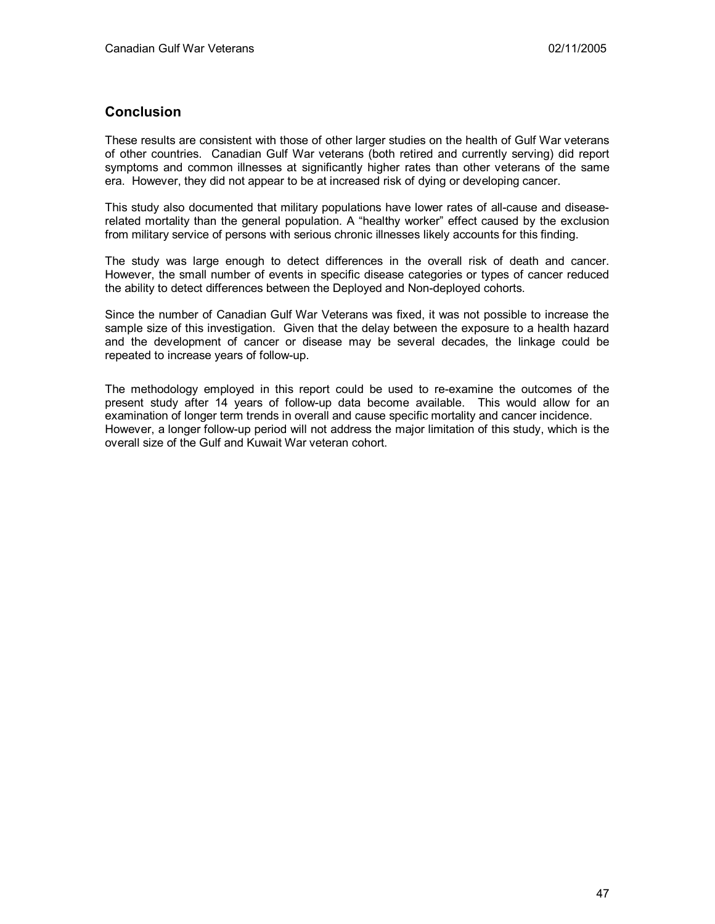# **Conclusion**

These results are consistent with those of other larger studies on the health of Gulf War veterans of other countries. Canadian Gulf War veterans (both retired and currently serving) did report symptoms and common illnesses at significantly higher rates than other veterans of the same era. However, they did not appear to be at increased risk of dying or developing cancer.

This study also documented that military populations have lower rates of all-cause and diseaserelated mortality than the general population. A "healthy worker" effect caused by the exclusion from military service of persons with serious chronic illnesses likely accounts for this finding.

The study was large enough to detect differences in the overall risk of death and cancer. However, the small number of events in specific disease categories or types of cancer reduced the ability to detect differences between the Deployed and Non-deployed cohorts.

Since the number of Canadian Gulf War Veterans was fixed, it was not possible to increase the sample size of this investigation. Given that the delay between the exposure to a health hazard and the development of cancer or disease may be several decades, the linkage could be repeated to increase years of follow-up.

The methodology employed in this report could be used to re-examine the outcomes of the present study after 14 years of follow-up data become available. This would allow for an examination of longer term trends in overall and cause specific mortality and cancer incidence. However, a longer follow-up period will not address the major limitation of this study, which is the overall size of the Gulf and Kuwait War veteran cohort.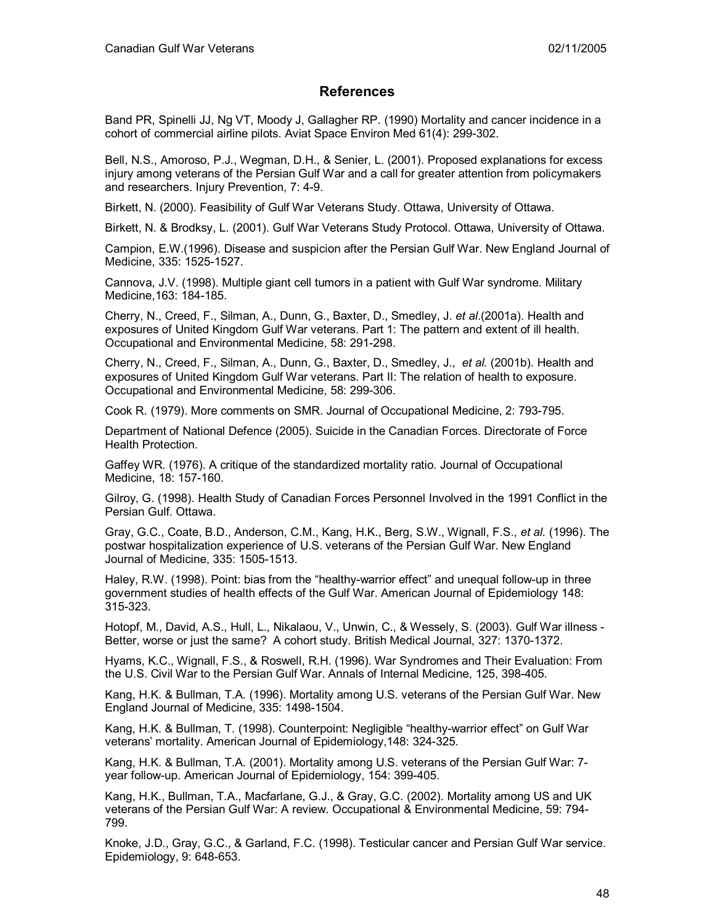# **References**

Band PR, Spinelli JJ, Ng VT, Moody J, Gallagher RP. (1990) Mortality and cancer incidence in a cohort of commercial airline pilots. Aviat Space Environ Med 61(4): 299-302.

Bell, N.S., Amoroso, P.J., Wegman, D.H., & Senier, L. (2001). Proposed explanations for excess injury among veterans of the Persian Gulf War and a call for greater attention from policymakers and researchers. Injury Prevention, 7: 4-9.

Birkett, N. (2000). Feasibility of Gulf War Veterans Study. Ottawa, University of Ottawa.

Birkett, N. & Brodksy, L. (2001). Gulf War Veterans Study Protocol. Ottawa, University of Ottawa.

Campion, E.W.(1996). Disease and suspicion after the Persian Gulf War. New England Journal of Medicine, 335: 1525-1527.

Cannova, J.V. (1998). Multiple giant cell tumors in a patient with Gulf War syndrome. Military Medicine,163: 184-185.

Cherry, N., Creed, F., Silman, A., Dunn, G., Baxter, D., Smedley, J. *et al*.(2001a). Health and exposures of United Kingdom Gulf War veterans. Part 1: The pattern and extent of ill health. Occupational and Environmental Medicine, 58: 291-298.

Cherry, N., Creed, F., Silman, A., Dunn, G., Baxter, D., Smedley, J., *et al.* (2001b). Health and exposures of United Kingdom Gulf War veterans. Part II: The relation of health to exposure. Occupational and Environmental Medicine, 58: 299-306.

Cook R. (1979). More comments on SMR. Journal of Occupational Medicine, 2: 793-795.

Department of National Defence (2005). Suicide in the Canadian Forces. Directorate of Force Health Protection.

Gaffey WR. (1976). A critique of the standardized mortality ratio. Journal of Occupational Medicine, 18: 157-160.

Gilroy, G. (1998). Health Study of Canadian Forces Personnel Involved in the 1991 Conflict in the Persian Gulf. Ottawa.

Gray, G.C., Coate, B.D., Anderson, C.M., Kang, H.K., Berg, S.W., Wignall, F.S., *et al.* (1996). The postwar hospitalization experience of U.S. veterans of the Persian Gulf War. New England Journal of Medicine, 335: 1505-1513.

Haley, R.W. (1998). Point: bias from the "healthy-warrior effect" and unequal follow-up in three government studies of health effects of the Gulf War. American Journal of Epidemiology 148: 315-323.

Hotopf, M., David, A.S., Hull, L., Nikalaou, V., Unwin, C., & Wessely, S. (2003). Gulf War illness - Better, worse or just the same? A cohort study. British Medical Journal, 327: 1370-1372.

Hyams, K.C., Wignall, F.S., & Roswell, R.H. (1996). War Syndromes and Their Evaluation: From the U.S. Civil War to the Persian Gulf War. Annals of Internal Medicine, 125, 398-405.

Kang, H.K. & Bullman, T.A. (1996). Mortality among U.S. veterans of the Persian Gulf War. New England Journal of Medicine, 335: 1498-1504.

Kang, H.K. & Bullman, T. (1998). Counterpoint: Negligible "healthy-warrior effect" on Gulf War veterans' mortality. American Journal of Epidemiology,148: 324-325.

Kang, H.K. & Bullman, T.A. (2001). Mortality among U.S. veterans of the Persian Gulf War: 7 year follow-up. American Journal of Epidemiology, 154: 399-405.

Kang, H.K., Bullman, T.A., Macfarlane, G.J., & Gray, G.C. (2002). Mortality among US and UK veterans of the Persian Gulf War: A review. Occupational & Environmental Medicine, 59: 794- 799.

Knoke, J.D., Gray, G.C., & Garland, F.C. (1998). Testicular cancer and Persian Gulf War service. Epidemiology, 9: 648-653.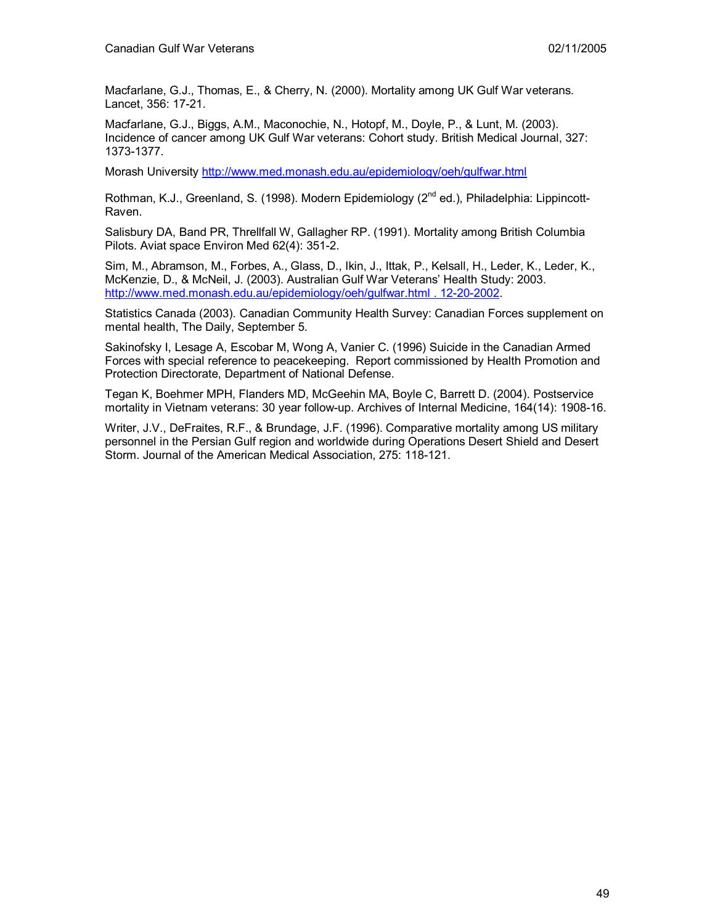Macfarlane, G.J., Thomas, E., & Cherry, N. (2000). Mortality among UK Gulf War veterans. Lancet, 356: 17-21.

Macfarlane, G.J., Biggs, A.M., Maconochie, N., Hotopf, M., Doyle, P., & Lunt, M. (2003). Incidence of cancer among UK Gulf War veterans: Cohort study. British Medical Journal, 327: 1373-1377.

Morash University http://www.med.monash.edu.au/epidemiology/oeh/gulfwar.html

Rothman, K.J., Greenland, S. (1998). Modern Epidemiology (2<sup>nd</sup> ed.), Philadelphia: Lippincott-Raven.

Salisbury DA, Band PR, Threllfall W, Gallagher RP. (1991). Mortality among British Columbia Pilots. Aviat space Environ Med 62(4): 351-2.

Sim, M., Abramson, M., Forbes, A., Glass, D., Ikin, J., Ittak, P., Kelsall, H., Leder, K., Leder, K., McKenzie, D., & McNeil, J. (2003). Australian Gulf War Veterans' Health Study: 2003. http://www.med.monash.edu.au/epidemiology/oeh/gulfwar.html . 12-20-2002.

Statistics Canada (2003). Canadian Community Health Survey: Canadian Forces supplement on mental health, The Daily, September 5.

Sakinofsky I, Lesage A, Escobar M, Wong A, Vanier C. (1996) Suicide in the Canadian Armed Forces with special reference to peacekeeping. Report commissioned by Health Promotion and Protection Directorate, Department of National Defense.

Tegan K, Boehmer MPH, Flanders MD, McGeehin MA, Boyle C, Barrett D. (2004). Postservice mortality in Vietnam veterans: 30 year follow-up. Archives of Internal Medicine, 164(14): 1908-16.

Writer, J.V., DeFraites, R.F., & Brundage, J.F. (1996). Comparative mortality among US military personnel in the Persian Gulf region and worldwide during Operations Desert Shield and Desert Storm. Journal of the American Medical Association, 275: 118-121.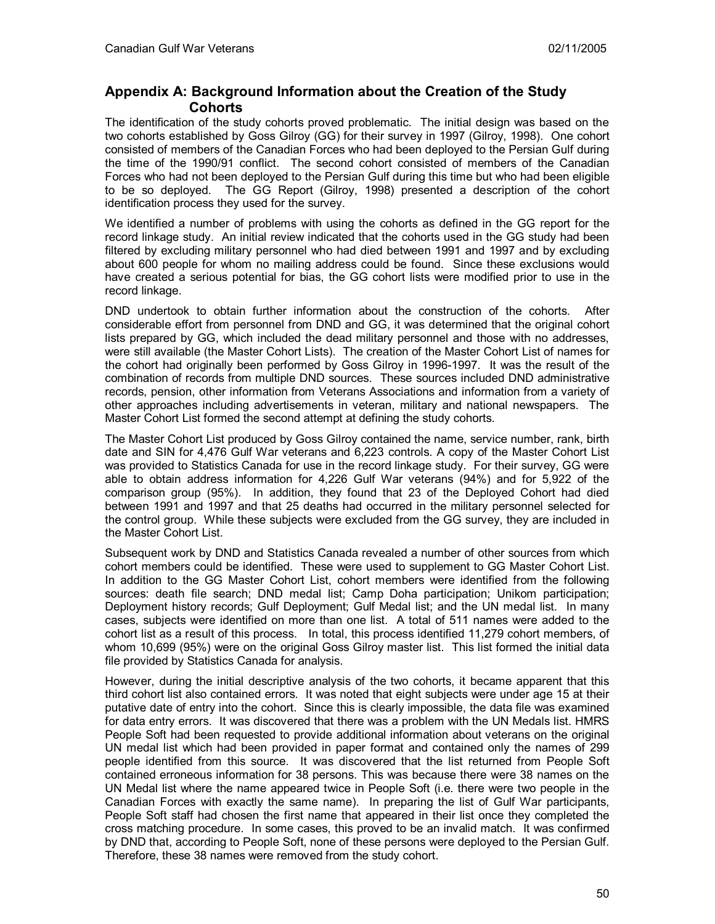# **Appendix A: Background Information about the Creation of the Study Cohorts**

The identification of the study cohorts proved problematic. The initial design was based on the two cohorts established by Goss Gilroy (GG) for their survey in 1997 (Gilroy, 1998). One cohort consisted of members of the Canadian Forces who had been deployed to the Persian Gulf during the time of the 1990/91 conflict. The second cohort consisted of members of the Canadian Forces who had not been deployed to the Persian Gulf during this time but who had been eligible to be so deployed. The GG Report (Gilroy, 1998) presented a description of the cohort identification process they used for the survey.

We identified a number of problems with using the cohorts as defined in the GG report for the record linkage study. An initial review indicated that the cohorts used in the GG study had been filtered by excluding military personnel who had died between 1991 and 1997 and by excluding about 600 people for whom no mailing address could be found. Since these exclusions would have created a serious potential for bias, the GG cohort lists were modified prior to use in the record linkage.

DND undertook to obtain further information about the construction of the cohorts. After considerable effort from personnel from DND and GG, it was determined that the original cohort lists prepared by GG, which included the dead military personnel and those with no addresses, were still available (the Master Cohort Lists). The creation of the Master Cohort List of names for the cohort had originally been performed by Goss Gilroy in 1996-1997. It was the result of the combination of records from multiple DND sources. These sources included DND administrative records, pension, other information from Veterans Associations and information from a variety of other approaches including advertisements in veteran, military and national newspapers. The Master Cohort List formed the second attempt at defining the study cohorts.

The Master Cohort List produced by Goss Gilroy contained the name, service number, rank, birth date and SIN for 4,476 Gulf War veterans and 6,223 controls. A copy of the Master Cohort List was provided to Statistics Canada for use in the record linkage study. For their survey, GG were able to obtain address information for 4,226 Gulf War veterans (94%) and for 5,922 of the comparison group (95%). In addition, they found that 23 of the Deployed Cohort had died between 1991 and 1997 and that 25 deaths had occurred in the military personnel selected for the control group. While these subjects were excluded from the GG survey, they are included in the Master Cohort List.

Subsequent work by DND and Statistics Canada revealed a number of other sources from which cohort members could be identified. These were used to supplement to GG Master Cohort List. In addition to the GG Master Cohort List, cohort members were identified from the following sources: death file search; DND medal list; Camp Doha participation; Unikom participation; Deployment history records; Gulf Deployment; Gulf Medal list; and the UN medal list. In many cases, subjects were identified on more than one list. A total of 511 names were added to the cohort list as a result of this process. In total, this process identified 11,279 cohort members, of whom 10,699 (95%) were on the original Goss Gilroy master list. This list formed the initial data file provided by Statistics Canada for analysis.

However, during the initial descriptive analysis of the two cohorts, it became apparent that this third cohort list also contained errors. It was noted that eight subjects were under age 15 at their putative date of entry into the cohort. Since this is clearly impossible, the data file was examined for data entry errors. It was discovered that there was a problem with the UN Medals list. HMRS People Soft had been requested to provide additional information about veterans on the original UN medal list which had been provided in paper format and contained only the names of 299 people identified from this source. It was discovered that the list returned from People Soft contained erroneous information for 38 persons. This was because there were 38 names on the UN Medal list where the name appeared twice in People Soft (i.e. there were two people in the Canadian Forces with exactly the same name). In preparing the list of Gulf War participants, People Soft staff had chosen the first name that appeared in their list once they completed the cross matching procedure. In some cases, this proved to be an invalid match. It was confirmed by DND that, according to People Soft, none of these persons were deployed to the Persian Gulf. Therefore, these 38 names were removed from the study cohort.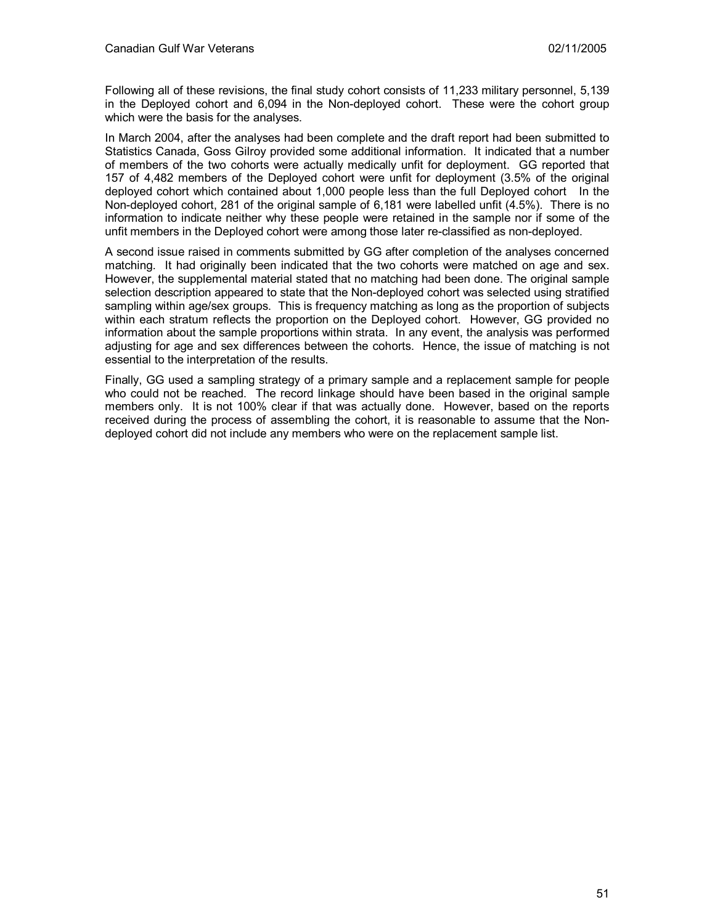Following all of these revisions, the final study cohort consists of 11,233 military personnel, 5,139 in the Deployed cohort and 6,094 in the Non-deployed cohort. These were the cohort group which were the basis for the analyses.

In March 2004, after the analyses had been complete and the draft report had been submitted to Statistics Canada, Goss Gilroy provided some additional information. It indicated that a number of members of the two cohorts were actually medically unfit for deployment. GG reported that 157 of 4,482 members of the Deployed cohort were unfit for deployment (3.5% of the original deployed cohort which contained about 1,000 people less than the full Deployed cohort In the Non-deployed cohort, 281 of the original sample of 6,181 were labelled unfit (4.5%). There is no information to indicate neither why these people were retained in the sample nor if some of the unfit members in the Deployed cohort were among those later re-classified as non-deployed.

A second issue raised in comments submitted by GG after completion of the analyses concerned matching. It had originally been indicated that the two cohorts were matched on age and sex. However, the supplemental material stated that no matching had been done. The original sample selection description appeared to state that the Non-deployed cohort was selected using stratified sampling within age/sex groups. This is frequency matching as long as the proportion of subjects within each stratum reflects the proportion on the Deployed cohort. However, GG provided no information about the sample proportions within strata. In any event, the analysis was performed adjusting for age and sex differences between the cohorts. Hence, the issue of matching is not essential to the interpretation of the results.

Finally, GG used a sampling strategy of a primary sample and a replacement sample for people who could not be reached. The record linkage should have been based in the original sample members only. It is not 100% clear if that was actually done. However, based on the reports received during the process of assembling the cohort, it is reasonable to assume that the Nondeployed cohort did not include any members who were on the replacement sample list.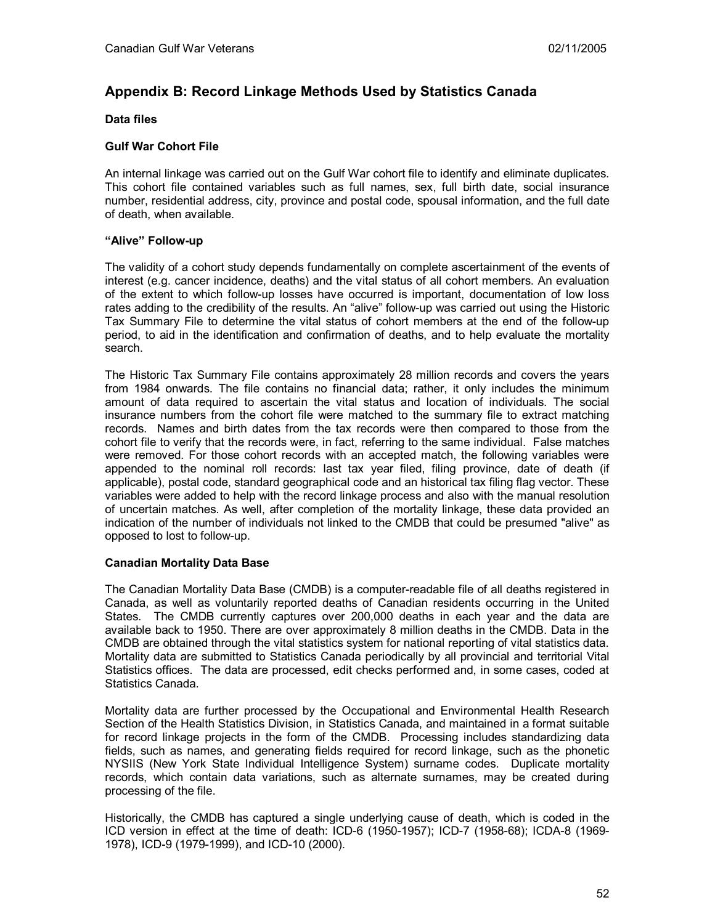# **Appendix B: Record Linkage Methods Used by Statistics Canada**

## **Data files**

## **Gulf War Cohort File**

An internal linkage was carried out on the Gulf War cohort file to identify and eliminate duplicates. This cohort file contained variables such as full names, sex, full birth date, social insurance number, residential address, city, province and postal code, spousal information, and the full date of death, when available.

## **"Alive" Follow-up**

The validity of a cohort study depends fundamentally on complete ascertainment of the events of interest (e.g. cancer incidence, deaths) and the vital status of all cohort members. An evaluation of the extent to which follow-up losses have occurred is important, documentation of low loss rates adding to the credibility of the results. An "alive" follow-up was carried out using the Historic Tax Summary File to determine the vital status of cohort members at the end of the follow-up period, to aid in the identification and confirmation of deaths, and to help evaluate the mortality search.

The Historic Tax Summary File contains approximately 28 million records and covers the years from 1984 onwards. The file contains no financial data; rather, it only includes the minimum amount of data required to ascertain the vital status and location of individuals. The social insurance numbers from the cohort file were matched to the summary file to extract matching records. Names and birth dates from the tax records were then compared to those from the cohort file to verify that the records were, in fact, referring to the same individual. False matches were removed. For those cohort records with an accepted match, the following variables were appended to the nominal roll records: last tax year filed, filing province, date of death (if applicable), postal code, standard geographical code and an historical tax filing flag vector. These variables were added to help with the record linkage process and also with the manual resolution of uncertain matches. As well, after completion of the mortality linkage, these data provided an indication of the number of individuals not linked to the CMDB that could be presumed "alive" as opposed to lost to follow-up.

## **Canadian Mortality Data Base**

The Canadian Mortality Data Base (CMDB) is a computer-readable file of all deaths registered in Canada, as well as voluntarily reported deaths of Canadian residents occurring in the United States. The CMDB currently captures over 200,000 deaths in each year and the data are available back to 1950. There are over approximately 8 million deaths in the CMDB. Data in the CMDB are obtained through the vital statistics system for national reporting of vital statistics data. Mortality data are submitted to Statistics Canada periodically by all provincial and territorial Vital Statistics offices. The data are processed, edit checks performed and, in some cases, coded at Statistics Canada.

Mortality data are further processed by the Occupational and Environmental Health Research Section of the Health Statistics Division, in Statistics Canada, and maintained in a format suitable for record linkage projects in the form of the CMDB. Processing includes standardizing data fields, such as names, and generating fields required for record linkage, such as the phonetic NYSIIS (New York State Individual Intelligence System) surname codes. Duplicate mortality records, which contain data variations, such as alternate surnames, may be created during processing of the file.

Historically, the CMDB has captured a single underlying cause of death, which is coded in the ICD version in effect at the time of death: ICD-6 (1950-1957); ICD-7 (1958-68); ICDA-8 (1969- 1978), ICD-9 (1979-1999), and ICD-10 (2000).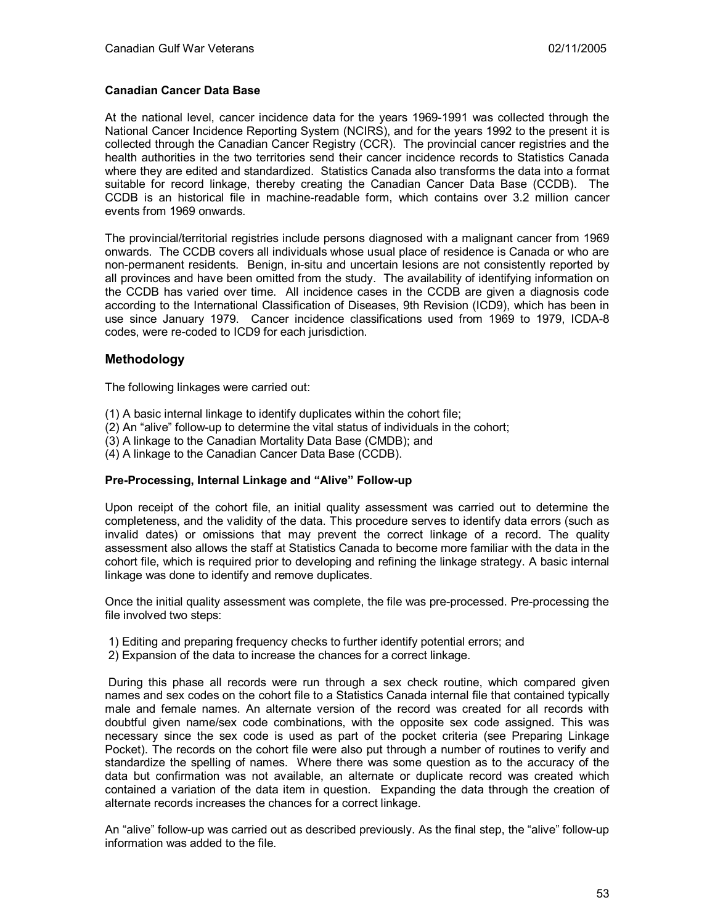## **Canadian Cancer Data Base**

At the national level, cancer incidence data for the years 1969-1991 was collected through the National Cancer Incidence Reporting System (NCIRS), and for the years 1992 to the present it is collected through the Canadian Cancer Registry (CCR). The provincial cancer registries and the health authorities in the two territories send their cancer incidence records to Statistics Canada where they are edited and standardized. Statistics Canada also transforms the data into a format suitable for record linkage, thereby creating the Canadian Cancer Data Base (CCDB). The CCDB is an historical file in machine-readable form, which contains over 3.2 million cancer events from 1969 onwards.

The provincial/territorial registries include persons diagnosed with a malignant cancer from 1969 onwards. The CCDB covers all individuals whose usual place of residence is Canada or who are non-permanent residents. Benign, in-situ and uncertain lesions are not consistently reported by all provinces and have been omitted from the study. The availability of identifying information on the CCDB has varied over time. All incidence cases in the CCDB are given a diagnosis code according to the International Classification of Diseases, 9th Revision (ICD9), which has been in use since January 1979. Cancer incidence classifications used from 1969 to 1979, ICDA-8 codes, were re-coded to ICD9 for each jurisdiction.

## **Methodology**

The following linkages were carried out:

- (1) A basic internal linkage to identify duplicates within the cohort file;
- (2) An "alive" follow-up to determine the vital status of individuals in the cohort;
- (3) A linkage to the Canadian Mortality Data Base (CMDB); and
- (4) A linkage to the Canadian Cancer Data Base (CCDB).

#### **Pre-Processing, Internal Linkage and "Alive" Follow-up**

Upon receipt of the cohort file, an initial quality assessment was carried out to determine the completeness, and the validity of the data. This procedure serves to identify data errors (such as invalid dates) or omissions that may prevent the correct linkage of a record. The quality assessment also allows the staff at Statistics Canada to become more familiar with the data in the cohort file, which is required prior to developing and refining the linkage strategy. A basic internal linkage was done to identify and remove duplicates.

Once the initial quality assessment was complete, the file was pre-processed. Pre-processing the file involved two steps:

- 1) Editing and preparing frequency checks to further identify potential errors; and
- 2) Expansion of the data to increase the chances for a correct linkage.

 During this phase all records were run through a sex check routine, which compared given names and sex codes on the cohort file to a Statistics Canada internal file that contained typically male and female names. An alternate version of the record was created for all records with doubtful given name/sex code combinations, with the opposite sex code assigned. This was necessary since the sex code is used as part of the pocket criteria (see Preparing Linkage Pocket). The records on the cohort file were also put through a number of routines to verify and standardize the spelling of names. Where there was some question as to the accuracy of the data but confirmation was not available, an alternate or duplicate record was created which contained a variation of the data item in question. Expanding the data through the creation of alternate records increases the chances for a correct linkage.

An "alive" follow-up was carried out as described previously. As the final step, the "alive" follow-up information was added to the file.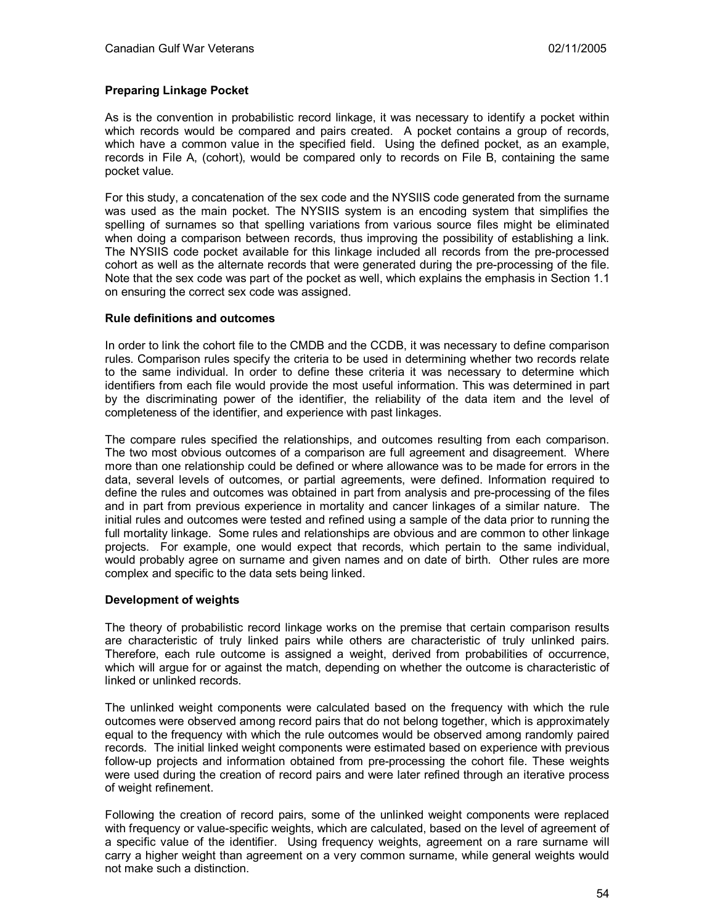## **Preparing Linkage Pocket**

As is the convention in probabilistic record linkage, it was necessary to identify a pocket within which records would be compared and pairs created. A pocket contains a group of records, which have a common value in the specified field. Using the defined pocket, as an example, records in File A, (cohort), would be compared only to records on File B, containing the same pocket value.

For this study, a concatenation of the sex code and the NYSIIS code generated from the surname was used as the main pocket. The NYSIIS system is an encoding system that simplifies the spelling of surnames so that spelling variations from various source files might be eliminated when doing a comparison between records, thus improving the possibility of establishing a link. The NYSIIS code pocket available for this linkage included all records from the pre-processed cohort as well as the alternate records that were generated during the pre-processing of the file. Note that the sex code was part of the pocket as well, which explains the emphasis in Section 1.1 on ensuring the correct sex code was assigned.

#### **Rule definitions and outcomes**

In order to link the cohort file to the CMDB and the CCDB, it was necessary to define comparison rules. Comparison rules specify the criteria to be used in determining whether two records relate to the same individual. In order to define these criteria it was necessary to determine which identifiers from each file would provide the most useful information. This was determined in part by the discriminating power of the identifier, the reliability of the data item and the level of completeness of the identifier, and experience with past linkages.

The compare rules specified the relationships, and outcomes resulting from each comparison. The two most obvious outcomes of a comparison are full agreement and disagreement. Where more than one relationship could be defined or where allowance was to be made for errors in the data, several levels of outcomes, or partial agreements, were defined. Information required to define the rules and outcomes was obtained in part from analysis and pre-processing of the files and in part from previous experience in mortality and cancer linkages of a similar nature. The initial rules and outcomes were tested and refined using a sample of the data prior to running the full mortality linkage. Some rules and relationships are obvious and are common to other linkage projects. For example, one would expect that records, which pertain to the same individual, would probably agree on surname and given names and on date of birth. Other rules are more complex and specific to the data sets being linked.

#### **Development of weights**

The theory of probabilistic record linkage works on the premise that certain comparison results are characteristic of truly linked pairs while others are characteristic of truly unlinked pairs. Therefore, each rule outcome is assigned a weight, derived from probabilities of occurrence, which will argue for or against the match, depending on whether the outcome is characteristic of linked or unlinked records.

The unlinked weight components were calculated based on the frequency with which the rule outcomes were observed among record pairs that do not belong together, which is approximately equal to the frequency with which the rule outcomes would be observed among randomly paired records. The initial linked weight components were estimated based on experience with previous follow-up projects and information obtained from pre-processing the cohort file. These weights were used during the creation of record pairs and were later refined through an iterative process of weight refinement.

Following the creation of record pairs, some of the unlinked weight components were replaced with frequency or value-specific weights, which are calculated, based on the level of agreement of a specific value of the identifier. Using frequency weights, agreement on a rare surname will carry a higher weight than agreement on a very common surname, while general weights would not make such a distinction.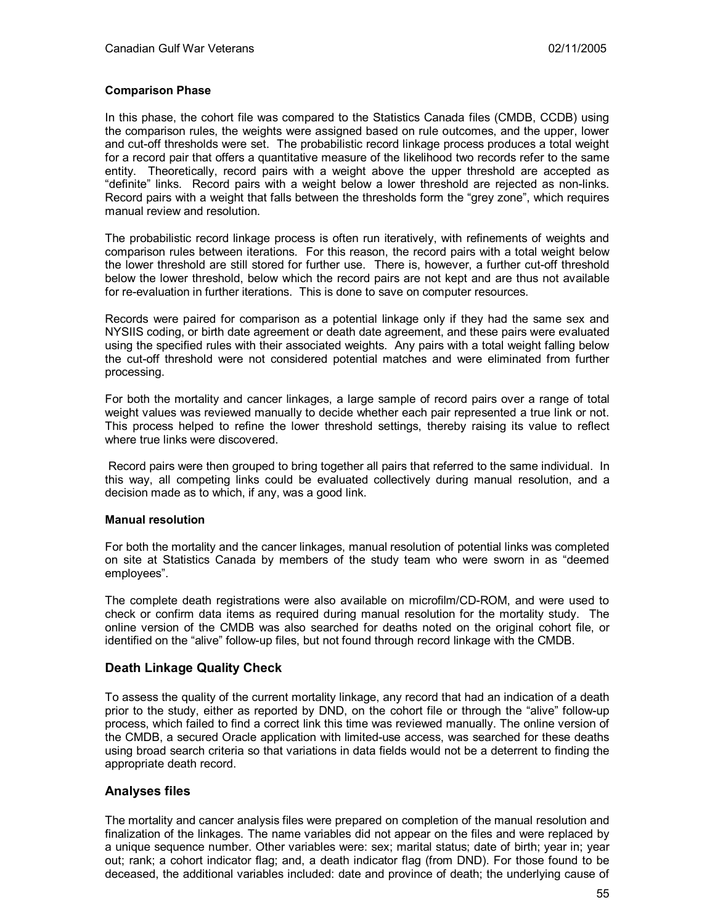### **Comparison Phase**

In this phase, the cohort file was compared to the Statistics Canada files (CMDB, CCDB) using the comparison rules, the weights were assigned based on rule outcomes, and the upper, lower and cut-off thresholds were set. The probabilistic record linkage process produces a total weight for a record pair that offers a quantitative measure of the likelihood two records refer to the same entity. Theoretically, record pairs with a weight above the upper threshold are accepted as "definite" links. Record pairs with a weight below a lower threshold are rejected as non-links. Record pairs with a weight that falls between the thresholds form the "grey zone", which requires manual review and resolution.

The probabilistic record linkage process is often run iteratively, with refinements of weights and comparison rules between iterations. For this reason, the record pairs with a total weight below the lower threshold are still stored for further use. There is, however, a further cut-off threshold below the lower threshold, below which the record pairs are not kept and are thus not available for re-evaluation in further iterations. This is done to save on computer resources.

Records were paired for comparison as a potential linkage only if they had the same sex and NYSIIS coding, or birth date agreement or death date agreement, and these pairs were evaluated using the specified rules with their associated weights. Any pairs with a total weight falling below the cut-off threshold were not considered potential matches and were eliminated from further processing.

For both the mortality and cancer linkages, a large sample of record pairs over a range of total weight values was reviewed manually to decide whether each pair represented a true link or not. This process helped to refine the lower threshold settings, thereby raising its value to reflect where true links were discovered.

 Record pairs were then grouped to bring together all pairs that referred to the same individual. In this way, all competing links could be evaluated collectively during manual resolution, and a decision made as to which, if any, was a good link.

### **Manual resolution**

For both the mortality and the cancer linkages, manual resolution of potential links was completed on site at Statistics Canada by members of the study team who were sworn in as "deemed employees".

The complete death registrations were also available on microfilm/CD-ROM, and were used to check or confirm data items as required during manual resolution for the mortality study. The online version of the CMDB was also searched for deaths noted on the original cohort file, or identified on the "alive" follow-up files, but not found through record linkage with the CMDB.

## **Death Linkage Quality Check**

To assess the quality of the current mortality linkage, any record that had an indication of a death prior to the study, either as reported by DND, on the cohort file or through the "alive" follow-up process, which failed to find a correct link this time was reviewed manually. The online version of the CMDB, a secured Oracle application with limited-use access, was searched for these deaths using broad search criteria so that variations in data fields would not be a deterrent to finding the appropriate death record.

## **Analyses files**

The mortality and cancer analysis files were prepared on completion of the manual resolution and finalization of the linkages. The name variables did not appear on the files and were replaced by a unique sequence number. Other variables were: sex; marital status; date of birth; year in; year out; rank; a cohort indicator flag; and, a death indicator flag (from DND). For those found to be deceased, the additional variables included: date and province of death; the underlying cause of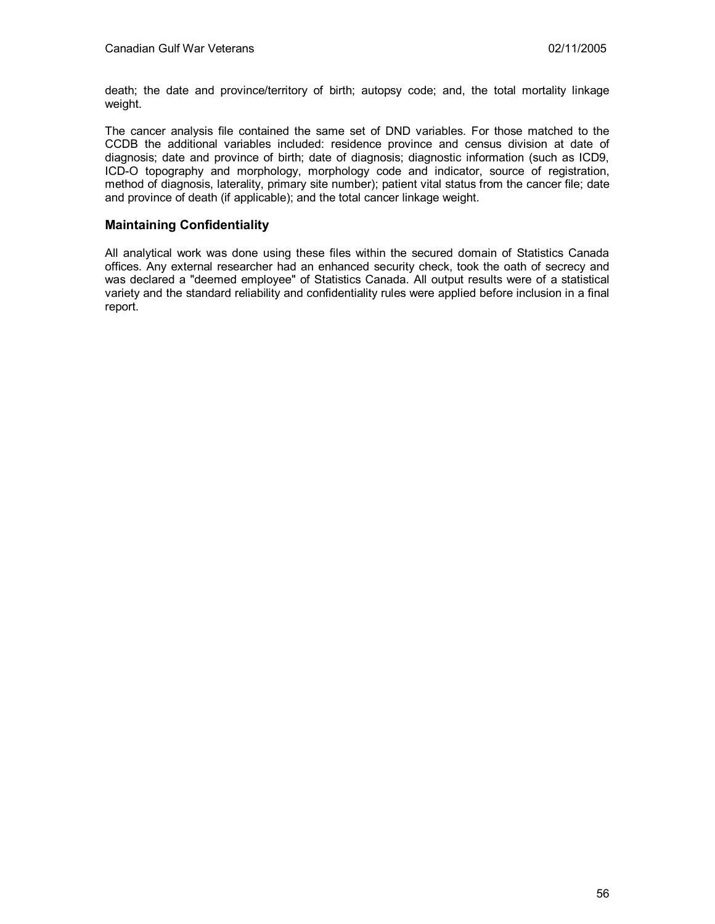death; the date and province/territory of birth; autopsy code; and, the total mortality linkage weight.

The cancer analysis file contained the same set of DND variables. For those matched to the CCDB the additional variables included: residence province and census division at date of diagnosis; date and province of birth; date of diagnosis; diagnostic information (such as ICD9, ICD-O topography and morphology, morphology code and indicator, source of registration, method of diagnosis, laterality, primary site number); patient vital status from the cancer file; date and province of death (if applicable); and the total cancer linkage weight.

# **Maintaining Confidentiality**

All analytical work was done using these files within the secured domain of Statistics Canada offices. Any external researcher had an enhanced security check, took the oath of secrecy and was declared a "deemed employee" of Statistics Canada. All output results were of a statistical variety and the standard reliability and confidentiality rules were applied before inclusion in a final report.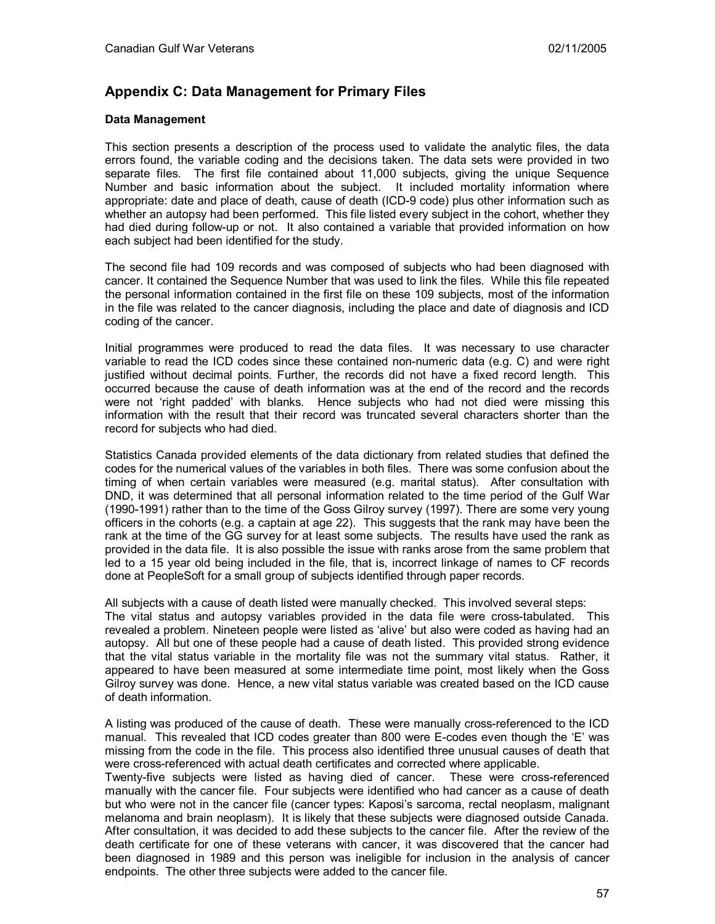# **Appendix C: Data Management for Primary Files**

### **Data Management**

This section presents a description of the process used to validate the analytic files, the data errors found, the variable coding and the decisions taken. The data sets were provided in two separate files. The first file contained about 11,000 subjects, giving the unique Sequence Number and basic information about the subject. It included mortality information where appropriate: date and place of death, cause of death (ICD-9 code) plus other information such as whether an autopsy had been performed. This file listed every subject in the cohort, whether they had died during follow-up or not. It also contained a variable that provided information on how each subject had been identified for the study.

The second file had 109 records and was composed of subjects who had been diagnosed with cancer. It contained the Sequence Number that was used to link the files. While this file repeated the personal information contained in the first file on these 109 subjects, most of the information in the file was related to the cancer diagnosis, including the place and date of diagnosis and ICD coding of the cancer.

Initial programmes were produced to read the data files. It was necessary to use character variable to read the ICD codes since these contained non-numeric data (e.g. C) and were right justified without decimal points. Further, the records did not have a fixed record length. This occurred because the cause of death information was at the end of the record and the records were not 'right padded' with blanks. Hence subjects who had not died were missing this information with the result that their record was truncated several characters shorter than the record for subjects who had died.

Statistics Canada provided elements of the data dictionary from related studies that defined the codes for the numerical values of the variables in both files. There was some confusion about the timing of when certain variables were measured (e.g. marital status). After consultation with DND, it was determined that all personal information related to the time period of the Gulf War (1990-1991) rather than to the time of the Goss Gilroy survey (1997). There are some very young officers in the cohorts (e.g. a captain at age 22). This suggests that the rank may have been the rank at the time of the GG survey for at least some subjects. The results have used the rank as provided in the data file. It is also possible the issue with ranks arose from the same problem that led to a 15 year old being included in the file, that is, incorrect linkage of names to CF records done at PeopleSoft for a small group of subjects identified through paper records.

All subjects with a cause of death listed were manually checked. This involved several steps: The vital status and autopsy variables provided in the data file were cross-tabulated. This revealed a problem. Nineteen people were listed as 'alive' but also were coded as having had an autopsy. All but one of these people had a cause of death listed. This provided strong evidence that the vital status variable in the mortality file was not the summary vital status. Rather, it appeared to have been measured at some intermediate time point, most likely when the Goss Gilroy survey was done. Hence, a new vital status variable was created based on the ICD cause of death information.

A listing was produced of the cause of death. These were manually cross-referenced to the ICD manual. This revealed that ICD codes greater than 800 were E-codes even though the 'E' was missing from the code in the file. This process also identified three unusual causes of death that were cross-referenced with actual death certificates and corrected where applicable.

Twenty-five subjects were listed as having died of cancer. These were cross-referenced manually with the cancer file. Four subjects were identified who had cancer as a cause of death but who were not in the cancer file (cancer types: Kaposi's sarcoma, rectal neoplasm, malignant melanoma and brain neoplasm). It is likely that these subjects were diagnosed outside Canada. After consultation, it was decided to add these subjects to the cancer file. After the review of the death certificate for one of these veterans with cancer, it was discovered that the cancer had been diagnosed in 1989 and this person was ineligible for inclusion in the analysis of cancer endpoints. The other three subjects were added to the cancer file.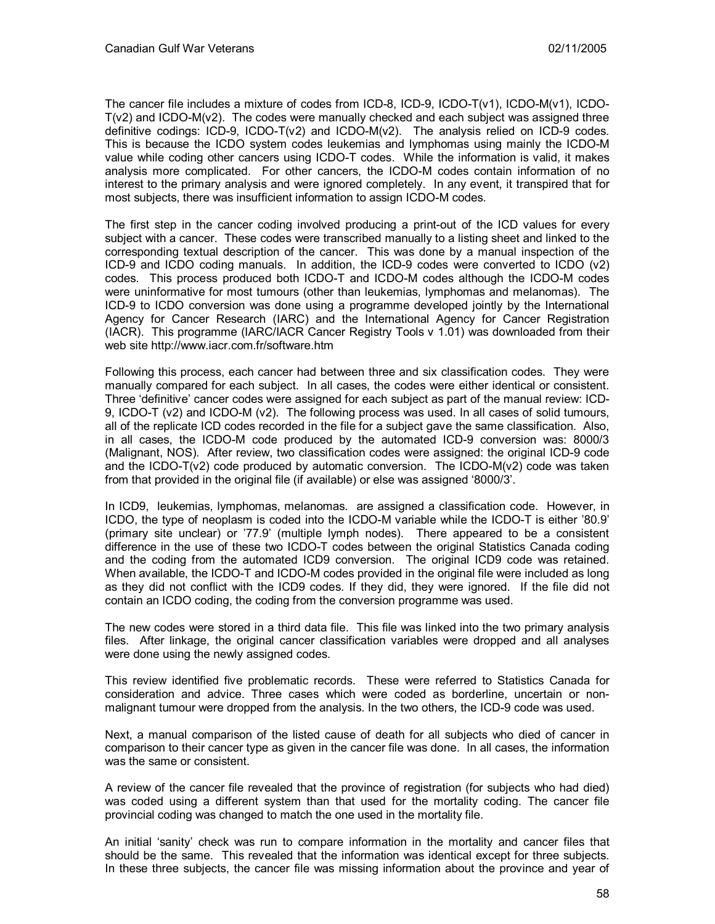The cancer file includes a mixture of codes from ICD-8, ICD-9, ICDO-T(v1), ICDO-M(v1), ICDO- $T(v2)$  and ICDO-M $(v2)$ . The codes were manually checked and each subject was assigned three definitive codings: ICD-9, ICDO-T(v2) and ICDO-M(v2). The analysis relied on ICD-9 codes. This is because the ICDO system codes leukemias and lymphomas using mainly the ICDO-M value while coding other cancers using ICDO-T codes. While the information is valid, it makes analysis more complicated. For other cancers, the ICDO-M codes contain information of no interest to the primary analysis and were ignored completely. In any event, it transpired that for most subjects, there was insufficient information to assign ICDO-M codes.

The first step in the cancer coding involved producing a print-out of the ICD values for every subject with a cancer. These codes were transcribed manually to a listing sheet and linked to the corresponding textual description of the cancer. This was done by a manual inspection of the ICD-9 and ICDO coding manuals. In addition, the ICD-9 codes were converted to ICDO (v2) codes. This process produced both ICDO-T and ICDO-M codes although the ICDO-M codes were uninformative for most tumours (other than leukemias, lymphomas and melanomas). The ICD-9 to ICDO conversion was done using a programme developed jointly by the International Agency for Cancer Research (IARC) and the International Agency for Cancer Registration (IACR). This programme (IARC/IACR Cancer Registry Tools v 1.01) was downloaded from their web site http://www.iacr.com.fr/software.htm

Following this process, each cancer had between three and six classification codes. They were manually compared for each subject. In all cases, the codes were either identical or consistent. Three 'definitive' cancer codes were assigned for each subject as part of the manual review: ICD-9, ICDO-T (v2) and ICDO-M (v2). The following process was used. In all cases of solid tumours, all of the replicate ICD codes recorded in the file for a subject gave the same classification. Also, in all cases, the ICDO-M code produced by the automated ICD-9 conversion was: 8000/3 (Malignant, NOS). After review, two classification codes were assigned: the original ICD-9 code and the ICDO-T( $v2$ ) code produced by automatic conversion. The ICDO-M( $v2$ ) code was taken from that provided in the original file (if available) or else was assigned '8000/3'.

In ICD9, leukemias, lymphomas, melanomas. are assigned a classification code. However, in ICDO, the type of neoplasm is coded into the ICDO-M variable while the ICDO-T is either '80.9' (primary site unclear) or '77.9' (multiple lymph nodes). There appeared to be a consistent difference in the use of these two ICDO-T codes between the original Statistics Canada coding and the coding from the automated ICD9 conversion. The original ICD9 code was retained. When available, the ICDO-T and ICDO-M codes provided in the original file were included as long as they did not conflict with the ICD9 codes. If they did, they were ignored. If the file did not contain an ICDO coding, the coding from the conversion programme was used.

The new codes were stored in a third data file. This file was linked into the two primary analysis files. After linkage, the original cancer classification variables were dropped and all analyses were done using the newly assigned codes.

This review identified five problematic records. These were referred to Statistics Canada for consideration and advice. Three cases which were coded as borderline, uncertain or nonmalignant tumour were dropped from the analysis. In the two others, the ICD-9 code was used.

Next, a manual comparison of the listed cause of death for all subjects who died of cancer in comparison to their cancer type as given in the cancer file was done. In all cases, the information was the same or consistent.

A review of the cancer file revealed that the province of registration (for subjects who had died) was coded using a different system than that used for the mortality coding. The cancer file provincial coding was changed to match the one used in the mortality file.

An initial 'sanity' check was run to compare information in the mortality and cancer files that should be the same. This revealed that the information was identical except for three subjects. In these three subjects, the cancer file was missing information about the province and year of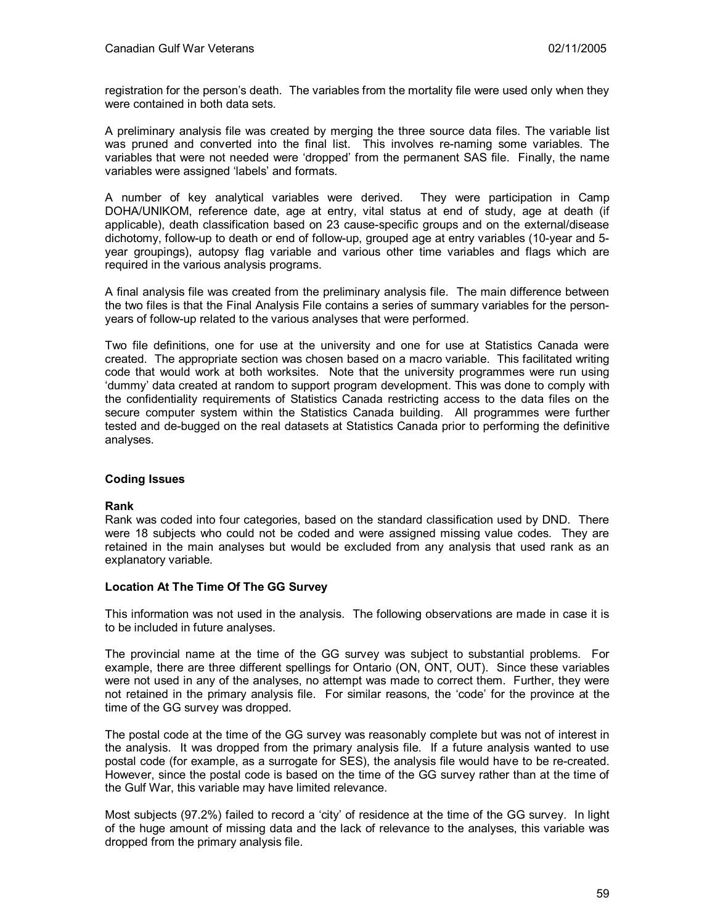registration for the person's death. The variables from the mortality file were used only when they were contained in both data sets.

A preliminary analysis file was created by merging the three source data files. The variable list was pruned and converted into the final list. This involves re-naming some variables. The variables that were not needed were 'dropped' from the permanent SAS file. Finally, the name variables were assigned 'labels' and formats.

A number of key analytical variables were derived. They were participation in Camp DOHA/UNIKOM, reference date, age at entry, vital status at end of study, age at death (if applicable), death classification based on 23 cause-specific groups and on the external/disease dichotomy, follow-up to death or end of follow-up, grouped age at entry variables (10-year and 5 year groupings), autopsy flag variable and various other time variables and flags which are required in the various analysis programs.

A final analysis file was created from the preliminary analysis file. The main difference between the two files is that the Final Analysis File contains a series of summary variables for the personyears of follow-up related to the various analyses that were performed.

Two file definitions, one for use at the university and one for use at Statistics Canada were created. The appropriate section was chosen based on a macro variable. This facilitated writing code that would work at both worksites. Note that the university programmes were run using 'dummy' data created at random to support program development. This was done to comply with the confidentiality requirements of Statistics Canada restricting access to the data files on the secure computer system within the Statistics Canada building. All programmes were further tested and de-bugged on the real datasets at Statistics Canada prior to performing the definitive analyses.

#### **Coding Issues**

#### **Rank**

Rank was coded into four categories, based on the standard classification used by DND. There were 18 subjects who could not be coded and were assigned missing value codes. They are retained in the main analyses but would be excluded from any analysis that used rank as an explanatory variable.

#### **Location At The Time Of The GG Survey**

This information was not used in the analysis. The following observations are made in case it is to be included in future analyses.

The provincial name at the time of the GG survey was subject to substantial problems. For example, there are three different spellings for Ontario (ON, ONT, OUT). Since these variables were not used in any of the analyses, no attempt was made to correct them. Further, they were not retained in the primary analysis file. For similar reasons, the 'code' for the province at the time of the GG survey was dropped.

The postal code at the time of the GG survey was reasonably complete but was not of interest in the analysis. It was dropped from the primary analysis file. If a future analysis wanted to use postal code (for example, as a surrogate for SES), the analysis file would have to be re-created. However, since the postal code is based on the time of the GG survey rather than at the time of the Gulf War, this variable may have limited relevance.

Most subjects (97.2%) failed to record a 'city' of residence at the time of the GG survey. In light of the huge amount of missing data and the lack of relevance to the analyses, this variable was dropped from the primary analysis file.